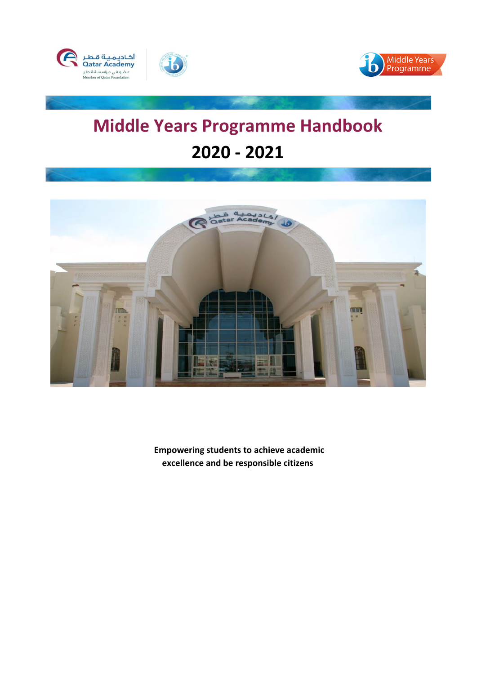



# **Middle Years Programme Handbook 2020 - 2021**



 **Empowering students to achieve academic excellence and be responsible citizens**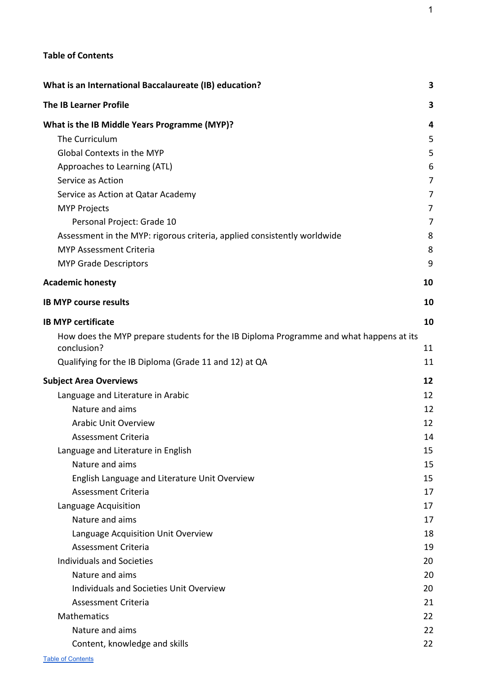## <span id="page-1-0"></span>**Table of Contents**

| What is an International Baccalaureate (IB) education?                                                | 3              |
|-------------------------------------------------------------------------------------------------------|----------------|
| <b>The IB Learner Profile</b>                                                                         | 3              |
| What is the IB Middle Years Programme (MYP)?                                                          | 4              |
| The Curriculum                                                                                        | 5              |
| Global Contexts in the MYP                                                                            | 5              |
| Approaches to Learning (ATL)                                                                          | 6              |
| Service as Action                                                                                     | $\overline{7}$ |
| Service as Action at Qatar Academy                                                                    | 7              |
| <b>MYP Projects</b>                                                                                   | 7              |
| Personal Project: Grade 10                                                                            | 7              |
| Assessment in the MYP: rigorous criteria, applied consistently worldwide                              | 8              |
| <b>MYP Assessment Criteria</b>                                                                        | 8              |
| <b>MYP Grade Descriptors</b>                                                                          | 9              |
| <b>Academic honesty</b>                                                                               | 10             |
| <b>IB MYP course results</b>                                                                          | 10             |
| <b>IB MYP certificate</b>                                                                             | 10             |
| How does the MYP prepare students for the IB Diploma Programme and what happens at its<br>conclusion? | 11             |
| Qualifying for the IB Diploma (Grade 11 and 12) at QA                                                 | 11             |
| <b>Subject Area Overviews</b>                                                                         | 12             |
| Language and Literature in Arabic                                                                     | 12             |
| Nature and aims                                                                                       | 12             |
| <b>Arabic Unit Overview</b>                                                                           | 12             |
| Assessment Criteria                                                                                   | 14             |
| Language and Literature in English                                                                    | 15             |
| Nature and aims                                                                                       | 15             |
| English Language and Literature Unit Overview                                                         | 15             |
| <b>Assessment Criteria</b>                                                                            | 17             |
| Language Acquisition                                                                                  | 17             |
| Nature and aims                                                                                       | 17             |
| Language Acquisition Unit Overview                                                                    | 18             |
| Assessment Criteria                                                                                   | 19             |
| <b>Individuals and Societies</b>                                                                      | 20             |
| Nature and aims                                                                                       | 20             |
| Individuals and Societies Unit Overview                                                               | 20             |
| <b>Assessment Criteria</b>                                                                            | 21             |
| Mathematics                                                                                           | 22             |
| Nature and aims                                                                                       | 22             |
| Content, knowledge and skills                                                                         | 22             |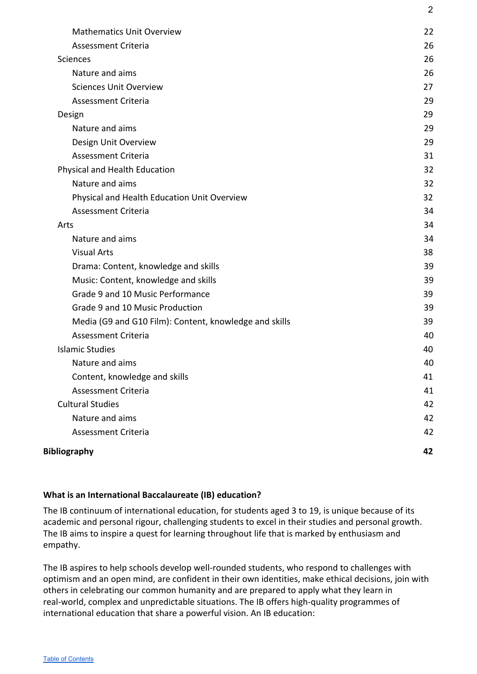| <b>Bibliography</b>                                    | 42       |
|--------------------------------------------------------|----------|
| <b>Assessment Criteria</b>                             | 42       |
| Nature and aims                                        | 42       |
| <b>Cultural Studies</b>                                | 42       |
| Assessment Criteria                                    | 41       |
| Content, knowledge and skills                          | 41       |
| Nature and aims                                        | 40       |
| <b>Islamic Studies</b>                                 | 40       |
| Assessment Criteria                                    | 40       |
| Media (G9 and G10 Film): Content, knowledge and skills | 39       |
| Grade 9 and 10 Music Production                        | 39       |
| Grade 9 and 10 Music Performance                       | 39       |
| Music: Content, knowledge and skills                   | 39       |
| Drama: Content, knowledge and skills                   | 39       |
| <b>Visual Arts</b>                                     | 38       |
| Nature and aims                                        | 34       |
| Arts                                                   | 34       |
| <b>Assessment Criteria</b>                             | 34       |
| Physical and Health Education Unit Overview            | 32       |
| Nature and aims                                        | 32       |
| Physical and Health Education                          | 32       |
| Assessment Criteria                                    | 31       |
| Design Unit Overview                                   | 29       |
| Design<br>Nature and aims                              | 29       |
| <b>Assessment Criteria</b>                             | 29<br>29 |
| <b>Sciences Unit Overview</b>                          | 27       |
| Nature and aims                                        | 26       |
| <b>Sciences</b>                                        | 26       |
| <b>Assessment Criteria</b>                             | 26       |
| <b>Mathematics Unit Overview</b>                       | 22       |
|                                                        |          |

2

# **What is an International Baccalaureate (IB) education?**

The IB continuum of international education, for students aged 3 to 19, is unique because of its academic and personal rigour, challenging students to excel in their studies and personal growth. The IB aims to inspire a quest for learning throughout life that is marked by enthusiasm and empathy.

The IB aspires to help schools develop well-rounded students, who respond to challenges with optimism and an open mind, are confident in their own identities, make ethical decisions, join with others in celebrating our common humanity and are prepared to apply what they learn in real-world, complex and unpredictable situations. The IB offers high-quality programmes of international education that share a powerful vision. An IB education: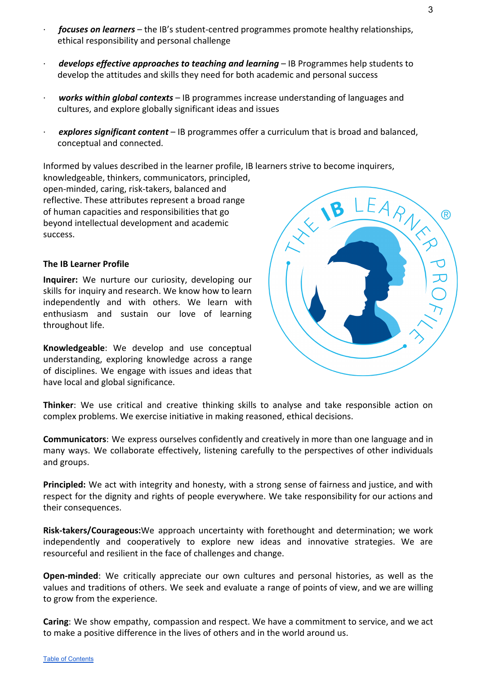- · *focuses on learners* the IB's student-centred programmes promote healthy relationships, ethical responsibility and personal challenge
- · *develops effective approaches to teaching and learning* IB Programmes help students to develop the attitudes and skills they need for both academic and personal success
- · *works within global contexts* IB programmes increase understanding of languages and cultures, and explore globally significant ideas and issues
- · *explores significant content* IB programmes offer a curriculum that is broad and balanced, conceptual and connected.

Informed by values described in the learner profile, IB learners strive to become inquirers, knowledgeable, thinkers, communicators, principled,

open-minded, caring, risk-takers, balanced and reflective. These attributes represent a broad range of human capacities and responsibilities that go beyond intellectual development and academic success.

#### <span id="page-3-0"></span>**The IB Learner Profile**

**Inquirer:** We nurture our curiosity, developing our skills for inquiry and research. We know how to learn independently and with others. We learn with enthusiasm and sustain our love of learning throughout life.

**Knowledgeable**: We develop and use conceptual understanding, exploring knowledge across a range of disciplines. We engage with issues and ideas that have local and global significance.

**Thinker**: We use critical and creative thinking skills to analyse and take responsible action on complex problems. We exercise initiative in making reasoned, ethical decisions.

**Communicators**: We express ourselves confidently and creatively in more than one language and in many ways. We collaborate effectively, listening carefully to the perspectives of other individuals and groups.

**Principled:** We act with integrity and honesty, with a strong sense of fairness and justice, and with respect for the dignity and rights of people everywhere. We take responsibility for our actions and their consequences.

**Risk-takers/Courageous:**We approach uncertainty with forethought and determination; we work independently and cooperatively to explore new ideas and innovative strategies. We are resourceful and resilient in the face of challenges and change.

**Open-minded**: We critically appreciate our own cultures and personal histories, as well as the values and traditions of others. We seek and evaluate a range of points of view, and we are willing to grow from the experience.

**Caring**: We show empathy, compassion and respect. We have a commitment to service, and we act to make a positive difference in the lives of others and in the world around us.

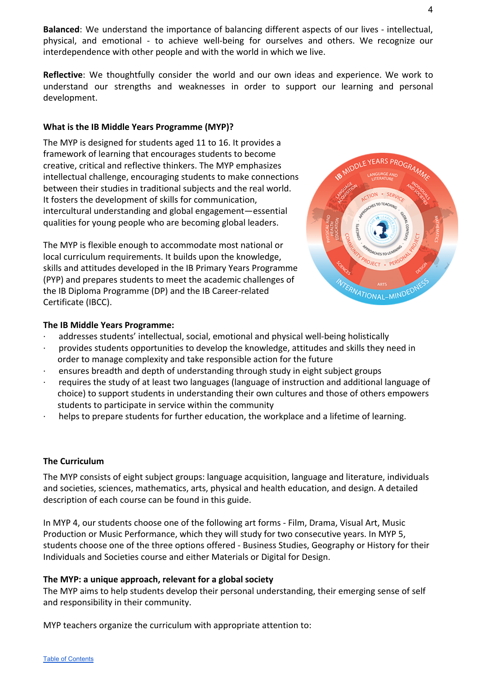**Balanced**: We understand the importance of balancing different aspects of our lives - intellectual, physical, and emotional - to achieve well-being for ourselves and others. We recognize our interdependence with other people and with the world in which we live.

**Reflective**: We thoughtfully consider the world and our own ideas and experience. We work to understand our strengths and weaknesses in order to support our learning and personal development.

#### <span id="page-4-0"></span>**What is the IB Middle Years Programme (MYP)?**

The MYP is designed for students aged 11 to 16. It provides a framework of learning that encourages students to become creative, critical and reflective thinkers. The MYP emphasizes intellectual challenge, encouraging students to make connections between their studies in traditional subjects and the real world. It fosters the development of skills for communication, intercultural understanding and global engagement—essential qualities for young people who are becoming global leaders.

The MYP is flexible enough to accommodate most national or local curriculum requirements. It builds upon the knowledge, skills and attitudes developed in the IB Primary Years Programme (PYP) and prepares students to meet the academic challenges of the IB Diploma Programme (DP) and the IB Career-related Certificate (IBCC).



#### **The IB Middle Years Programme:**

- · addresses students' intellectual, social, emotional and physical well-being holistically
- · provides students opportunities to develop the knowledge, attitudes and skills they need in order to manage complexity and take responsible action for the future
- · ensures breadth and depth of understanding through study in eight subject groups
- · requires the study of at least two languages (language of instruction and additional language of choice) to support students in understanding their own cultures and those of others empowers students to participate in service within the community
- helps to prepare students for further education, the workplace and a lifetime of learning.

#### <span id="page-4-1"></span>**The Curriculum**

The MYP consists of eight subject groups: language acquisition, language and literature, individuals and societies, sciences, mathematics, arts, physical and health education, and design. A detailed description of each course can be found in this guide.

In MYP 4, our students choose one of the following art forms - Film, Drama, Visual Art, Music Production or Music Performance, which they will study for two consecutive years. In MYP 5, students choose one of the three options offered - Business Studies, Geography or History for their Individuals and Societies course and either Materials or Digital for Design.

#### **The MYP: a unique approach, relevant for a global society**

The MYP aims to help students develop their personal understanding, their emerging sense of self and responsibility in their community.

MYP teachers organize the curriculum with appropriate attention to: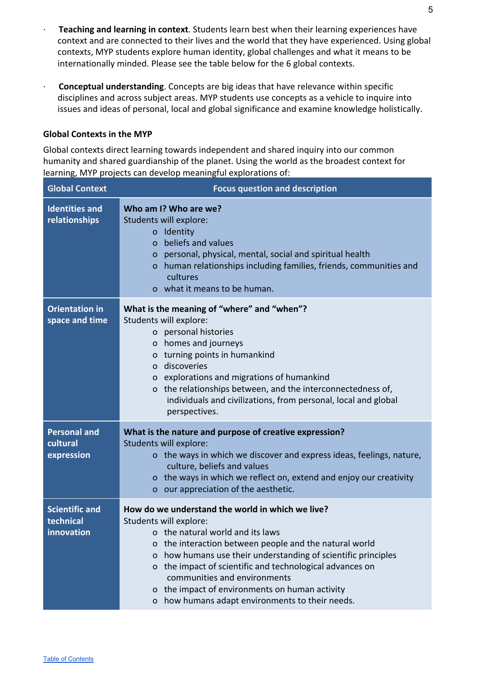- · **Teaching and learning in context**. Students learn best when their learning experiences have context and are connected to their lives and the world that they have experienced. Using global contexts, MYP students explore human identity, global challenges and what it means to be internationally minded. Please see the table below for the 6 global contexts.
- · **Conceptual understanding**. Concepts are big ideas that have relevance within specific disciplines and across subject areas. MYP students use concepts as a vehicle to inquire into issues and ideas of personal, local and global significance and examine knowledge holistically.

#### <span id="page-5-0"></span>**Global Contexts in the MYP**

Global contexts direct learning towards independent and shared inquiry into our common humanity and shared guardianship of the planet. Using the world as the broadest context for learning, MYP projects can develop meaningful explorations of:

| <b>Global Context</b>                            | <b>Focus question and description</b>                                                                                                                                                                                                                                                                                                                                                                                                                |
|--------------------------------------------------|------------------------------------------------------------------------------------------------------------------------------------------------------------------------------------------------------------------------------------------------------------------------------------------------------------------------------------------------------------------------------------------------------------------------------------------------------|
| <b>Identities and</b><br>relationships           | Who am I? Who are we?<br>Students will explore:<br>o Identity<br>beliefs and values<br>$\Omega$<br>o personal, physical, mental, social and spiritual health<br>o human relationships including families, friends, communities and<br>cultures<br>o what it means to be human.                                                                                                                                                                       |
| <b>Orientation in</b><br>space and time          | What is the meaning of "where" and "when"?<br>Students will explore:<br>o personal histories<br>o homes and journeys<br>o turning points in humankind<br>o discoveries<br>o explorations and migrations of humankind<br>o the relationships between, and the interconnectedness of,<br>individuals and civilizations, from personal, local and global<br>perspectives.                                                                               |
| <b>Personal and</b><br>cultural<br>expression    | What is the nature and purpose of creative expression?<br>Students will explore:<br>o the ways in which we discover and express ideas, feelings, nature,<br>culture, beliefs and values<br>o the ways in which we reflect on, extend and enjoy our creativity<br>o our appreciation of the aesthetic.                                                                                                                                                |
| <b>Scientific and</b><br>technical<br>innovation | How do we understand the world in which we live?<br>Students will explore:<br>o the natural world and its laws<br>the interaction between people and the natural world<br>0<br>how humans use their understanding of scientific principles<br>O<br>the impact of scientific and technological advances on<br>o<br>communities and environments<br>the impact of environments on human activity<br>0<br>how humans adapt environments to their needs. |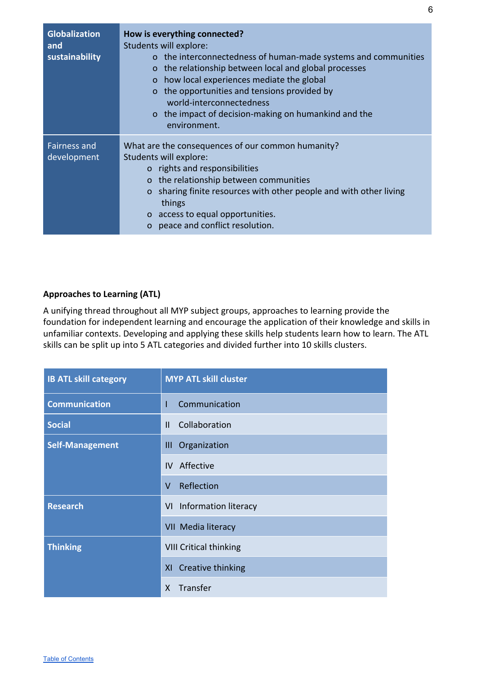| <b>Globalization</b><br>and<br>sustainability | How is everything connected?<br>Students will explore:<br>o the interconnectedness of human-made systems and communities<br>o the relationship between local and global processes<br>how local experiences mediate the global<br>$\Omega$<br>o the opportunities and tensions provided by<br>world-interconnectedness<br>o the impact of decision-making on humankind and the<br>environment. |
|-----------------------------------------------|-----------------------------------------------------------------------------------------------------------------------------------------------------------------------------------------------------------------------------------------------------------------------------------------------------------------------------------------------------------------------------------------------|
| <b>Fairness and</b><br>development            | What are the consequences of our common humanity?<br>Students will explore:<br>o rights and responsibilities<br>the relationship between communities<br>$\mathbf{O}$<br>sharing finite resources with other people and with other living<br>$\Omega$<br>things<br>o access to equal opportunities.<br>peace and conflict resolution.                                                          |

# <span id="page-6-0"></span>**Approaches to Learning (ATL)**

A unifying thread throughout all MYP subject groups, approaches to learning provide the foundation for independent learning and encourage the application of their knowledge and skills in unfamiliar contexts. Developing and applying these skills help students learn how to learn. The ATL skills can be split up into 5 ATL categories and divided further into 10 skills clusters.

| <b>IB ATL skill category</b> | <b>MYP ATL skill cluster</b>  |
|------------------------------|-------------------------------|
| <b>Communication</b>         | Communication<br>T            |
| <b>Social</b>                | Collaboration<br>$\mathbf{H}$ |
| <b>Self-Management</b>       | III Organization              |
|                              | Affective<br>IV.              |
|                              | Reflection<br>$\vee$          |
| <b>Research</b>              | VI Information literacy       |
|                              | VII Media literacy            |
| <b>Thinking</b>              | <b>VIII Critical thinking</b> |
|                              | XI Creative thinking          |
|                              | Transfer<br>X                 |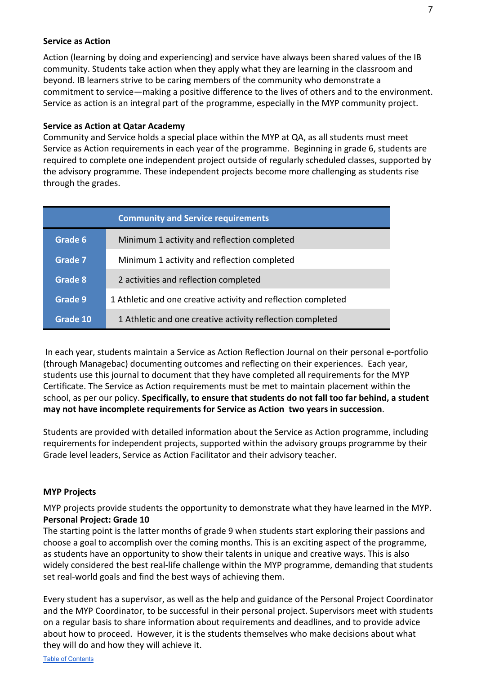#### <span id="page-7-0"></span>**Service as Action**

Action (learning by doing and experiencing) and service have always been shared values of the IB community. Students take action when they apply what they are learning in the classroom and beyond. IB learners strive to be caring members of the community who demonstrate a commitment to service—making a positive difference to the lives of others and to the environment. Service as action is an integral part of the programme, especially in the MYP community project.

#### <span id="page-7-1"></span>**Service as Action at Qatar Academy**

Community and Service holds a special place within the MYP at QA, as all students must meet Service as Action requirements in each year of the programme. Beginning in grade 6, students are required to complete one independent project outside of regularly scheduled classes, supported by the advisory programme. These independent projects become more challenging as students rise through the grades.

|          | <b>Community and Service requirements</b>                     |
|----------|---------------------------------------------------------------|
| Grade 6  | Minimum 1 activity and reflection completed                   |
| Grade 7  | Minimum 1 activity and reflection completed                   |
| Grade 8  | 2 activities and reflection completed                         |
| Grade 9  | 1 Athletic and one creative activity and reflection completed |
| Grade 10 | 1 Athletic and one creative activity reflection completed     |

 In each year, students maintain a Service as Action Reflection Journal on their personal e-portfolio (through Managebac) documenting outcomes and reflecting on their experiences. Each year, students use this journal to document that they have completed all requirements for the MYP Certificate. The Service as Action requirements must be met to maintain placement within the school, as per our policy. **Specifically, to ensure that students do not fall too far behind, a student may not have incomplete requirements for Service as Action two years in succession**.

Students are provided with detailed information about the Service as Action programme, including requirements for independent projects, supported within the advisory groups programme by their Grade level leaders, Service as Action Facilitator and their advisory teacher.

#### <span id="page-7-2"></span>**MYP Projects**

<span id="page-7-3"></span>MYP projects provide students the opportunity to demonstrate what they have learned in the MYP. **Personal Project: Grade 10**

The starting point is the latter months of grade 9 when students start exploring their passions and choose a goal to accomplish over the coming months. This is an exciting aspect of the programme, as students have an opportunity to show their talents in unique and creative ways. This is also widely considered the best real-life challenge within the MYP programme, demanding that students set real-world goals and find the best ways of achieving them.

Every student has a supervisor, as well as the help and guidance of the Personal Project Coordinator and the MYP Coordinator, to be successful in their personal project. Supervisors meet with students on a regular basis to share information about requirements and deadlines, and to provide advice about how to proceed. However, it is the students themselves who make decisions about what they will do and how they will achieve it.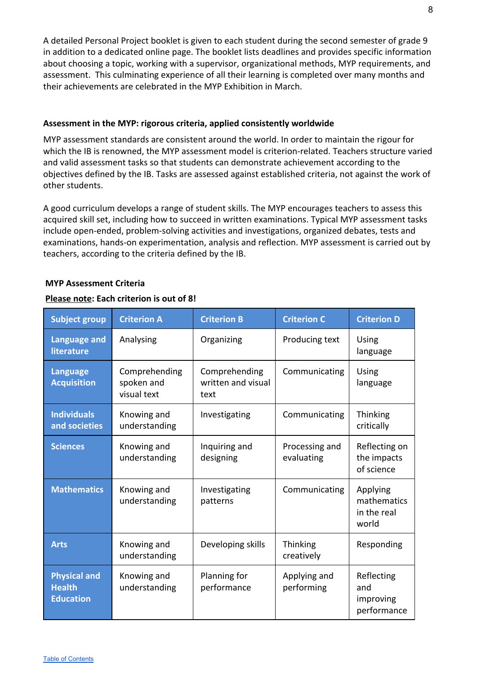A detailed Personal Project booklet is given to each student during the second semester of grade 9 in addition to a dedicated online page. The booklet lists deadlines and provides specific information about choosing a topic, working with a supervisor, organizational methods, MYP requirements, and assessment. This culminating experience of all their learning is completed over many months and their achievements are celebrated in the MYP Exhibition in March.

#### <span id="page-8-0"></span>**Assessment in the MYP: rigorous criteria, applied consistently worldwide**

MYP assessment standards are consistent around the world. In order to maintain the rigour for which the IB is renowned, the MYP assessment model is criterion-related. Teachers structure varied and valid assessment tasks so that students can demonstrate achievement according to the objectives defined by the IB. Tasks are assessed against established criteria, not against the work of other students.

A good curriculum develops a range of student skills. The MYP encourages teachers to assess this acquired skill set, including how to succeed in written examinations. Typical MYP assessment tasks include open-ended, problem-solving activities and investigations, organized debates, tests and examinations, hands-on experimentation, analysis and reflection. MYP assessment is carried out by teachers, according to the criteria defined by the IB.

#### <span id="page-8-1"></span> **MYP Assessment Criteria**

| <b>Subject group</b>                                     | <b>Criterion A</b>                         | <b>Criterion B</b>                          | <b>Criterion C</b>            | <b>Criterion D</b>                              |
|----------------------------------------------------------|--------------------------------------------|---------------------------------------------|-------------------------------|-------------------------------------------------|
| <b>Language and</b><br>literature                        | Analysing                                  | Organizing                                  | Producing text                | Using<br>language                               |
| <b>Language</b><br><b>Acquisition</b>                    | Comprehending<br>spoken and<br>visual text | Comprehending<br>written and visual<br>text | Communicating                 | <b>Using</b><br>language                        |
| <b>Individuals</b><br>and societies                      | Knowing and<br>understanding               | Investigating                               | Communicating                 | Thinking<br>critically                          |
| <b>Sciences</b>                                          | Knowing and<br>understanding               | Inquiring and<br>designing                  | Processing and<br>evaluating  | Reflecting on<br>the impacts<br>of science      |
| <b>Mathematics</b>                                       | Knowing and<br>understanding               | Investigating<br>patterns                   | Communicating                 | Applying<br>mathematics<br>in the real<br>world |
| <b>Arts</b>                                              | Knowing and<br>understanding               | Developing skills                           | <b>Thinking</b><br>creatively | Responding                                      |
| <b>Physical and</b><br><b>Health</b><br><b>Education</b> | Knowing and<br>understanding               | Planning for<br>performance                 | Applying and<br>performing    | Reflecting<br>and<br>improving<br>performance   |

#### **Please note: Each criterion is out of 8!**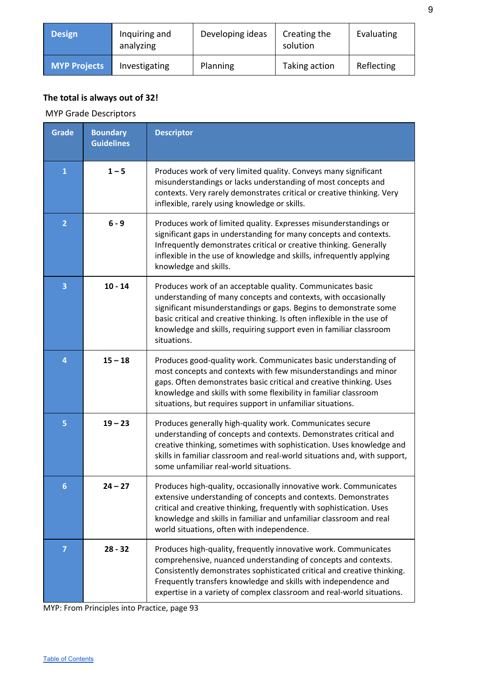| <b>Design</b>       | Inquiring and<br>analyzing | Developing ideas | Creating the<br>solution | Evaluating |
|---------------------|----------------------------|------------------|--------------------------|------------|
| <b>MYP Projects</b> | Investigating              | Planning         | Taking action            | Reflecting |

# **The total is always out of 32!**

MYP Grade Descriptors

| <b>Grade</b>   | <b>Boundary</b><br><b>Guidelines</b> | <b>Descriptor</b>                                                                                                                                                                                                                                                                                                                                                 |
|----------------|--------------------------------------|-------------------------------------------------------------------------------------------------------------------------------------------------------------------------------------------------------------------------------------------------------------------------------------------------------------------------------------------------------------------|
| $\mathbf{1}$   | $1 - 5$                              | Produces work of very limited quality. Conveys many significant<br>misunderstandings or lacks understanding of most concepts and<br>contexts. Very rarely demonstrates critical or creative thinking. Very<br>inflexible, rarely using knowledge or skills.                                                                                                       |
| $\overline{2}$ | $6 - 9$                              | Produces work of limited quality. Expresses misunderstandings or<br>significant gaps in understanding for many concepts and contexts.<br>Infrequently demonstrates critical or creative thinking. Generally<br>inflexible in the use of knowledge and skills, infrequently applying<br>knowledge and skills.                                                      |
| 3              | $10 - 14$                            | Produces work of an acceptable quality. Communicates basic<br>understanding of many concepts and contexts, with occasionally<br>significant misunderstandings or gaps. Begins to demonstrate some<br>basic critical and creative thinking. Is often inflexible in the use of<br>knowledge and skills, requiring support even in familiar classroom<br>situations. |
| 4              | $15 - 18$                            | Produces good-quality work. Communicates basic understanding of<br>most concepts and contexts with few misunderstandings and minor<br>gaps. Often demonstrates basic critical and creative thinking. Uses<br>knowledge and skills with some flexibility in familiar classroom<br>situations, but requires support in unfamiliar situations.                       |
| 5              | $19 - 23$                            | Produces generally high-quality work. Communicates secure<br>understanding of concepts and contexts. Demonstrates critical and<br>creative thinking, sometimes with sophistication. Uses knowledge and<br>skills in familiar classroom and real-world situations and, with support,<br>some unfamiliar real-world situations.                                     |
| 6              | $24 - 27$                            | Produces high-quality, occasionally innovative work. Communicates<br>extensive understanding of concepts and contexts. Demonstrates<br>critical and creative thinking, frequently with sophistication. Uses<br>knowledge and skills in familiar and unfamiliar classroom and real<br>world situations, often with independence.                                   |
| 7              | $28 - 32$                            | Produces high-quality, frequently innovative work. Communicates<br>comprehensive, nuanced understanding of concepts and contexts.<br>Consistently demonstrates sophisticated critical and creative thinking.<br>Frequently transfers knowledge and skills with independence and<br>expertise in a variety of complex classroom and real-world situations.         |

MYP: From Principles into Practice, page 93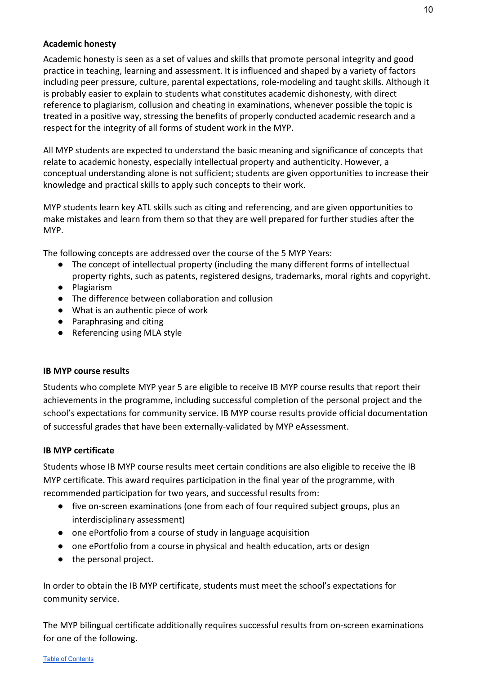#### <span id="page-10-0"></span>**Academic honesty**

Academic honesty is seen as a set of values and skills that promote personal integrity and good practice in teaching, learning and assessment. It is influenced and shaped by a variety of factors including peer pressure, culture, parental expectations, role-modeling and taught skills. Although it is probably easier to explain to students what constitutes academic dishonesty, with direct reference to plagiarism, collusion and cheating in examinations, whenever possible the topic is treated in a positive way, stressing the benefits of properly conducted academic research and a respect for the integrity of all forms of student work in the MYP.

All MYP students are expected to understand the basic meaning and significance of concepts that relate to academic honesty, especially intellectual property and authenticity. However, a conceptual understanding alone is not sufficient; students are given opportunities to increase their knowledge and practical skills to apply such concepts to their work.

MYP students learn key ATL skills such as citing and referencing, and are given opportunities to make mistakes and learn from them so that they are well prepared for further studies after the MYP.

The following concepts are addressed over the course of the 5 MYP Years:

- The concept of intellectual property (including the many different forms of intellectual property rights, such as patents, registered designs, trademarks, moral rights and copyright.
- Plagiarism
- The difference between collaboration and collusion
- What is an authentic piece of work
- Paraphrasing and citing
- Referencing using MLA style

#### <span id="page-10-1"></span>**IB MYP course results**

Students who complete MYP year 5 are eligible to receive IB MYP course results that report their achievements in the programme, including successful completion of the personal project and the school's expectations for community service. IB MYP course results provide official documentation of successful grades that have been externally-validated by MYP eAssessment.

#### <span id="page-10-2"></span>**IB MYP certificate**

Students whose IB MYP course results meet certain conditions are also eligible to receive the IB MYP certificate. This award requires participation in the final year of the programme, with recommended participation for two years, and successful results from:

- five on-screen examinations (one from each of four required subject groups, plus an interdisciplinary assessment)
- one ePortfolio from a course of study in language acquisition
- one ePortfolio from a course in physical and health education, arts or design
- the personal project.

In order to obtain the IB MYP certificate, students must meet the school's expectations for community service.

The MYP bilingual certificate additionally requires successful results from on-screen examinations for one of the following.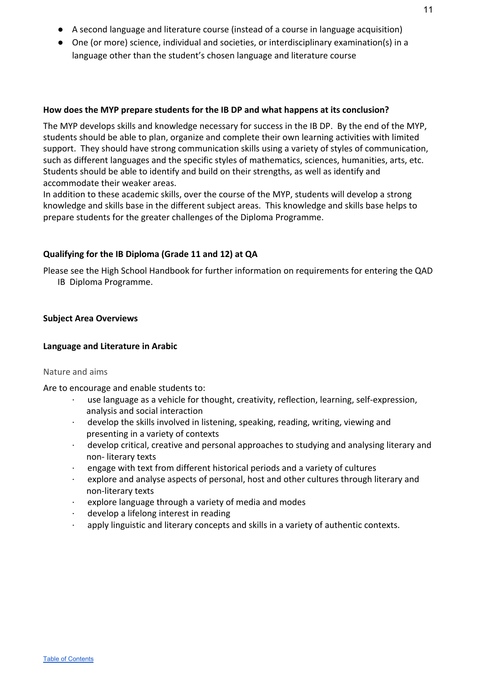- A second language and literature course (instead of a course in language acquisition)
- One (or more) science, individual and societies, or interdisciplinary examination(s) in a language other than the student's chosen language and literature course

#### <span id="page-11-0"></span>**How does the MYP prepare students for the IB DP and what happens at its conclusion?**

The MYP develops skills and knowledge necessary for success in the IB DP. By the end of the MYP, students should be able to plan, organize and complete their own learning activities with limited support. They should have strong communication skills using a variety of styles of communication, such as different languages and the specific styles of mathematics, sciences, humanities, arts, etc. Students should be able to identify and build on their strengths, as well as identify and accommodate their weaker areas.

In addition to these academic skills, over the course of the MYP, students will develop a strong knowledge and skills base in the different subject areas. This knowledge and skills base helps to prepare students for the greater challenges of the Diploma Programme.

#### <span id="page-11-1"></span>**Qualifying for the IB Diploma (Grade 11 and 12) at QA**

Please see the High School Handbook for further information on requirements for entering the QAD IB Diploma Programme.

#### <span id="page-11-3"></span><span id="page-11-2"></span>**Subject Area Overviews**

#### **Language and Literature in Arabic**

#### <span id="page-11-4"></span>Nature and aims

Are to encourage and enable students to:

- use language as a vehicle for thought, creativity, reflection, learning, self-expression, analysis and social interaction
- · develop the skills involved in listening, speaking, reading, writing, viewing and presenting in a variety of contexts
- · develop critical, creative and personal approaches to studying and analysing literary and non- literary texts
- engage with text from different historical periods and a variety of cultures
- explore and analyse aspects of personal, host and other cultures through literary and non-literary texts
- explore language through a variety of media and modes
- · develop a lifelong interest in reading
- · apply linguistic and literary concepts and skills in a variety of authentic contexts.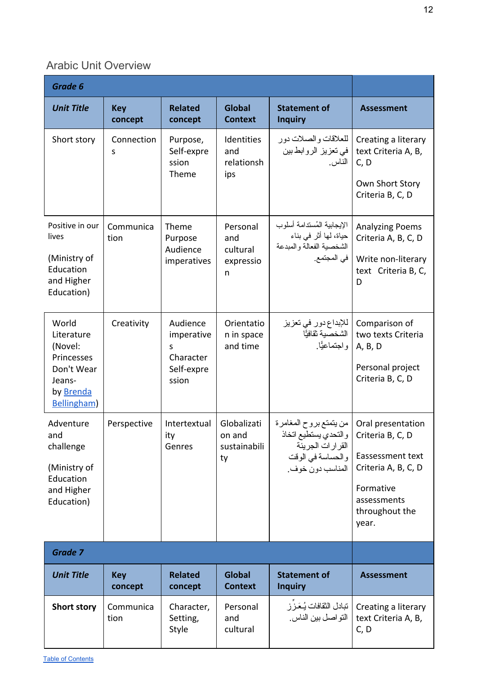# Arabic Unit Overview

| Grade 6                                                                                                |                       |                                                                 |                                               |                                                                                                             |                                                                                                                                         |
|--------------------------------------------------------------------------------------------------------|-----------------------|-----------------------------------------------------------------|-----------------------------------------------|-------------------------------------------------------------------------------------------------------------|-----------------------------------------------------------------------------------------------------------------------------------------|
| <b>Unit Title</b>                                                                                      | <b>Key</b><br>concept | <b>Related</b><br>concept                                       | <b>Global</b><br><b>Context</b>               | <b>Statement of</b><br><b>Inquiry</b>                                                                       | <b>Assessment</b>                                                                                                                       |
| Short story                                                                                            | Connection<br>S       | Purpose,<br>Self-expre<br>ssion<br>Theme                        | Identities<br>and<br>relationsh<br>ips        | للعلاقات والصلات دور<br>في تعزيز الروابط بين<br>الناس.                                                      | Creating a literary<br>text Criteria A, B,<br>C, D<br>Own Short Story<br>Criteria B, C, D                                               |
| Positive in our<br>lives<br>(Ministry of<br>Education<br>and Higher<br>Education)                      | Communica<br>tion     | Theme<br>Purpose<br>Audience<br>imperatives                     | Personal<br>and<br>cultural<br>expressio<br>n | الإيجابية المُستدامة أسلوب<br>حياة، لها أثر في بناء<br>الشخصية الفعالة والمبدعة<br>في المجتمع.              | <b>Analyzing Poems</b><br>Criteria A, B, C, D<br>Write non-literary<br>text Criteria B, C,<br>D                                         |
| World<br>Literature<br>(Novel:<br>Princesses<br>Don't Wear<br>Jeans-<br>by Brenda<br><b>Bellingham</b> | Creativity            | Audience<br>imperative<br>S<br>Character<br>Self-expre<br>ssion | Orientatio<br>n in space<br>and time          | للإبداع دور في تعزيز<br>الشخصية ثقافيًّا<br>واجتماعيًّا                                                     | Comparison of<br>two texts Criteria<br>A, B, D<br>Personal project<br>Criteria B, C, D                                                  |
| Adventure<br>and<br>challenge<br>(Ministry of<br>Education<br>and Higher<br>Education)                 | Perspective           | Intertextual<br>ity<br>Genres                                   | Globalizati<br>on and<br>sustainabili<br>ty   | من يتمتع بروح المغامرة<br>والتحدي يستطيع اتخاذ<br>القرارات الجريئة<br>والحساسة في الوقت<br>المناسب دون خوف. | Oral presentation<br>Criteria B, C, D<br>Eassessment text<br>Criteria A, B, C, D<br>Formative<br>assessments<br>throughout the<br>year. |
| Grade 7                                                                                                |                       |                                                                 |                                               |                                                                                                             |                                                                                                                                         |
| <b>Unit Title</b>                                                                                      | <b>Key</b><br>concept | <b>Related</b><br>concept                                       | <b>Global</b><br><b>Context</b>               | <b>Statement of</b><br><b>Inquiry</b>                                                                       | <b>Assessment</b>                                                                                                                       |
| <b>Short story</b>                                                                                     | Communica<br>tion     | Character,<br>Setting,<br>Style                                 | Personal<br>and<br>cultural                   | تبادل الثقافات يُعَزِّز<br>التواصل بين الناس.                                                               | Creating a literary<br>text Criteria A, B,<br>C, D                                                                                      |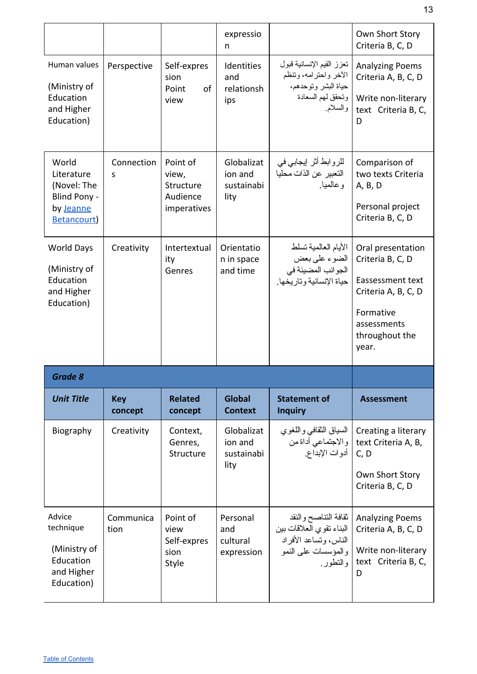|                                                                                      |                       |                                                           | expressio<br>n                              |                                                                                                           | Own Short Story<br>Criteria B, C, D                                                                          |
|--------------------------------------------------------------------------------------|-----------------------|-----------------------------------------------------------|---------------------------------------------|-----------------------------------------------------------------------------------------------------------|--------------------------------------------------------------------------------------------------------------|
| Human values<br>(Ministry of<br>Education<br>and Higher<br>Education)                | Perspective           | Self-expres<br>sion<br>of<br>Point<br>view                | Identities<br>and<br>relationsh<br>ips      | تعزز القيم الإنسانية قبول<br>الأخر واحترامه، وتتظم<br>حياة البشر وتوحدهم،<br>ونحقق لهم السعادة<br>والسلام | <b>Analyzing Poems</b><br>Criteria A, B, C, D<br>Write non-literary<br>text Criteria B, C,<br>D              |
| World<br>Literature<br>(Novel: The<br>Blind Pony -<br>by Jeanne<br><b>Betancourt</b> | Connection<br>S       | Point of<br>view,<br>Structure<br>Audience<br>imperatives | Globalizat<br>ion and<br>sustainabi<br>lity | للروابط أثر إيجابي في<br>التعبير عن الذات محليا<br>و عالميا.                                              | Comparison of<br>two texts Criteria<br>A, B, D<br>Personal project<br>Criteria B, C, D                       |
| <b>World Days</b><br>(Ministry of<br>Education<br>and Higher<br>Education)           | Creativity            | Intertextual<br>ity<br>Genres                             | Orientatio<br>n in space<br>and time        | الأيام العالمية تسلط<br>الضوء علىيبعض<br>الجوانب المضيئة في<br>حياة الإنسانية وتاريخها.                   | Oral presentation<br>Criteria B, C, D<br>Eassessment text<br>Criteria A, B, C, D<br>Formative<br>assessments |
|                                                                                      |                       |                                                           |                                             |                                                                                                           | throughout the<br>year.                                                                                      |
| <b>Grade 8</b>                                                                       |                       |                                                           |                                             |                                                                                                           |                                                                                                              |
| <b>Unit Title</b>                                                                    | <b>Key</b><br>concept | <b>Related</b><br>concept                                 | <b>Global</b><br><b>Context</b>             | <b>Statement of</b><br><b>Inquiry</b>                                                                     | <b>Assessment</b>                                                                                            |
| Biography                                                                            | Creativity            | Context,<br>Genres,<br>Structure                          | Globalizat<br>ion and<br>sustainabi<br>lity | السياق الثقافي واللغوي<br>والاجتماعي أداة من<br>أدوات الإبداع.                                            | Creating a literary<br>text Criteria A, B,<br>C, D<br>Own Short Story<br>Criteria B, C, D                    |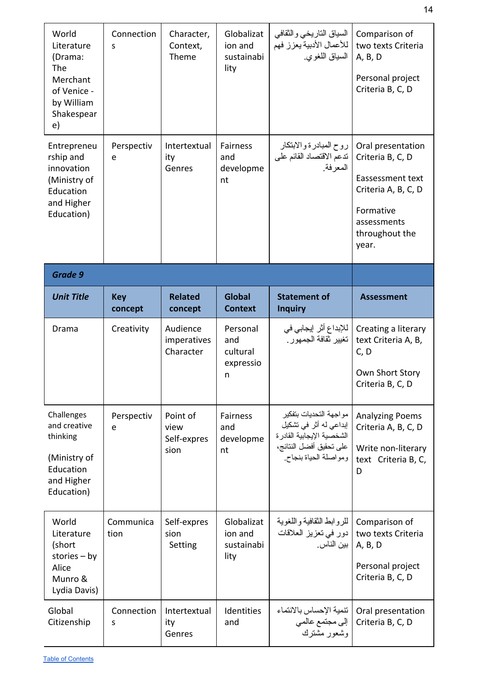| World<br>Literature<br>(Drama:<br>The<br>Merchant<br>of Venice -<br>by William<br>Shakespear<br>e) | Connection<br>S       | Character,<br>Context,<br>Theme         | Globalizat<br>ion and<br>sustainabi<br>lity | السياق التاريخي والثقافي<br>للأعمال الأدبية يعزز فهم<br>السياق اللغوي.                                                              | Comparison of<br>two texts Criteria<br>A, B, D<br>Personal project<br>Criteria B, C, D                                                  |
|----------------------------------------------------------------------------------------------------|-----------------------|-----------------------------------------|---------------------------------------------|-------------------------------------------------------------------------------------------------------------------------------------|-----------------------------------------------------------------------------------------------------------------------------------------|
| Entrepreneu<br>rship and<br>innovation<br>(Ministry of<br>Education<br>and Higher<br>Education)    | Perspectiv<br>e       | Intertextual<br>ity<br>Genres           | <b>Fairness</b><br>and<br>developme<br>nt   | روح المبادرة والابتكار<br>تدعم الاقتصاد القائم على<br>المعرفة.                                                                      | Oral presentation<br>Criteria B, C, D<br>Eassessment text<br>Criteria A, B, C, D<br>Formative<br>assessments<br>throughout the<br>year. |
| Grade 9                                                                                            |                       |                                         |                                             |                                                                                                                                     |                                                                                                                                         |
| <b>Unit Title</b>                                                                                  | <b>Key</b><br>concept | <b>Related</b><br>concept               | <b>Global</b><br><b>Context</b>             | <b>Statement of</b><br><b>Inquiry</b>                                                                                               | <b>Assessment</b>                                                                                                                       |
| Drama                                                                                              | Creativity            | Audience                                | Personal                                    | للإبداع أثر  إيجابي في<br>تغيير ثقافة الجمهور .                                                                                     | Creating a literary                                                                                                                     |
|                                                                                                    |                       | imperatives<br>Character                | and<br>cultural<br>expressio<br>n           |                                                                                                                                     | text Criteria A, B,<br>C, D<br>Own Short Story<br>Criteria B, C, D                                                                      |
| Challenges<br>and creative<br>thinking<br>(Ministry of<br>Education<br>and Higher<br>Education)    | Perspectiv<br>e       | Point of<br>view<br>Self-expres<br>sion | Fairness<br>and<br>developme<br>nt          | مو لجهة التحديات بتفكير<br>إبداعي له أثر في تشكيل<br>الشخصية الإيجابية القادر ة<br>على تحقيق أفضل النتائج،<br>ومواصلة الحياة بنجاح. | <b>Analyzing Poems</b><br>Criteria A, B, C, D<br>Write non-literary<br>text Criteria B, C,<br>D                                         |
| World<br>Literature<br>(short<br>stories $-$ by<br>Alice<br>Munro &<br>Lydia Davis)                | Communica<br>tion     | Self-expres<br>sion<br>Setting          | Globalizat<br>ion and<br>sustainabi<br>lity | للروابط النقافية واللغوية<br>دور في تعزيز العلاقات<br>بين الناس.                                                                    | Comparison of<br>two texts Criteria<br>A, B, D<br>Personal project<br>Criteria B, C, D                                                  |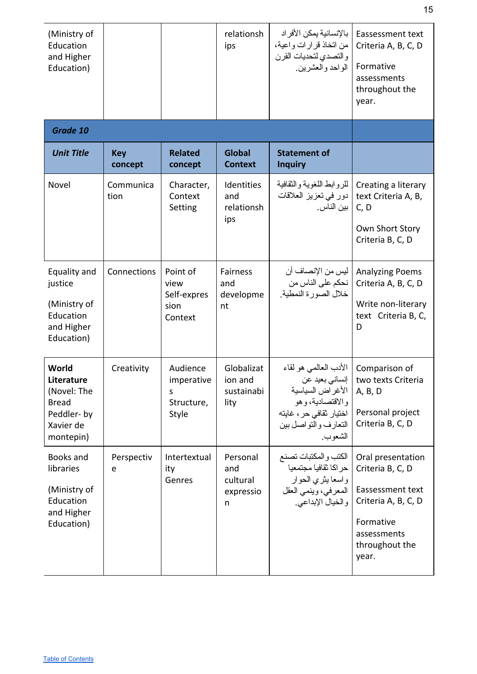| (Ministry of<br>Education<br>and Higher<br>Education)                                      |                       |                                                      | relationsh<br>ips                             | بالإنسانية يمكن الأفر اد<br>من اتخاذ قرارات واعية،<br>والتصدي لتحديات القرن<br>الواحد والعشرين.                               | Eassessment text<br>Criteria A, B, C, D<br>Formative<br>assessments<br>throughout the<br>year.                                          |
|--------------------------------------------------------------------------------------------|-----------------------|------------------------------------------------------|-----------------------------------------------|-------------------------------------------------------------------------------------------------------------------------------|-----------------------------------------------------------------------------------------------------------------------------------------|
| Grade 10                                                                                   |                       |                                                      |                                               |                                                                                                                               |                                                                                                                                         |
| <b>Unit Title</b>                                                                          | <b>Key</b><br>concept | <b>Related</b><br>concept                            | <b>Global</b><br><b>Context</b>               | <b>Statement of</b><br><b>Inquiry</b>                                                                                         |                                                                                                                                         |
| Novel                                                                                      | Communica<br>tion     | Character,<br>Context<br>Setting                     | Identities<br>and<br>relationsh<br>ips        | للروابط اللغوية والثقافية<br>دور في تعزيز العلاقات<br>بين الناس.                                                              | Creating a literary<br>text Criteria A, B,<br>C, D<br>Own Short Story<br>Criteria B, C, D                                               |
| Equality and<br>justice<br>(Ministry of<br>Education<br>and Higher<br>Education)           | Connections           | Point of<br>view<br>Self-expres<br>sion<br>Context   | Fairness<br>and<br>developme<br>nt            | ليس من الإنصـاف أن<br>نحكم على الناس من<br>خلال الصورة النمطية.                                                               | <b>Analyzing Poems</b><br>Criteria A, B, C, D<br>Write non-literary<br>text Criteria B, C,<br>D                                         |
| World<br>Literature<br>(Novel: The<br><b>Bread</b><br>Peddler-by<br>Xavier de<br>montepin) | Creativity            | Audience<br>imperative  <br>S<br>Structure,<br>Style | Globalizat<br>ion and<br>sustainabi<br>lity   | الأدب العالمي هو لقاء<br>الأغر اض السياسية<br>والاقتصادية، و هو<br>اختيار ثقافي حر ، غايته<br>النعارف والنواصل بين<br>الشعوب. | Comparison of<br>two texts Criteria   إنساني بعيد عن<br>A, B, D<br>Personal project<br>Criteria B, C, D                                 |
| Books and<br>libraries<br>(Ministry of<br>Education<br>and Higher<br>Education)            | Perspectiv<br>e       | Intertextual<br>ity<br>Genres                        | Personal<br>and<br>cultural<br>expressio<br>n | الكتب والمكتبات تصنع<br>حر اكا ثقافيا مجتمعيا<br>واسعا يثري الحوار<br>المعرفي، وينمي العقل<br>والخيال الإبداعي.               | Oral presentation<br>Criteria B, C, D<br>Eassessment text<br>Criteria A, B, C, D<br>Formative<br>assessments<br>throughout the<br>year. |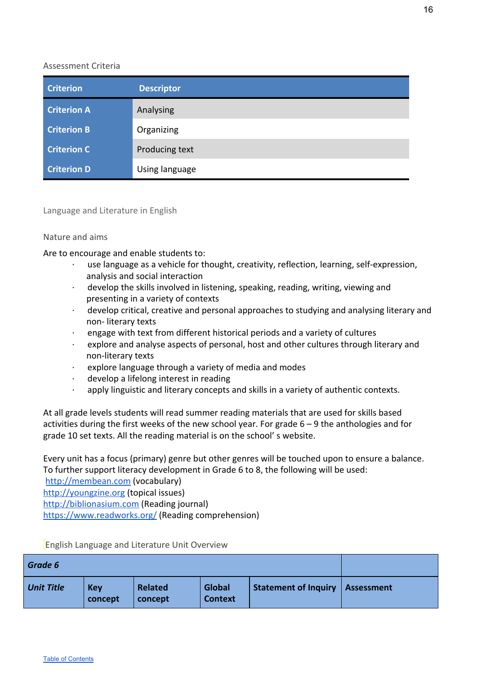| <b>Criterion</b>   | <b>Descriptor</b> |
|--------------------|-------------------|
| <b>Criterion A</b> | Analysing         |
| <b>Criterion B</b> | Organizing        |
| <b>Criterion C</b> | Producing text    |
| <b>Criterion D</b> | Using language    |

Language and Literature in English

#### <span id="page-16-0"></span>Nature and aims

Are to encourage and enable students to:

- use language as a vehicle for thought, creativity, reflection, learning, self-expression, analysis and social interaction
- develop the skills involved in listening, speaking, reading, writing, viewing and presenting in a variety of contexts
- · develop critical, creative and personal approaches to studying and analysing literary and non- literary texts
- · engage with text from different historical periods and a variety of cultures
- explore and analyse aspects of personal, host and other cultures through literary and non-literary texts
- explore language through a variety of media and modes
- · develop a lifelong interest in reading
- · apply linguistic and literary concepts and skills in a variety of authentic contexts.

At all grade levels students will read summer reading materials that are used for skills based activities during the first weeks of the new school year. For grade  $6 - 9$  the anthologies and for grade 10 set texts. All the reading material is on the school' s website.

Every unit has a focus (primary) genre but other genres will be touched upon to ensure a balance. To further support literacy development in Grade 6 to 8, the following will be used:

[http://membean.com](http://membean.com/) (vocabulary)

[http://youngzine.org](http://youngzine.org/) (topical issues)

[http://biblionasium.com](http://biblionasium.com/) (Reading journal)

<https://www.readworks.org/> (Reading comprehension)

| Grade 6           |                       |                           |                          |                                   |  |
|-------------------|-----------------------|---------------------------|--------------------------|-----------------------------------|--|
| <b>Unit Title</b> | <b>Key</b><br>concept | <b>Related</b><br>concept | Global<br><b>Context</b> | Statement of Inquiry   Assessment |  |

<span id="page-16-1"></span>English Language and Literature Unit Overview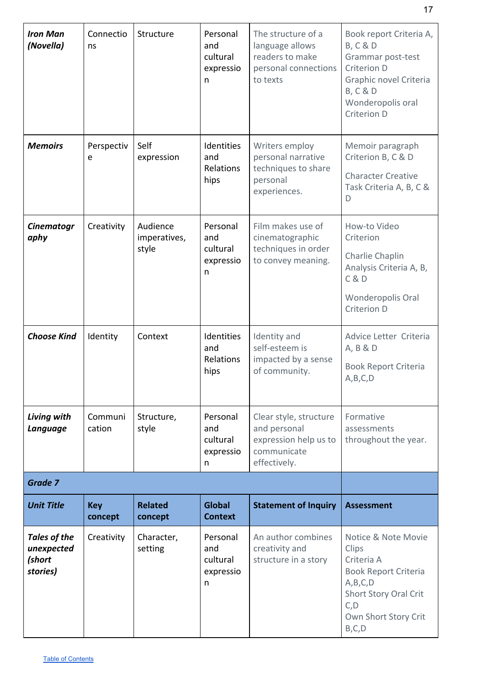| <b>Iron Man</b><br>(Novella)                     | Connectio<br>ns       | Structure                         | Personal<br>and<br>cultural<br>expressio<br>n | The structure of a<br>language allows<br>readers to make<br>personal connections<br>to texts   | Book report Criteria A,<br><b>B, C &amp; D</b><br>Grammar post-test<br>Criterion D<br>Graphic novel Criteria<br><b>B, C &amp; D</b><br>Wonderopolis oral<br>Criterion D |
|--------------------------------------------------|-----------------------|-----------------------------------|-----------------------------------------------|------------------------------------------------------------------------------------------------|-------------------------------------------------------------------------------------------------------------------------------------------------------------------------|
| <b>Memoirs</b>                                   | Perspectiv<br>e       | Self<br>expression                | Identities<br>and<br>Relations<br>hips        | Writers employ<br>personal narrative<br>techniques to share<br>personal<br>experiences.        | Memoir paragraph<br>Criterion B, C & D<br><b>Character Creative</b><br>Task Criteria A, B, C &<br>D                                                                     |
| <b>Cinematogr</b><br>aphy                        | Creativity            | Audience<br>imperatives,<br>style | Personal<br>and<br>cultural<br>expressio<br>n | Film makes use of<br>cinematographic<br>techniques in order<br>to convey meaning.              | How-to Video<br>Criterion<br>Charlie Chaplin<br>Analysis Criteria A, B,<br>C & D<br>Wonderopolis Oral<br>Criterion D                                                    |
| <b>Choose Kind</b>                               | Identity              | Context                           | Identities<br>and<br>Relations<br>hips        | Identity and<br>self-esteem is<br>impacted by a sense<br>of community.                         | Advice Letter Criteria<br>A, B & D<br><b>Book Report Criteria</b><br>A,B,C,D                                                                                            |
| Living with<br>Language                          | Communi<br>cation     | Structure,<br>style               | Personal<br>and<br>cultural<br>expressio<br>n | Clear style, structure<br>and personal<br>expression help us to<br>communicate<br>effectively. | Formative<br>assessments<br>throughout the year.                                                                                                                        |
| Grade 7                                          |                       |                                   |                                               |                                                                                                |                                                                                                                                                                         |
| <b>Unit Title</b>                                | <b>Key</b><br>concept | <b>Related</b><br>concept         | <b>Global</b><br><b>Context</b>               | <b>Statement of Inquiry</b>                                                                    | <b>Assessment</b>                                                                                                                                                       |
| Tales of the<br>unexpected<br>(short<br>stories) | Creativity            | Character,<br>setting             | Personal<br>and<br>cultural<br>expressio<br>n | An author combines<br>creativity and<br>structure in a story                                   | Notice & Note Movie<br>Clips<br>Criteria A<br><b>Book Report Criteria</b><br>A, B, C, D<br><b>Short Story Oral Crit</b><br>C, D<br>Own Short Story Crit<br>B, C, D      |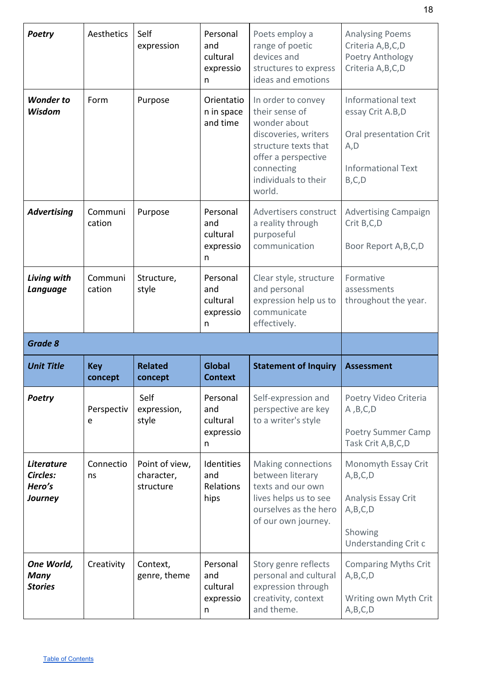| <b>Poetry</b>                                      | Aesthetics            | Self<br>expression                        | Personal<br>and<br>cultural<br>expressio<br>n | Poets employ a<br>range of poetic<br>devices and<br>structures to express<br>ideas and emotions                                                                             | <b>Analysing Poems</b><br>Criteria A, B, C, D<br>Poetry Anthology<br>Criteria A, B, C, D                          |
|----------------------------------------------------|-----------------------|-------------------------------------------|-----------------------------------------------|-----------------------------------------------------------------------------------------------------------------------------------------------------------------------------|-------------------------------------------------------------------------------------------------------------------|
| <b>Wonder to</b><br>Wisdom                         | Form                  | Purpose                                   | Orientatio<br>n in space<br>and time          | In order to convey<br>their sense of<br>wonder about<br>discoveries, writers<br>structure texts that<br>offer a perspective<br>connecting<br>individuals to their<br>world. | Informational text<br>essay Crit A.B, D<br>Oral presentation Crit<br>A, D<br><b>Informational Text</b><br>B, C, D |
| <b>Advertising</b>                                 | Communi<br>cation     | Purpose                                   | Personal<br>and<br>cultural<br>expressio<br>n | Advertisers construct<br>a reality through<br>purposeful<br>communication                                                                                                   | <b>Advertising Campaign</b><br>Crit B,C,D<br>Boor Report A, B, C, D                                               |
| Living with<br>Language                            | Communi<br>cation     | Structure,<br>style                       | Personal<br>and<br>cultural<br>expressio<br>n | Clear style, structure<br>and personal<br>expression help us to<br>communicate<br>effectively.                                                                              | Formative<br>assessments<br>throughout the year.                                                                  |
| Grade 8                                            |                       |                                           |                                               |                                                                                                                                                                             |                                                                                                                   |
|                                                    |                       |                                           |                                               |                                                                                                                                                                             |                                                                                                                   |
| <b>Unit Title</b>                                  | <b>Key</b><br>concept | <b>Related</b><br>concept                 | <b>Global</b><br><b>Context</b>               | <b>Statement of Inquiry</b>                                                                                                                                                 | <b>Assessment</b>                                                                                                 |
| <b>Poetry</b>                                      | Perspectiv<br>e       | Self<br>expression,<br>style              | Personal<br>and<br>cultural<br>expressio<br>n | Self-expression and<br>perspective are key<br>to a writer's style                                                                                                           | Poetry Video Criteria<br>A, B, C, D<br>Poetry Summer Camp<br>Task Crit A, B, C, D                                 |
| <b>Literature</b><br>Circles:<br>Hero's<br>Journey | Connectio<br>ns       | Point of view,<br>character,<br>structure | Identities<br>and<br>Relations<br>hips        | Making connections<br>between literary<br>texts and our own<br>lives helps us to see<br>ourselves as the hero<br>of our own journey.                                        | Monomyth Essay Crit<br>A, B, C, D<br>Analysis Essay Crit<br>A, B, C, D<br>Showing<br>Understanding Crit c         |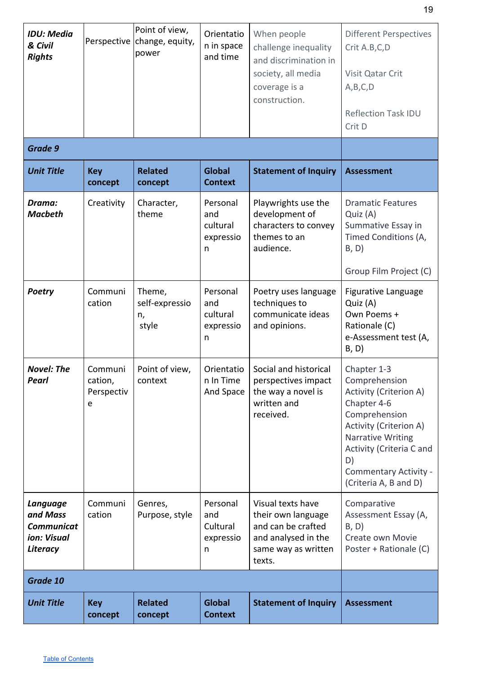| <b>IDU: Media</b><br>& Civil<br><b>Rights</b>                        |                                                 | Point of view,<br>Perspective change, equity,<br>power | Orientatio<br>n in space<br>and time          | When people<br>challenge inequality<br>and discrimination in<br>society, all media<br>coverage is a<br>construction.  | <b>Different Perspectives</b><br>Crit A.B,C,D<br>Visit Qatar Crit<br>A, B, C, D<br><b>Reflection Task IDU</b><br>Crit D                                                                                                                               |
|----------------------------------------------------------------------|-------------------------------------------------|--------------------------------------------------------|-----------------------------------------------|-----------------------------------------------------------------------------------------------------------------------|-------------------------------------------------------------------------------------------------------------------------------------------------------------------------------------------------------------------------------------------------------|
| Grade 9                                                              |                                                 |                                                        |                                               |                                                                                                                       |                                                                                                                                                                                                                                                       |
| <b>Unit Title</b>                                                    | <b>Key</b><br>concept                           | <b>Related</b><br>concept                              | <b>Global</b><br><b>Context</b>               | <b>Statement of Inquiry</b>                                                                                           | <b>Assessment</b>                                                                                                                                                                                                                                     |
| Drama:<br><b>Macbeth</b>                                             | Creativity                                      | Character,<br>theme                                    | Personal<br>and<br>cultural<br>expressio<br>n | Playwrights use the<br>development of<br>characters to convey<br>themes to an<br>audience.                            | <b>Dramatic Features</b><br>Quiz (A)<br>Summative Essay in<br>Timed Conditions (A,<br>B, D)<br>Group Film Project (C)                                                                                                                                 |
| <b>Poetry</b>                                                        | Communi<br>cation                               | Theme,<br>self-expressio<br>n,<br>style                | Personal<br>and<br>cultural<br>expressio<br>n | Poetry uses language<br>techniques to<br>communicate ideas<br>and opinions.                                           | Figurative Language<br>Quiz (A)<br>Own Poems +<br>Rationale (C)<br>e-Assessment test (A,<br>B, D)                                                                                                                                                     |
| <b>Novel: The</b><br>Pearl                                           | Communi<br>cation,<br>Perspectiv<br>$\mathsf e$ | Point of view,<br>context                              | Orientatio<br>n In Time<br>And Space          | Social and historical<br>perspectives impact<br>the way a novel is<br>written and<br>received.                        | Chapter 1-3<br>Comprehension<br><b>Activity (Criterion A)</b><br>Chapter 4-6<br>Comprehension<br><b>Activity (Criterion A)</b><br><b>Narrative Writing</b><br>Activity (Criteria C and<br>D)<br><b>Commentary Activity -</b><br>(Criteria A, B and D) |
| Language<br>and Mass<br><b>Communicat</b><br>ion: Visual<br>Literacy | Communi<br>cation                               | Genres,<br>Purpose, style                              | Personal<br>and<br>Cultural<br>expressio<br>n | Visual texts have<br>their own language<br>and can be crafted<br>and analysed in the<br>same way as written<br>texts. | Comparative<br>Assessment Essay (A,<br>B, D)<br>Create own Movie<br>Poster + Rationale (C)                                                                                                                                                            |
| Grade 10                                                             |                                                 |                                                        |                                               |                                                                                                                       |                                                                                                                                                                                                                                                       |
| <b>Unit Title</b>                                                    | <b>Key</b><br>concept                           | <b>Related</b><br>concept                              | <b>Global</b><br><b>Context</b>               | <b>Statement of Inquiry</b>                                                                                           | <b>Assessment</b>                                                                                                                                                                                                                                     |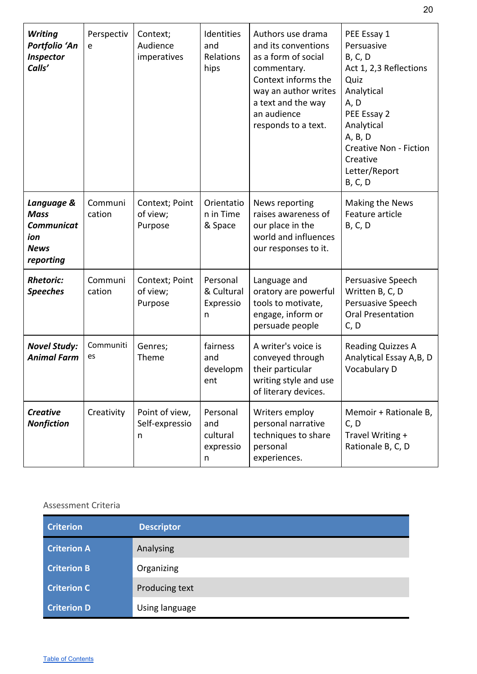| <b>Writing</b><br>Portfolio 'An<br>Inspector<br>Calls'                            | Perspectiv<br>e   | Context;<br>Audience<br>imperatives   | Identities<br>and<br>Relations<br>hips        | Authors use drama<br>and its conventions<br>as a form of social<br>commentary.<br>Context informs the<br>way an author writes<br>a text and the way<br>an audience<br>responds to a text. | PEE Essay 1<br>Persuasive<br><b>B, C, D</b><br>Act 1, 2,3 Reflections<br>Quiz<br>Analytical<br>A, D<br>PEE Essay 2<br>Analytical<br>A, B, D<br><b>Creative Non - Fiction</b><br>Creative<br>Letter/Report<br><b>B, C, D</b> |
|-----------------------------------------------------------------------------------|-------------------|---------------------------------------|-----------------------------------------------|-------------------------------------------------------------------------------------------------------------------------------------------------------------------------------------------|-----------------------------------------------------------------------------------------------------------------------------------------------------------------------------------------------------------------------------|
| Language &<br><b>Mass</b><br><b>Communicat</b><br>ion<br><b>News</b><br>reporting | Communi<br>cation | Context; Point<br>of view;<br>Purpose | Orientatio<br>n in Time<br>& Space            | News reporting<br>raises awareness of<br>our place in the<br>world and influences<br>our responses to it.                                                                                 | Making the News<br>Feature article<br><b>B, C, D</b>                                                                                                                                                                        |
| <b>Rhetoric:</b><br><b>Speeches</b>                                               | Communi<br>cation | Context; Point<br>of view;<br>Purpose | Personal<br>& Cultural<br>Expressio<br>n      | Language and<br>oratory are powerful<br>tools to motivate,<br>engage, inform or<br>persuade people                                                                                        | Persuasive Speech<br>Written B, C, D<br>Persuasive Speech<br><b>Oral Presentation</b><br>C, D                                                                                                                               |
| <b>Novel Study:</b><br><b>Animal Farm</b>                                         | Communiti<br>es   | Genres;<br>Theme                      | fairness<br>and<br>developm<br>ent            | A writer's voice is<br>conveyed through<br>their particular<br>writing style and use<br>of literary devices.                                                                              | Reading Quizzes A<br>Analytical Essay A, B, D<br>Vocabulary D                                                                                                                                                               |
| <b>Creative</b><br><b>Nonfiction</b>                                              | Creativity        | Point of view,<br>Self-expressio<br>n | Personal<br>and<br>cultural<br>expressio<br>n | Writers employ<br>personal narrative<br>techniques to share<br>personal<br>experiences.                                                                                                   | Memoir + Rationale B,<br>C, D<br>Travel Writing +<br>Rationale B, C, D                                                                                                                                                      |

<span id="page-20-1"></span><span id="page-20-0"></span>

| <b>Criterion</b>   | <b>Descriptor</b> |
|--------------------|-------------------|
| <b>Criterion A</b> | Analysing         |
| <b>Criterion B</b> | Organizing        |
| <b>Criterion C</b> | Producing text    |
| <b>Criterion D</b> | Using language    |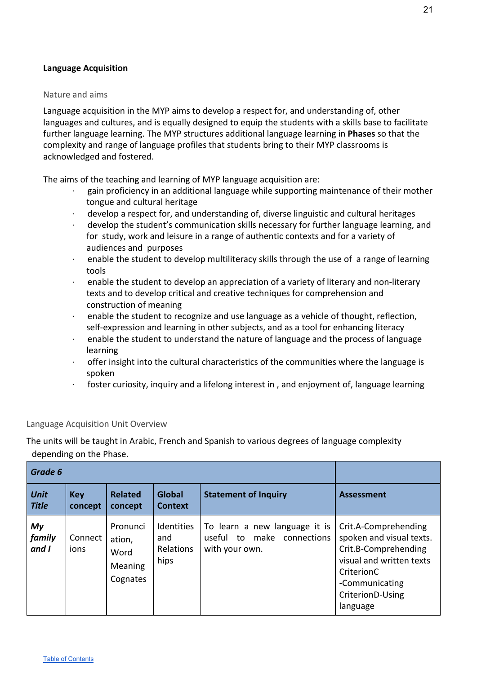#### <span id="page-21-0"></span>**Language Acquisition**

#### <span id="page-21-1"></span>Nature and aims

Language acquisition in the MYP aims to develop a respect for, and understanding of, other languages and cultures, and is equally designed to equip the students with a skills base to facilitate further language learning. The MYP structures additional language learning in **Phases** so that the complexity and range of language profiles that students bring to their MYP classrooms is acknowledged and fostered.

The aims of the teaching and learning of MYP language acquisition are:

- gain proficiency in an additional language while supporting maintenance of their mother tongue and cultural heritage
- · develop a respect for, and understanding of, diverse linguistic and cultural heritages
- develop the student's communication skills necessary for further language learning, and for study, work and leisure in a range of authentic contexts and for a variety of audiences and purposes
- $\cdot$  enable the student to develop multiliteracy skills through the use of a range of learning tools
- · enable the student to develop an appreciation of a variety of literary and non-literary texts and to develop critical and creative techniques for comprehension and construction of meaning
- · enable the student to recognize and use language as a vehicle of thought, reflection, self-expression and learning in other subjects, and as a tool for enhancing literacy
- · enable the student to understand the nature of language and the process of language learning
- · offer insight into the cultural characteristics of the communities where the language is spoken
- foster curiosity, inquiry and a lifelong interest in, and enjoyment of, language learning

#### Language Acquisition Unit Overview

The units will be taught in Arabic, French and Spanish to various degrees of language complexity depending on the Phase.

| Grade 6                     |                       |                                                          |                                                      |                                                                                  |                                                                                                                                                                      |
|-----------------------------|-----------------------|----------------------------------------------------------|------------------------------------------------------|----------------------------------------------------------------------------------|----------------------------------------------------------------------------------------------------------------------------------------------------------------------|
| <b>Unit</b><br><b>Title</b> | <b>Key</b><br>concept | <b>Related</b><br>concept                                | <b>Global</b><br><b>Context</b>                      | <b>Statement of Inquiry</b>                                                      | <b>Assessment</b>                                                                                                                                                    |
| My<br>family<br>and I       | Connect<br>ions       | Pronunci<br>ation,<br>Word<br><b>Meaning</b><br>Cognates | <b>Identities</b><br>and<br><b>Relations</b><br>hips | To learn a new language it is<br>make connections<br>useful to<br>with your own. | Crit.A-Comprehending<br>spoken and visual texts.<br>Crit.B-Comprehending<br>visual and written texts<br>CriterionC<br>-Communicating<br>CriterionD-Using<br>language |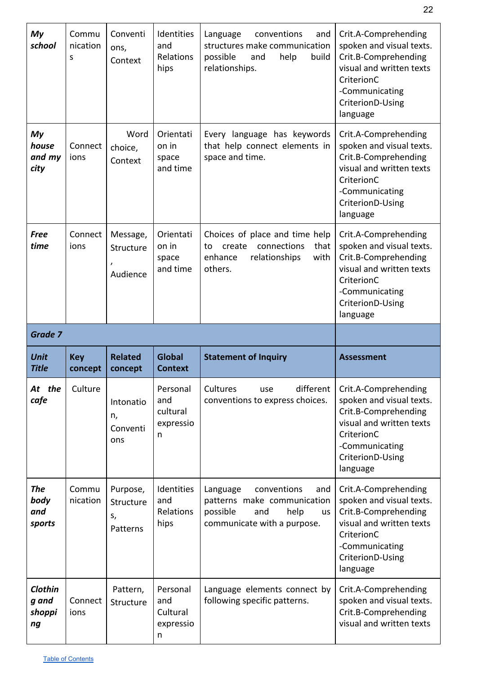| My<br>school                        | Commu<br>nication<br>S | Conventi<br>ons,<br>Context             | Identities<br>and<br>Relations<br>hips        | Language<br>conventions<br>and<br>structures make communication<br>possible<br>help<br>and<br>build<br>relationships.         | Crit.A-Comprehending<br>spoken and visual texts.<br>Crit.B-Comprehending<br>visual and written texts<br>CriterionC<br>-Communicating<br>CriterionD-Using<br>language |
|-------------------------------------|------------------------|-----------------------------------------|-----------------------------------------------|-------------------------------------------------------------------------------------------------------------------------------|----------------------------------------------------------------------------------------------------------------------------------------------------------------------|
| My<br>house<br>and my<br>city       | Connect<br>ions        | Word<br>choice,<br>Context              | Orientati<br>on in<br>space<br>and time       | Every language has keywords<br>that help connect elements in<br>space and time.                                               | Crit.A-Comprehending<br>spoken and visual texts.<br>Crit.B-Comprehending<br>visual and written texts<br>CriterionC<br>-Communicating<br>CriterionD-Using<br>language |
| <b>Free</b><br>time                 | Connect<br>ions        | Message,<br>Structure<br>Audience       | Orientati<br>on in<br>space<br>and time       | Choices of place and time help<br>that<br>create<br>connections<br>to<br>enhance<br>relationships<br>with<br>others.          | Crit.A-Comprehending<br>spoken and visual texts.<br>Crit.B-Comprehending<br>visual and written texts<br>CriterionC<br>-Communicating<br>CriterionD-Using<br>language |
| Grade 7                             |                        |                                         |                                               |                                                                                                                               |                                                                                                                                                                      |
|                                     |                        |                                         |                                               |                                                                                                                               |                                                                                                                                                                      |
| <b>Unit</b><br><b>Title</b>         | <b>Key</b><br>concept  | <b>Related</b><br>concept               | <b>Global</b><br><b>Context</b>               | <b>Statement of Inquiry</b>                                                                                                   | <b>Assessment</b>                                                                                                                                                    |
| At the<br>cafe                      | Culture                | Intonatio<br>n,<br>Conventi<br>ons      | Personal<br>and<br>cultural<br>expressio<br>n | different<br>Cultures<br>use<br>conventions to express choices.                                                               | Crit.A-Comprehending<br>spoken and visual texts.<br>Crit.B-Comprehending<br>visual and written texts<br>CriterionC<br>-Communicating<br>CriterionD-Using<br>language |
| <b>The</b><br>body<br>and<br>sports | Commu<br>nication      | Purpose,<br>Structure<br>S,<br>Patterns | Identities<br>and<br>Relations<br>hips        | conventions<br>Language<br>and<br>patterns make communication<br>possible<br>help<br>and<br>us<br>communicate with a purpose. | Crit.A-Comprehending<br>spoken and visual texts.<br>Crit.B-Comprehending<br>visual and written texts<br>CriterionC<br>-Communicating<br>CriterionD-Using<br>language |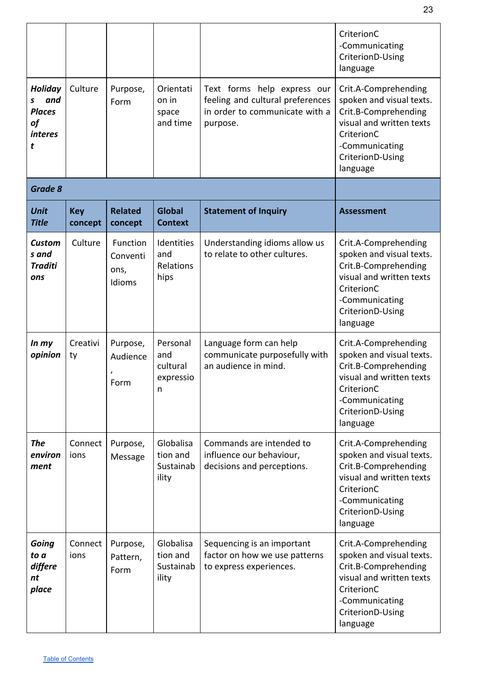|                                                                          |                       |                                        |                                               |                                                                                                               | CriterionC<br>-Communicating<br>CriterionD-Using<br>language                                                                                                         |
|--------------------------------------------------------------------------|-----------------------|----------------------------------------|-----------------------------------------------|---------------------------------------------------------------------------------------------------------------|----------------------------------------------------------------------------------------------------------------------------------------------------------------------|
| <b>Holiday</b><br>and<br>s<br><b>Places</b><br>of<br><i>interes</i><br>t | Culture               | Purpose,<br>Form                       | Orientati<br>on in<br>space<br>and time       | Text forms help express our<br>feeling and cultural preferences<br>in order to communicate with a<br>purpose. | Crit.A-Comprehending<br>spoken and visual texts.<br>Crit.B-Comprehending<br>visual and written texts<br>CriterionC<br>-Communicating<br>CriterionD-Using<br>language |
| Grade 8                                                                  |                       |                                        |                                               |                                                                                                               |                                                                                                                                                                      |
| <b>Unit</b><br><b>Title</b>                                              | <b>Key</b><br>concept | <b>Related</b><br>concept              | <b>Global</b><br><b>Context</b>               | <b>Statement of Inquiry</b>                                                                                   | <b>Assessment</b>                                                                                                                                                    |
| <b>Custom</b><br>s and<br><b>Traditi</b><br>ons                          | Culture               | Function<br>Conventi<br>ons,<br>Idioms | Identities<br>and<br>Relations<br>hips        | Understanding idioms allow us<br>to relate to other cultures.                                                 | Crit.A-Comprehending<br>spoken and visual texts.<br>Crit.B-Comprehending<br>visual and written texts<br>CriterionC<br>-Communicating<br>CriterionD-Using<br>language |
| In my<br>opinion                                                         | Creativi<br>ty        | Purpose,<br>Audience<br>,<br>Form      | Personal<br>and<br>cultural<br>expressio<br>n | Language form can help<br>communicate purposefully with<br>an audience in mind.                               | Crit.A-Comprehending<br>spoken and visual texts.<br>Crit.B-Comprehending<br>visual and written texts<br>CriterionC<br>-Communicating<br>CriterionD-Using<br>language |
| <b>The</b><br>environ<br>ment                                            | Connect<br>ions       | Purpose,<br>Message                    | Globalisa<br>tion and<br>Sustainab<br>ility   | Commands are intended to<br>influence our behaviour,<br>decisions and perceptions.                            | Crit.A-Comprehending<br>spoken and visual texts.<br>Crit.B-Comprehending<br>visual and written texts<br>CriterionC<br>-Communicating<br>CriterionD-Using<br>language |
| Going<br>to a<br>differe<br>nt<br>place                                  | Connect<br>ions       | Purpose,<br>Pattern,<br>Form           | Globalisa<br>tion and<br>Sustainab<br>ility   | Sequencing is an important<br>factor on how we use patterns<br>to express experiences.                        | Crit.A-Comprehending<br>spoken and visual texts.<br>Crit.B-Comprehending<br>visual and written texts<br>CriterionC<br>-Communicating<br>CriterionD-Using<br>language |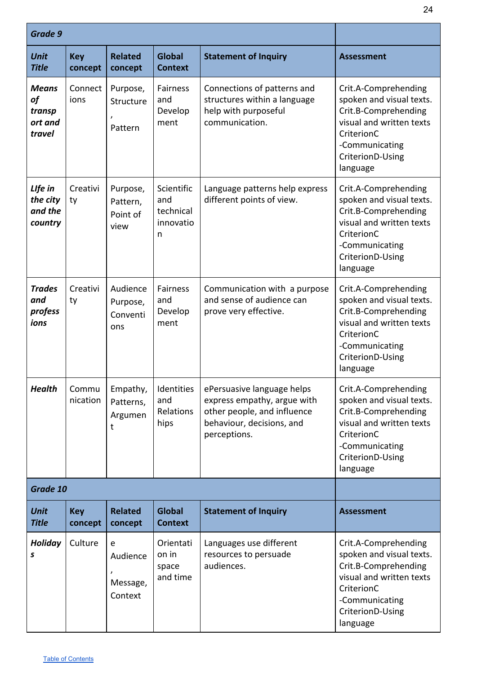| Grade 9                                           |                       |                                          |                                                  |                                                                                                                                       |                                                                                                                                                                      |
|---------------------------------------------------|-----------------------|------------------------------------------|--------------------------------------------------|---------------------------------------------------------------------------------------------------------------------------------------|----------------------------------------------------------------------------------------------------------------------------------------------------------------------|
| <b>Unit</b><br><b>Title</b>                       | <b>Key</b><br>concept | <b>Related</b><br>concept                | <b>Global</b><br><b>Context</b>                  | <b>Statement of Inquiry</b>                                                                                                           | <b>Assessment</b>                                                                                                                                                    |
| <b>Means</b><br>of<br>transp<br>ort and<br>travel | Connect<br>ions       | Purpose,<br>Structure<br>Pattern         | Fairness<br>and<br>Develop<br>ment               | Connections of patterns and<br>structures within a language<br>help with purposeful<br>communication.                                 | Crit.A-Comprehending<br>spoken and visual texts.<br>Crit.B-Comprehending<br>visual and written texts<br>CriterionC<br>-Communicating<br>CriterionD-Using<br>language |
| LIfe in<br>the city<br>and the<br>country         | Creativi<br>ty        | Purpose,<br>Pattern,<br>Point of<br>view | Scientific<br>and<br>technical<br>innovatio<br>n | Language patterns help express<br>different points of view.                                                                           | Crit.A-Comprehending<br>spoken and visual texts.<br>Crit.B-Comprehending<br>visual and written texts<br>CriterionC<br>-Communicating<br>CriterionD-Using<br>language |
| <b>Trades</b><br>and<br>profess<br>ions           | Creativi<br>ty        | Audience<br>Purpose,<br>Conventi<br>ons  | Fairness<br>and<br>Develop<br>ment               | Communication with a purpose<br>and sense of audience can<br>prove very effective.                                                    | Crit.A-Comprehending<br>spoken and visual texts.<br>Crit.B-Comprehending<br>visual and written texts<br>CriterionC<br>-Communicating<br>CriterionD-Using<br>language |
| <b>Health</b>                                     | Commu<br>nication     | Empathy,<br>Patterns,<br>Argumen<br>t    | <b>Identities</b><br>and<br>Relations<br>hips    | ePersuasive language helps<br>express empathy, argue with<br>other people, and influence<br>behaviour, decisions, and<br>perceptions. | Crit.A-Comprehending<br>spoken and visual texts.<br>Crit.B-Comprehending<br>visual and written texts<br>CriterionC<br>-Communicating<br>CriterionD-Using<br>language |
| Grade 10                                          |                       |                                          |                                                  |                                                                                                                                       |                                                                                                                                                                      |
| <b>Unit</b><br><b>Title</b>                       | <b>Key</b><br>concept | <b>Related</b><br>concept                | <b>Global</b><br><b>Context</b>                  | <b>Statement of Inquiry</b>                                                                                                           | <b>Assessment</b>                                                                                                                                                    |
| <b>Holiday</b><br>S                               | Culture               | e<br>Audience<br>Message,<br>Context     | Orientati<br>on in<br>space<br>and time          | Languages use different<br>resources to persuade<br>audiences.                                                                        | Crit.A-Comprehending<br>spoken and visual texts.<br>Crit.B-Comprehending<br>visual and written texts<br>CriterionC<br>-Communicating<br>CriterionD-Using<br>language |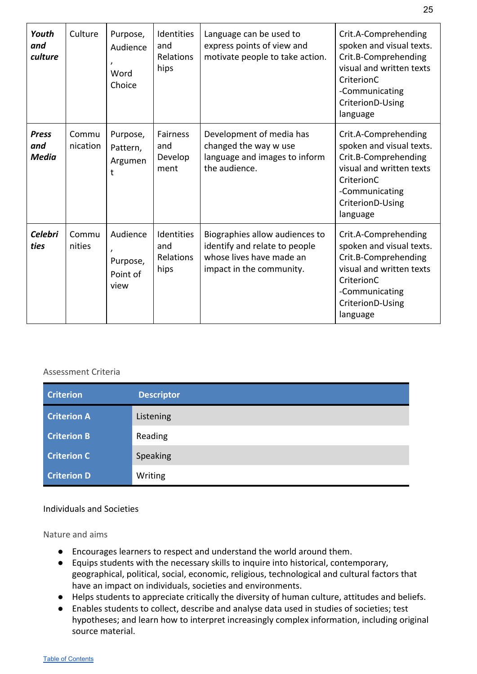| Youth<br>and<br>culture             | Culture           | Purpose,<br>Audience<br>Word<br>Choice   | Identities<br>and<br><b>Relations</b><br>hips | Language can be used to<br>express points of view and<br>motivate people to take action.                                | Crit.A-Comprehending<br>spoken and visual texts.<br>Crit.B-Comprehending<br>visual and written texts<br>CriterionC<br>-Communicating<br>CriterionD-Using<br>language |
|-------------------------------------|-------------------|------------------------------------------|-----------------------------------------------|-------------------------------------------------------------------------------------------------------------------------|----------------------------------------------------------------------------------------------------------------------------------------------------------------------|
| <b>Press</b><br>and<br><b>Media</b> | Commu<br>nication | Purpose,<br>Pattern,<br>Argumen<br>t     | <b>Fairness</b><br>and<br>Develop<br>ment     | Development of media has<br>changed the way w use<br>language and images to inform<br>the audience.                     | Crit.A-Comprehending<br>spoken and visual texts.<br>Crit.B-Comprehending<br>visual and written texts<br>CriterionC<br>-Communicating<br>CriterionD-Using<br>language |
| <b>Celebri</b><br>ties              | Commu<br>nities   | Audience<br>Purpose,<br>Point of<br>view | Identities<br>and<br><b>Relations</b><br>hips | Biographies allow audiences to<br>identify and relate to people<br>whose lives have made an<br>impact in the community. | Crit.A-Comprehending<br>spoken and visual texts.<br>Crit.B-Comprehending<br>visual and written texts<br>CriterionC<br>-Communicating<br>CriterionD-Using<br>language |

<span id="page-25-0"></span>

| <b>Criterion</b>   | <b>Descriptor</b> |
|--------------------|-------------------|
| <b>Criterion A</b> | Listening         |
| <b>Criterion B</b> | Reading           |
| <b>Criterion C</b> | Speaking          |
| <b>Criterion D</b> | Writing           |

#### Individuals and Societies

<span id="page-25-1"></span>Nature and aims

- Encourages learners to respect and understand the world around them.
- Equips students with the necessary skills to inquire into historical, contemporary, geographical, political, social, economic, religious, technological and cultural factors that have an impact on individuals, societies and environments.
- Helps students to appreciate critically the diversity of human culture, attitudes and beliefs.
- Enables students to collect, describe and analyse data used in studies of societies; test hypotheses; and learn how to interpret increasingly complex information, including original source material.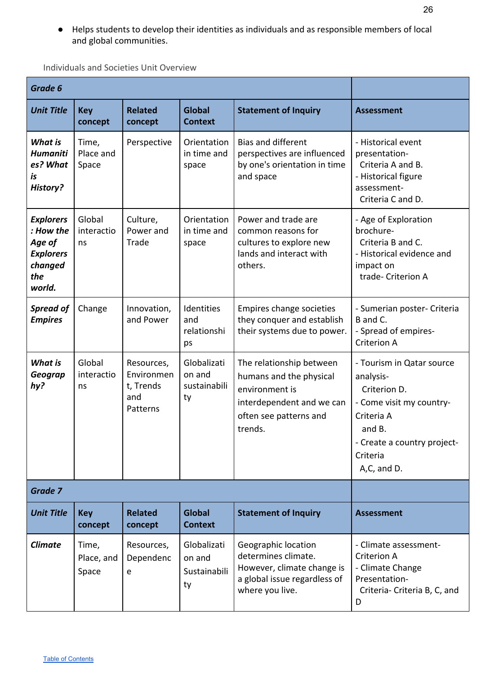● Helps students to develop their identities as individuals and as responsible members of local and global communities.

<span id="page-26-0"></span>Individuals and Societies Unit Overview

| Grade 6                                                                                 |                              |                                                          |                                             |                                                                                                                                         |                                                                                                                                                                      |
|-----------------------------------------------------------------------------------------|------------------------------|----------------------------------------------------------|---------------------------------------------|-----------------------------------------------------------------------------------------------------------------------------------------|----------------------------------------------------------------------------------------------------------------------------------------------------------------------|
| <b>Unit Title</b>                                                                       | <b>Key</b><br>concept        | <b>Related</b><br>concept                                | <b>Global</b><br><b>Context</b>             | <b>Statement of Inquiry</b>                                                                                                             | <b>Assessment</b>                                                                                                                                                    |
| <b>What is</b><br><b>Humaniti</b><br>es? What<br>is<br>History?                         | Time,<br>Place and<br>Space  | Perspective                                              | Orientation<br>in time and<br>space         | <b>Bias and different</b><br>perspectives are influenced<br>by one's orientation in time<br>and space                                   | - Historical event<br>presentation-<br>Criteria A and B.<br>- Historical figure<br>assessment-<br>Criteria C and D.                                                  |
| <b>Explorers</b><br>: How the<br>Age of<br><b>Explorers</b><br>changed<br>the<br>world. | Global<br>interactio<br>ns   | Culture,<br>Power and<br>Trade                           | Orientation<br>in time and<br>space         | Power and trade are<br>common reasons for<br>cultures to explore new<br>lands and interact with<br>others.                              | - Age of Exploration<br>brochure-<br>Criteria B and C.<br>- Historical evidence and<br>impact on<br>trade- Criterion A                                               |
| <b>Spread of</b><br><b>Empires</b>                                                      | Change                       | Innovation,<br>and Power                                 | Identities<br>and<br>relationshi<br>ps      | Empires change societies<br>they conquer and establish<br>their systems due to power.                                                   | - Sumerian poster- Criteria<br>B and C.<br>- Spread of empires-<br><b>Criterion A</b>                                                                                |
| <b>What is</b><br>Geograp<br>hy?                                                        | Global<br>interactio<br>ns   | Resources,<br>Environmen<br>t, Trends<br>and<br>Patterns | Globalizati<br>on and<br>sustainabili<br>ty | The relationship between<br>humans and the physical<br>environment is<br>interdependent and we can<br>often see patterns and<br>trends. | - Tourism in Qatar source<br>analysis-<br>Criterion D.<br>- Come visit my country-<br>Criteria A<br>and B.<br>- Create a country project-<br>Criteria<br>A,C, and D. |
| Grade 7                                                                                 |                              |                                                          |                                             |                                                                                                                                         |                                                                                                                                                                      |
| <b>Unit Title</b>                                                                       | <b>Key</b><br>concept        | <b>Related</b><br>concept                                | <b>Global</b><br><b>Context</b>             | <b>Statement of Inquiry</b>                                                                                                             | <b>Assessment</b>                                                                                                                                                    |
| <b>Climate</b>                                                                          | Time,<br>Place, and<br>Space | Resources,<br>Dependenc<br>e                             | Globalizati<br>on and<br>Sustainabili<br>ty | Geographic location<br>determines climate.<br>However, climate change is<br>a global issue regardless of<br>where you live.             | - Climate assessment-<br><b>Criterion A</b><br>- Climate Change<br>Presentation-<br>Criteria- Criteria B, C, and<br>D                                                |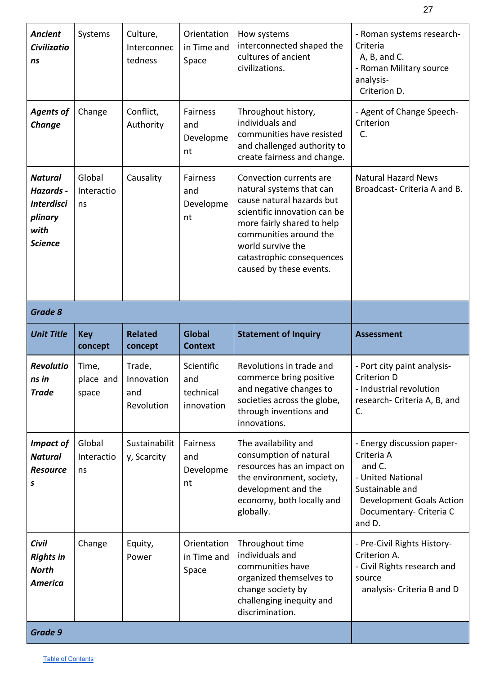| <b>Ancient</b><br><b>Civilizatio</b><br>ns                                            | Systems                     | Culture,<br>Interconnec<br>tedness        | Orientation<br>in Time and<br>Space          | How systems<br>interconnected shaped the<br>cultures of ancient<br>civilizations.                                                                                                                                                                     | - Roman systems research-<br>Criteria<br>A, B, and C.<br>- Roman Military source<br>analysis-<br>Criterion D.                                               |
|---------------------------------------------------------------------------------------|-----------------------------|-------------------------------------------|----------------------------------------------|-------------------------------------------------------------------------------------------------------------------------------------------------------------------------------------------------------------------------------------------------------|-------------------------------------------------------------------------------------------------------------------------------------------------------------|
| <b>Agents of</b><br>Change                                                            | Change                      | Conflict,<br>Authority                    | <b>Fairness</b><br>and<br>Developme<br>nt    | Throughout history,<br>individuals and<br>communities have resisted<br>and challenged authority to<br>create fairness and change.                                                                                                                     | - Agent of Change Speech-<br>Criterion<br>C.                                                                                                                |
| <b>Natural</b><br>Hazards -<br><b>Interdisci</b><br>plinary<br>with<br><b>Science</b> | Global<br>Interactio<br>ns  | Causality                                 | Fairness<br>and<br>Developme<br>nt           | Convection currents are<br>natural systems that can<br>cause natural hazards but<br>scientific innovation can be<br>more fairly shared to help<br>communities around the<br>world survive the<br>catastrophic consequences<br>caused by these events. | <b>Natural Hazard News</b><br>Broadcast-Criteria A and B.                                                                                                   |
| <b>Grade 8</b>                                                                        |                             |                                           |                                              |                                                                                                                                                                                                                                                       |                                                                                                                                                             |
|                                                                                       |                             |                                           |                                              |                                                                                                                                                                                                                                                       |                                                                                                                                                             |
| <b>Unit Title</b>                                                                     | <b>Key</b><br>concept       | <b>Related</b><br>concept                 | <b>Global</b><br><b>Context</b>              | <b>Statement of Inquiry</b>                                                                                                                                                                                                                           | <b>Assessment</b>                                                                                                                                           |
| <b>Revolutio</b><br>ns in<br><b>Trade</b>                                             | Time,<br>place and<br>space | Trade,<br>Innovation<br>and<br>Revolution | Scientific<br>and<br>technical<br>innovation | Revolutions in trade and<br>commerce bring positive<br>and negative changes to<br>societies across the globe,<br>through inventions and<br>innovations.                                                                                               | - Port city paint analysis-<br>Criterion D<br>- Industrial revolution<br>research- Criteria A, B, and<br>C.                                                 |
| <b>Impact of</b><br><b>Natural</b><br><b>Resource</b><br>S                            | Global<br>Interactio<br>ns  | Sustainabilit<br>y, Scarcity              | Fairness<br>and<br>Developme<br>nt           | The availability and<br>consumption of natural<br>resources has an impact on<br>the environment, society,<br>development and the<br>economy, both locally and<br>globally.                                                                            | - Energy discussion paper-<br>Criteria A<br>and C.<br>- United National<br>Sustainable and<br>Development Goals Action<br>Documentary- Criteria C<br>and D. |
| <b>Civil</b><br><b>Rights in</b><br><b>North</b><br><b>America</b>                    | Change                      | Equity,<br>Power                          | Orientation<br>in Time and<br>Space          | Throughout time<br>individuals and<br>communities have<br>organized themselves to<br>change society by<br>challenging inequity and<br>discrimination.                                                                                                 | - Pre-Civil Rights History-<br>Criterion A.<br>- Civil Rights research and<br>source<br>analysis- Criteria B and D                                          |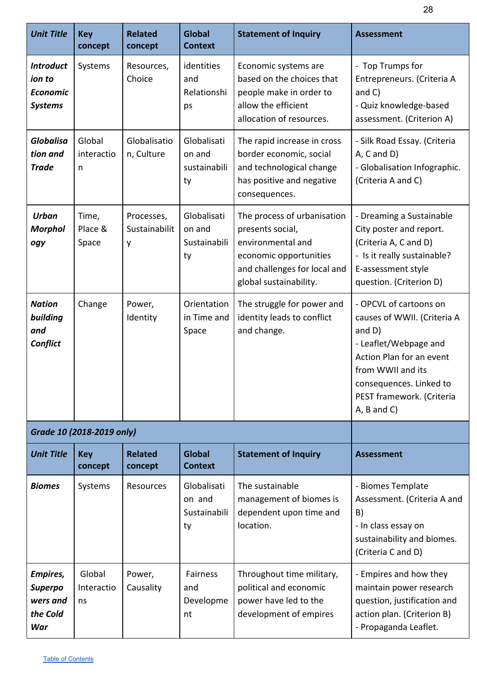| <b>Unit Title</b>                                               | <b>Key</b><br>concept      | <b>Related</b><br>concept        | <b>Global</b><br><b>Context</b>             | <b>Statement of Inquiry</b>                                                                                                                              | <b>Assessment</b>                                                                                                                                                                                                           |
|-----------------------------------------------------------------|----------------------------|----------------------------------|---------------------------------------------|----------------------------------------------------------------------------------------------------------------------------------------------------------|-----------------------------------------------------------------------------------------------------------------------------------------------------------------------------------------------------------------------------|
| <b>Introduct</b><br>ion to<br><b>Economic</b><br><b>Systems</b> | Systems                    | Resources,<br>Choice             | identities<br>and<br>Relationshi<br>ps      | Economic systems are<br>based on the choices that<br>people make in order to<br>allow the efficient<br>allocation of resources.                          | - Top Trumps for<br>Entrepreneurs. (Criteria A<br>and $C$ )<br>- Quiz knowledge-based<br>assessment. (Criterion A)                                                                                                          |
| <b>Globalisa</b><br>tion and<br><b>Trade</b>                    | Global<br>interactio<br>n  | Globalisatio<br>n, Culture       | Globalisati<br>on and<br>sustainabili<br>ty | The rapid increase in cross<br>border economic, social<br>and technological change<br>has positive and negative<br>consequences.                         | - Silk Road Essay. (Criteria<br>$A, C$ and $D$ )<br>- Globalisation Infographic.<br>(Criteria A and C)                                                                                                                      |
| <b>Urban</b><br><b>Morphol</b><br>ogy                           | Time,<br>Place &<br>Space  | Processes,<br>Sustainabilit<br>у | Globalisati<br>on and<br>Sustainabili<br>ty | The process of urbanisation<br>presents social,<br>environmental and<br>economic opportunities<br>and challenges for local and<br>global sustainability. | - Dreaming a Sustainable<br>City poster and report.<br>(Criteria A, C and D)<br>- Is it really sustainable?<br>E-assessment style<br>question. (Criterion D)                                                                |
| <b>Nation</b><br>building<br>and<br>Conflict                    | Change                     | Power,<br>Identity               | Orientation<br>in Time and<br>Space         | The struggle for power and<br>identity leads to conflict<br>and change.                                                                                  | - OPCVL of cartoons on<br>causes of WWII. (Criteria A<br>and $D$ )<br>- Leaflet/Webpage and<br>Action Plan for an event<br>from WWII and its<br>consequences. Linked to<br>PEST framework. (Criteria<br>$A$ , $B$ and $C$ ) |
|                                                                 | Grade 10 (2018-2019 only)  |                                  |                                             |                                                                                                                                                          |                                                                                                                                                                                                                             |
| <b>Unit Title</b>                                               | <b>Key</b><br>concept      | <b>Related</b><br>concept        | <b>Global</b><br><b>Context</b>             | <b>Statement of Inquiry</b>                                                                                                                              | <b>Assessment</b>                                                                                                                                                                                                           |
| <b>Biomes</b>                                                   | Systems                    | Resources                        | Globalisati<br>on and<br>Sustainabili<br>ty | The sustainable<br>management of biomes is<br>dependent upon time and<br>location.                                                                       | - Biomes Template<br>Assessment. (Criteria A and<br>B)<br>- In class essay on<br>sustainability and biomes.<br>(Criteria C and D)                                                                                           |
| Empires,<br><b>Superpo</b><br>wers and<br>the Cold<br>War       | Global<br>Interactio<br>ns | Power,<br>Causality              | Fairness<br>and<br>Developme<br>nt          | Throughout time military,<br>political and economic<br>power have led to the<br>development of empires                                                   | - Empires and how they<br>maintain power research<br>question, justification and<br>action plan. (Criterion B)<br>- Propaganda Leaflet.                                                                                     |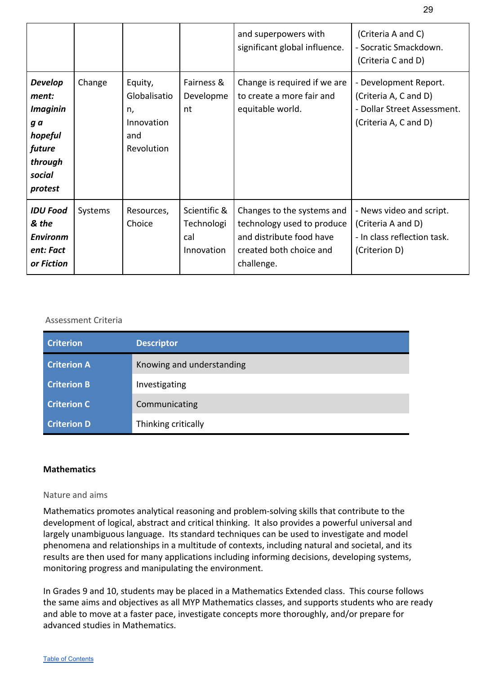|                                                                                                        |         |                                                                  |                                                 | and superpowers with<br>significant global influence.                                                                         | (Criteria A and C)<br>- Socratic Smackdown.<br>(Criteria C and D)                                      |
|--------------------------------------------------------------------------------------------------------|---------|------------------------------------------------------------------|-------------------------------------------------|-------------------------------------------------------------------------------------------------------------------------------|--------------------------------------------------------------------------------------------------------|
| <b>Develop</b><br>ment:<br><b>Imaginin</b><br>g a<br>hopeful<br>future<br>through<br>social<br>protest | Change  | Equity,<br>Globalisatio<br>n,<br>Innovation<br>and<br>Revolution | Fairness &<br>Developme<br>nt                   | Change is required if we are<br>to create a more fair and<br>equitable world.                                                 | - Development Report.<br>(Criteria A, C and D)<br>- Dollar Street Assessment.<br>(Criteria A, C and D) |
| <b>IDU Food</b><br>& the<br><b>Environm</b><br>ent: Fact<br>or Fiction                                 | Systems | Resources,<br>Choice                                             | Scientific &<br>Technologi<br>cal<br>Innovation | Changes to the systems and<br>technology used to produce<br>and distribute food have<br>created both choice and<br>challenge. | - News video and script.<br>(Criteria A and D)<br>- In class reflection task.<br>(Criterion D)         |

<span id="page-29-0"></span>

| <b>Criterion</b>   | <b>Descriptor</b>         |
|--------------------|---------------------------|
| <b>Criterion A</b> | Knowing and understanding |
| <b>Criterion B</b> | Investigating             |
| <b>Criterion C</b> | Communicating             |
| <b>Criterion D</b> | Thinking critically       |

#### <span id="page-29-1"></span>**Mathematics**

#### <span id="page-29-2"></span>Nature and aims

Mathematics promotes analytical reasoning and problem-solving skills that contribute to the development of logical, abstract and critical thinking. It also provides a powerful universal and largely unambiguous language. Its standard techniques can be used to investigate and model phenomena and relationships in a multitude of contexts, including natural and societal, and its results are then used for many applications including informing decisions, developing systems, monitoring progress and manipulating the environment.

In Grades 9 and 10, students may be placed in a Mathematics Extended class. This course follows the same aims and objectives as all MYP Mathematics classes, and supports students who are ready and able to move at a faster pace, investigate concepts more thoroughly, and/or prepare for advanced studies in Mathematics.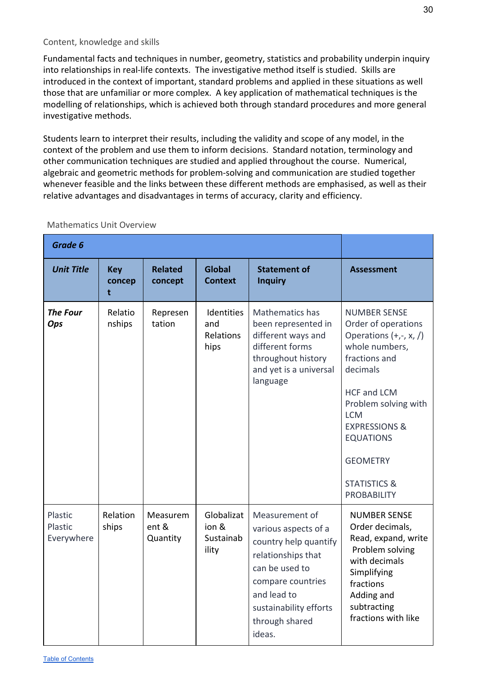#### <span id="page-30-0"></span>Content, knowledge and skills

Fundamental facts and techniques in number, geometry, statistics and probability underpin inquiry into relationships in real-life contexts. The investigative method itself is studied. Skills are introduced in the context of important, standard problems and applied in these situations as well those that are unfamiliar or more complex. A key application of mathematical techniques is the modelling of relationships, which is achieved both through standard procedures and more general investigative methods.

Students learn to interpret their results, including the validity and scope of any model, in the context of the problem and use them to inform decisions. Standard notation, terminology and other communication techniques are studied and applied throughout the course. Numerical, algebraic and geometric methods for problem-solving and communication are studied together whenever feasible and the links between these different methods are emphasised, as well as their relative advantages and disadvantages in terms of accuracy, clarity and efficiency.

| Grade 6                          |                           |                               |                                           |                                                                                                                                                                                                   |                                                                                                                                                                                                                                                                                                       |
|----------------------------------|---------------------------|-------------------------------|-------------------------------------------|---------------------------------------------------------------------------------------------------------------------------------------------------------------------------------------------------|-------------------------------------------------------------------------------------------------------------------------------------------------------------------------------------------------------------------------------------------------------------------------------------------------------|
| <b>Unit Title</b>                | <b>Key</b><br>concep<br>t | <b>Related</b><br>concept     | <b>Global</b><br><b>Context</b>           | <b>Statement of</b><br><b>Inquiry</b>                                                                                                                                                             | <b>Assessment</b>                                                                                                                                                                                                                                                                                     |
| <b>The Four</b><br>Ops           | Relatio<br>nships         | Represen<br>tation            | Identities<br>and<br>Relations<br>hips    | Mathematics has<br>been represented in<br>different ways and<br>different forms<br>throughout history<br>and yet is a universal<br>language                                                       | <b>NUMBER SENSE</b><br>Order of operations<br>Operations $(+,-, x, /)$<br>whole numbers,<br>fractions and<br>decimals<br><b>HCF and LCM</b><br>Problem solving with<br><b>LCM</b><br><b>EXPRESSIONS &amp;</b><br><b>EQUATIONS</b><br><b>GEOMETRY</b><br><b>STATISTICS &amp;</b><br><b>PROBABILITY</b> |
| Plastic<br>Plastic<br>Everywhere | Relation<br>ships         | Measurem<br>ent &<br>Quantity | Globalizat<br>ion &<br>Sustainab<br>ility | Measurement of<br>various aspects of a<br>country help quantify<br>relationships that<br>can be used to<br>compare countries<br>and lead to<br>sustainability efforts<br>through shared<br>ideas. | <b>NUMBER SENSE</b><br>Order decimals,<br>Read, expand, write<br>Problem solving<br>with decimals<br>Simplifying<br>fractions<br>Adding and<br>subtracting<br>fractions with like                                                                                                                     |

#### <span id="page-30-1"></span>Mathematics Unit Overview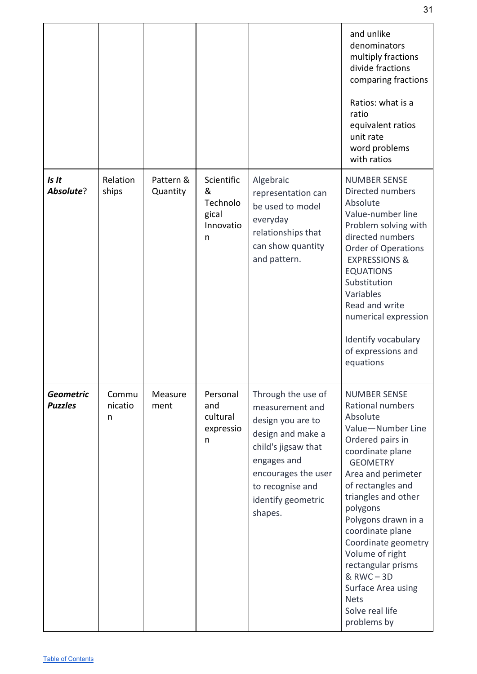|                                    |                       |                       |                                                        |                                                                                                                                                                                                   | and unlike<br>denominators<br>multiply fractions<br>divide fractions<br>comparing fractions<br>Ratios: what is a<br>ratio<br>equivalent ratios<br>unit rate<br>word problems<br>with ratios                                                                                                                                                                                                                     |
|------------------------------------|-----------------------|-----------------------|--------------------------------------------------------|---------------------------------------------------------------------------------------------------------------------------------------------------------------------------------------------------|-----------------------------------------------------------------------------------------------------------------------------------------------------------------------------------------------------------------------------------------------------------------------------------------------------------------------------------------------------------------------------------------------------------------|
| Is It<br>Absolute?                 | Relation<br>ships     | Pattern &<br>Quantity | Scientific<br>&<br>Technolo<br>gical<br>Innovatio<br>n | Algebraic<br>representation can<br>be used to model<br>everyday<br>relationships that<br>can show quantity<br>and pattern.                                                                        | <b>NUMBER SENSE</b><br>Directed numbers<br>Absolute<br>Value-number line<br>Problem solving with<br>directed numbers<br><b>Order of Operations</b><br><b>EXPRESSIONS &amp;</b><br><b>EQUATIONS</b><br>Substitution<br>Variables<br>Read and write<br>numerical expression<br>Identify vocabulary<br>of expressions and<br>equations                                                                             |
| <b>Geometric</b><br><b>Puzzles</b> | Commu<br>nicatio<br>n | Measure<br>ment       | Personal<br>and<br>cultural<br>expressio<br>n          | Through the use of<br>measurement and<br>design you are to<br>design and make a<br>child's jigsaw that<br>engages and<br>encourages the user<br>to recognise and<br>identify geometric<br>shapes. | <b>NUMBER SENSE</b><br>Rational numbers<br>Absolute<br>Value-Number Line<br>Ordered pairs in<br>coordinate plane<br><b>GEOMETRY</b><br>Area and perimeter<br>of rectangles and<br>triangles and other<br>polygons<br>Polygons drawn in a<br>coordinate plane<br>Coordinate geometry<br>Volume of right<br>rectangular prisms<br>& RWC-3D<br>Surface Area using<br><b>Nets</b><br>Solve real life<br>problems by |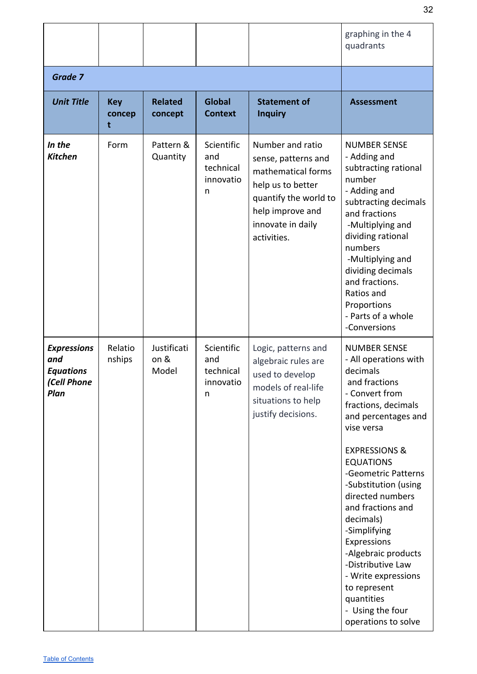|                                                                      |                           |                              |                                                  |                                                                                                                                                                     | graphing in the 4<br>quadrants                                                                                                                                                                                                                                                                                                                                                                                                                                                          |
|----------------------------------------------------------------------|---------------------------|------------------------------|--------------------------------------------------|---------------------------------------------------------------------------------------------------------------------------------------------------------------------|-----------------------------------------------------------------------------------------------------------------------------------------------------------------------------------------------------------------------------------------------------------------------------------------------------------------------------------------------------------------------------------------------------------------------------------------------------------------------------------------|
| <b>Grade 7</b>                                                       |                           |                              |                                                  |                                                                                                                                                                     |                                                                                                                                                                                                                                                                                                                                                                                                                                                                                         |
| <b>Unit Title</b>                                                    | <b>Key</b><br>concep<br>t | <b>Related</b><br>concept    | <b>Global</b><br><b>Context</b>                  | <b>Statement of</b><br><b>Inquiry</b>                                                                                                                               | <b>Assessment</b>                                                                                                                                                                                                                                                                                                                                                                                                                                                                       |
| In the<br><b>Kitchen</b>                                             | Form                      | Pattern &<br>Quantity        | Scientific<br>and<br>technical<br>innovatio<br>n | Number and ratio<br>sense, patterns and<br>mathematical forms<br>help us to better<br>quantify the world to<br>help improve and<br>innovate in daily<br>activities. | <b>NUMBER SENSE</b><br>- Adding and<br>subtracting rational<br>number<br>- Adding and<br>subtracting decimals<br>and fractions<br>-Multiplying and<br>dividing rational<br>numbers<br>-Multiplying and<br>dividing decimals<br>and fractions.<br>Ratios and<br>Proportions<br>- Parts of a whole<br>-Conversions                                                                                                                                                                        |
| <b>Expressions</b><br>and<br><b>Equations</b><br>(Cell Phone<br>Plan | Relatio<br>nships         | Justificati<br>on &<br>Model | Scientific<br>and<br>technical<br>innovatio<br>n | Logic, patterns and<br>algebraic rules are<br>used to develop<br>models of real-life<br>situations to help<br>justify decisions.                                    | <b>NUMBER SENSE</b><br>- All operations with<br>decimals<br>and fractions<br>- Convert from<br>fractions, decimals<br>and percentages and<br>vise versa<br><b>EXPRESSIONS &amp;</b><br><b>EQUATIONS</b><br>-Geometric Patterns<br>-Substitution (using<br>directed numbers<br>and fractions and<br>decimals)<br>-Simplifying<br>Expressions<br>-Algebraic products<br>-Distributive Law<br>- Write expressions<br>to represent<br>quantities<br>- Using the four<br>operations to solve |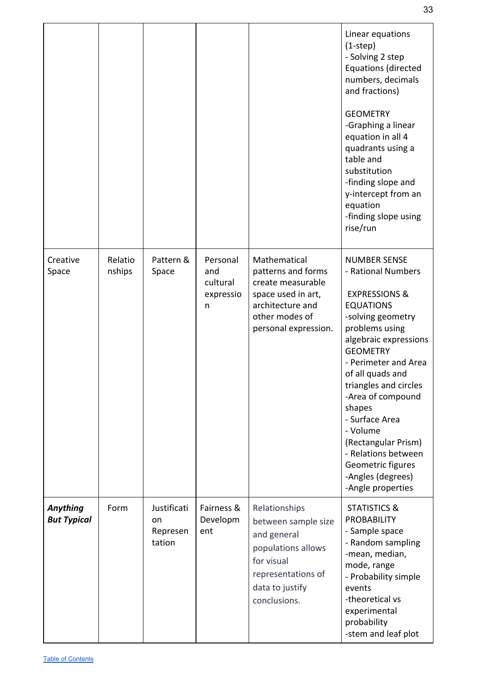|                                |                   |                                         |                                               |                                                                                                                                                  | Linear equations<br>$(1-step)$<br>- Solving 2 step<br><b>Equations (directed</b><br>numbers, decimals<br>and fractions)<br><b>GEOMETRY</b><br>-Graphing a linear<br>equation in all 4<br>quadrants using a<br>table and<br>substitution<br>-finding slope and<br>y-intercept from an                                                                                                                                        |
|--------------------------------|-------------------|-----------------------------------------|-----------------------------------------------|--------------------------------------------------------------------------------------------------------------------------------------------------|-----------------------------------------------------------------------------------------------------------------------------------------------------------------------------------------------------------------------------------------------------------------------------------------------------------------------------------------------------------------------------------------------------------------------------|
|                                |                   |                                         |                                               |                                                                                                                                                  | equation<br>-finding slope using<br>rise/run                                                                                                                                                                                                                                                                                                                                                                                |
| Creative<br>Space              | Relatio<br>nships | Pattern &<br>Space                      | Personal<br>and<br>cultural<br>expressio<br>n | Mathematical<br>patterns and forms<br>create measurable<br>space used in art,<br>architecture and<br>other modes of<br>personal expression.      | <b>NUMBER SENSE</b><br>- Rational Numbers<br><b>EXPRESSIONS &amp;</b><br><b>EQUATIONS</b><br>-solving geometry<br>problems using<br>algebraic expressions<br><b>GEOMETRY</b><br>- Perimeter and Area<br>of all quads and<br>triangles and circles<br>-Area of compound<br>shapes<br>- Surface Area<br>- Volume<br>(Rectangular Prism)<br>- Relations between<br>Geometric figures<br>-Angles (degrees)<br>-Angle properties |
| Anything<br><b>But Typical</b> | Form              | Justificati<br>on<br>Represen<br>tation | Fairness &<br>Developm<br>ent                 | Relationships<br>between sample size<br>and general<br>populations allows<br>for visual<br>representations of<br>data to justify<br>conclusions. | <b>STATISTICS &amp;</b><br><b>PROBABILITY</b><br>- Sample space<br>- Random sampling<br>-mean, median,<br>mode, range<br>- Probability simple<br>events<br>-theoretical vs<br>experimental<br>probability<br>-stem and leaf plot                                                                                                                                                                                            |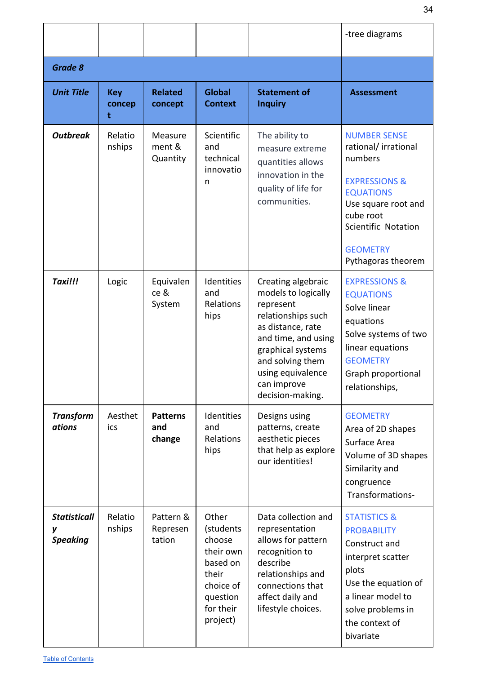|                                        |                           |                                  |                                                                                                                  |                                                                                                                                                                                                                           | -tree diagrams                                                                                                                                                                                            |
|----------------------------------------|---------------------------|----------------------------------|------------------------------------------------------------------------------------------------------------------|---------------------------------------------------------------------------------------------------------------------------------------------------------------------------------------------------------------------------|-----------------------------------------------------------------------------------------------------------------------------------------------------------------------------------------------------------|
| <b>Grade 8</b>                         |                           |                                  |                                                                                                                  |                                                                                                                                                                                                                           |                                                                                                                                                                                                           |
| <b>Unit Title</b>                      | <b>Key</b><br>concep<br>t | <b>Related</b><br>concept        | <b>Global</b><br><b>Context</b>                                                                                  | <b>Statement of</b><br><b>Inquiry</b>                                                                                                                                                                                     | <b>Assessment</b>                                                                                                                                                                                         |
| <b>Outbreak</b>                        | Relatio<br>nships         | Measure<br>ment &<br>Quantity    | Scientific<br>and<br>technical<br>innovatio<br>n                                                                 | The ability to<br>measure extreme<br>quantities allows<br>innovation in the<br>quality of life for<br>communities.                                                                                                        | <b>NUMBER SENSE</b><br>rational/irrational<br>numbers<br><b>EXPRESSIONS &amp;</b><br><b>EQUATIONS</b><br>Use square root and<br>cube root<br>Scientific Notation<br><b>GEOMETRY</b><br>Pythagoras theorem |
| Taxi!!!                                | Logic                     | Equivalen<br>ce &<br>System      | Identities<br>and<br>Relations<br>hips                                                                           | Creating algebraic<br>models to logically<br>represent<br>relationships such<br>as distance, rate<br>and time, and using<br>graphical systems<br>and solving them<br>using equivalence<br>can improve<br>decision-making. | <b>EXPRESSIONS &amp;</b><br><b>EQUATIONS</b><br>Solve linear<br>equations<br>Solve systems of two<br>linear equations<br><b>GEOMETRY</b><br>Graph proportional<br>relationships,                          |
| <b>Transform</b><br>ations             | Aesthet<br>ics            | <b>Patterns</b><br>and<br>change | Identities<br>and<br>Relations<br>hips                                                                           | Designs using<br>patterns, create<br>aesthetic pieces<br>that help as explore<br>our identities!                                                                                                                          | <b>GEOMETRY</b><br>Area of 2D shapes<br>Surface Area<br>Volume of 3D shapes<br>Similarity and<br>congruence<br>Transformations-                                                                           |
| <b>Statisticall</b><br><b>Speaking</b> | Relatio<br>nships         | Pattern &<br>Represen<br>tation  | Other<br>(students<br>choose<br>their own<br>based on<br>their<br>choice of<br>question<br>for their<br>project) | Data collection and<br>representation<br>allows for pattern<br>recognition to<br>describe<br>relationships and<br>connections that<br>affect daily and<br>lifestyle choices.                                              | <b>STATISTICS &amp;</b><br><b>PROBABILITY</b><br>Construct and<br>interpret scatter<br>plots<br>Use the equation of<br>a linear model to<br>solve problems in<br>the context of<br>bivariate              |

34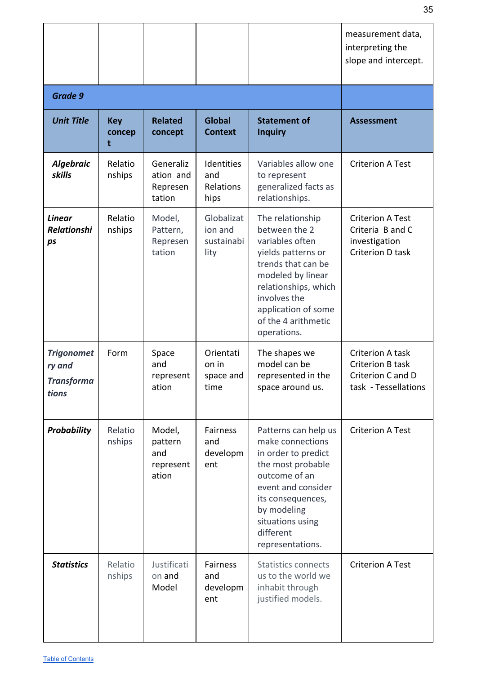|                                                           |                           |                                                |                                             |                                                                                                                                                                                                                            | measurement data,<br>interpreting the<br>slope and intercept.                           |
|-----------------------------------------------------------|---------------------------|------------------------------------------------|---------------------------------------------|----------------------------------------------------------------------------------------------------------------------------------------------------------------------------------------------------------------------------|-----------------------------------------------------------------------------------------|
| <b>Grade 9</b>                                            |                           |                                                |                                             |                                                                                                                                                                                                                            |                                                                                         |
| <b>Unit Title</b>                                         | <b>Key</b><br>concep<br>t | <b>Related</b><br>concept                      | <b>Global</b><br><b>Context</b>             | <b>Statement of</b><br><b>Inquiry</b>                                                                                                                                                                                      | <b>Assessment</b>                                                                       |
| <b>Algebraic</b><br>skills                                | Relatio<br>nships         | Generaliz<br>ation and<br>Represen<br>tation   | Identities<br>and<br>Relations<br>hips      | Variables allow one<br>to represent<br>generalized facts as<br>relationships.                                                                                                                                              | <b>Criterion A Test</b>                                                                 |
| <b>Linear</b><br><b>Relationshi</b><br>ps                 | Relatio<br>nships         | Model,<br>Pattern,<br>Represen<br>tation       | Globalizat<br>ion and<br>sustainabi<br>lity | The relationship<br>between the 2<br>variables often<br>yields patterns or<br>trends that can be<br>modeled by linear<br>relationships, which<br>involves the<br>application of some<br>of the 4 arithmetic<br>operations. | <b>Criterion A Test</b><br>Criteria B and C<br>investigation<br><b>Criterion D task</b> |
| <b>Trigonomet</b><br>ry and<br><b>Transforma</b><br>tions | Form                      | Space<br>and<br>represent<br>ation             | Orientati<br>on in<br>space and<br>time     | The shapes we<br>model can be<br>represented in the<br>space around us.                                                                                                                                                    | Criterion A task<br>Criterion B task<br>Criterion C and D<br>task - Tessellations       |
| <b>Probability</b>                                        | Relatio<br>nships         | Model,<br>pattern<br>and<br>represent<br>ation | <b>Fairness</b><br>and<br>developm<br>ent   | Patterns can help us<br>make connections<br>in order to predict<br>the most probable<br>outcome of an<br>event and consider<br>its consequences,<br>by modeling<br>situations using<br>different<br>representations.       | <b>Criterion A Test</b>                                                                 |
| <b>Statistics</b>                                         | Relatio<br>nships         | Justificati<br>on and<br>Model                 | <b>Fairness</b><br>and<br>developm<br>ent   | <b>Statistics connects</b><br>us to the world we<br>inhabit through<br>justified models.                                                                                                                                   | <b>Criterion A Test</b>                                                                 |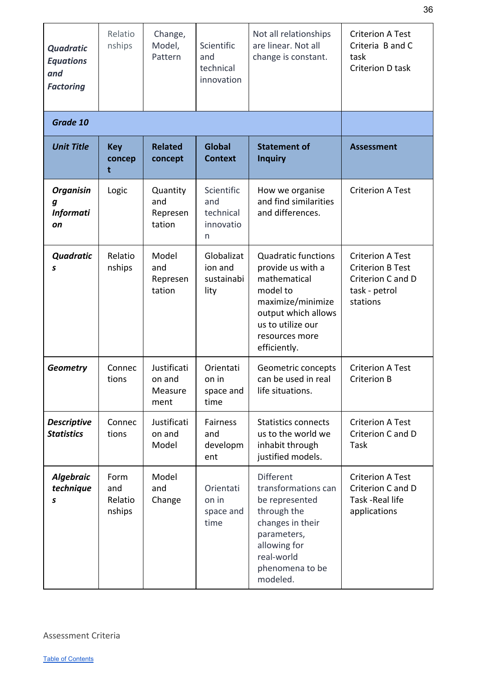| <b>Quadratic</b><br><b>Equations</b><br>and<br><b>Factoring</b> | Relatio<br>nships                | Change,<br>Model,<br>Pattern             | Scientific<br>and<br>technical<br>innovation     | Not all relationships<br>are linear. Not all<br>change is constant.                                                                                                            | <b>Criterion A Test</b><br>Criteria B and C<br>task<br>Criterion D task                              |
|-----------------------------------------------------------------|----------------------------------|------------------------------------------|--------------------------------------------------|--------------------------------------------------------------------------------------------------------------------------------------------------------------------------------|------------------------------------------------------------------------------------------------------|
| Grade 10                                                        |                                  |                                          |                                                  |                                                                                                                                                                                |                                                                                                      |
| <b>Unit Title</b>                                               | <b>Key</b><br>concep<br>t        | <b>Related</b><br>concept                | <b>Global</b><br><b>Context</b>                  | <b>Statement of</b><br><b>Inquiry</b>                                                                                                                                          | <b>Assessment</b>                                                                                    |
| <b>Organisin</b><br>g<br><b>Informati</b><br>on                 | Logic                            | Quantity<br>and<br>Represen<br>tation    | Scientific<br>and<br>technical<br>innovatio<br>n | How we organise<br>and find similarities<br>and differences.                                                                                                                   | <b>Criterion A Test</b>                                                                              |
| Quadratic<br>S                                                  | Relatio<br>nships                | Model<br>and<br>Represen<br>tation       | Globalizat<br>ion and<br>sustainabi<br>lity      | <b>Quadratic functions</b><br>provide us with a<br>mathematical<br>model to<br>maximize/minimize<br>output which allows<br>us to utilize our<br>resources more<br>efficiently. | <b>Criterion A Test</b><br><b>Criterion B Test</b><br>Criterion C and D<br>task - petrol<br>stations |
| Geometry                                                        | Connec<br>tions                  | Justificati<br>on and<br>Measure<br>ment | Orientati<br>on in<br>space and<br>time          | Geometric concepts<br>can be used in real<br>life situations.                                                                                                                  | <b>Criterion A Test</b><br><b>Criterion B</b>                                                        |
| <b>Descriptive</b><br><b>Statistics</b>                         | Connec<br>tions                  | Justificati<br>on and<br>Model           | <b>Fairness</b><br>and<br>developm<br>ent        | <b>Statistics connects</b><br>us to the world we<br>inhabit through<br>justified models.                                                                                       | <b>Criterion A Test</b><br>Criterion C and D<br>Task                                                 |
| <b>Algebraic</b><br>technique<br>S                              | Form<br>and<br>Relatio<br>nships | Model<br>and<br>Change                   | Orientati<br>on in<br>space and<br>time          | <b>Different</b><br>transformations can<br>be represented<br>through the<br>changes in their<br>parameters,<br>allowing for<br>real-world<br>phenomena to be<br>modeled.       | <b>Criterion A Test</b><br>Criterion C and D<br>Task - Real life<br>applications                     |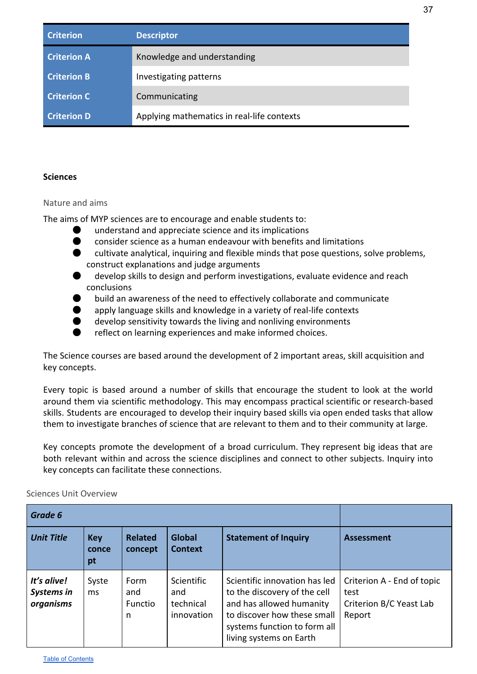| <b>Criterion</b>   | Descriptor                                 |
|--------------------|--------------------------------------------|
| <b>Criterion A</b> | Knowledge and understanding                |
| <b>Criterion B</b> | Investigating patterns                     |
| <b>Criterion C</b> | Communicating                              |
| <b>Criterion D</b> | Applying mathematics in real-life contexts |

#### <span id="page-37-0"></span>**Sciences**

#### <span id="page-37-1"></span>Nature and aims

The aims of MYP sciences are to encourage and enable students to:

- understand and appreciate science and its implications
- **O** consider science as a human endeavour with benefits and limitations
- $\bullet$  cultivate analytical, inquiring and flexible minds that pose questions, solve problems, construct explanations and judge arguments
- develop skills to design and perform investigations, evaluate evidence and reach conclusions
- build an awareness of the need to effectively collaborate and communicate
- apply language skills and knowledge in a variety of real-life contexts
- $\bullet$  develop sensitivity towards the living and nonliving environments
- reflect on learning experiences and make informed choices.

The Science courses are based around the development of 2 important areas, skill acquisition and key concepts.

Every topic is based around a number of skills that encourage the student to look at the world around them via scientific methodology. This may encompass practical scientific or research-based skills. Students are encouraged to develop their inquiry based skills via open ended tasks that allow them to investigate branches of science that are relevant to them and to their community at large.

Key concepts promote the development of a broad curriculum. They represent big ideas that are both relevant within and across the science disciplines and connect to other subjects. Inquiry into key concepts can facilitate these connections.

| Grade 6                                |                           |                             |                                              |                                                                                                                                                                                     |                                                                         |
|----------------------------------------|---------------------------|-----------------------------|----------------------------------------------|-------------------------------------------------------------------------------------------------------------------------------------------------------------------------------------|-------------------------------------------------------------------------|
| <b>Unit Title</b>                      | <b>Key</b><br>conce<br>pt | <b>Related</b><br>concept   | <b>Global</b><br><b>Context</b>              | <b>Statement of Inquiry</b>                                                                                                                                                         | <b>Assessment</b>                                                       |
| It's alive!<br>Systems in<br>organisms | Syste<br>ms               | Form<br>and<br>Functio<br>n | Scientific<br>and<br>technical<br>innovation | Scientific innovation has led<br>to the discovery of the cell<br>and has allowed humanity<br>to discover how these small<br>systems function to form all<br>living systems on Earth | Criterion A - End of topic<br>test<br>Criterion B/C Yeast Lab<br>Report |

<span id="page-37-2"></span>Sciences Unit Overview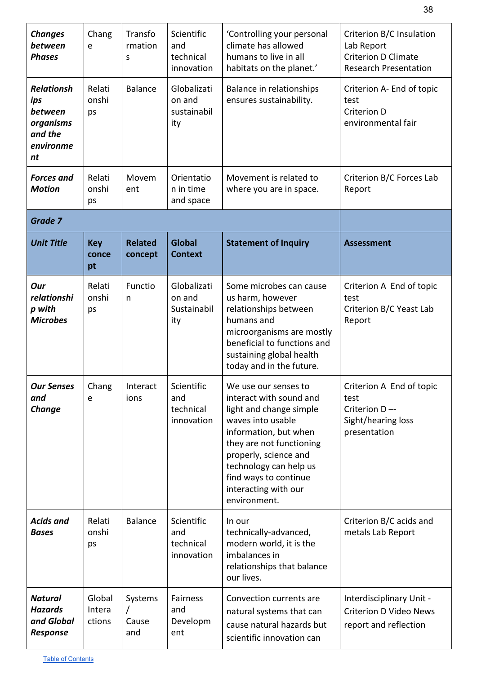| <b>Changes</b><br>between<br><b>Phases</b><br><b>Relationsh</b> | Chang<br>e<br>Relati       | Transfo<br>rmation<br>S<br><b>Balance</b> | Scientific<br>and<br>technical<br>innovation<br>Globalizati | 'Controlling your personal<br>climate has allowed<br>humans to live in all<br>habitats on the planet.'<br>Balance in relationships                                                                                                                                       | Criterion B/C Insulation<br>Lab Report<br><b>Criterion D Climate</b><br><b>Research Presentation</b><br>Criterion A- End of topic |
|-----------------------------------------------------------------|----------------------------|-------------------------------------------|-------------------------------------------------------------|--------------------------------------------------------------------------------------------------------------------------------------------------------------------------------------------------------------------------------------------------------------------------|-----------------------------------------------------------------------------------------------------------------------------------|
| ips<br>between<br>organisms<br>and the<br>environme<br>nt       | onshi<br>ps                |                                           | on and<br>sustainabil<br>ity                                | ensures sustainability.                                                                                                                                                                                                                                                  | test<br>Criterion D<br>environmental fair                                                                                         |
| <b>Forces</b> and<br><b>Motion</b>                              | Relati<br>onshi<br>ps      | Movem<br>ent                              | Orientatio<br>n in time<br>and space                        | Movement is related to<br>where you are in space.                                                                                                                                                                                                                        | Criterion B/C Forces Lab<br>Report                                                                                                |
| <b>Grade 7</b>                                                  |                            |                                           |                                                             |                                                                                                                                                                                                                                                                          |                                                                                                                                   |
| <b>Unit Title</b>                                               | <b>Key</b><br>conce<br>pt  | <b>Related</b><br>concept                 | <b>Global</b><br><b>Context</b>                             | <b>Statement of Inquiry</b>                                                                                                                                                                                                                                              | <b>Assessment</b>                                                                                                                 |
| Our<br>relationshi<br>p with<br><b>Microbes</b>                 | Relati<br>onshi<br>ps      | Functio<br>n                              | Globalizati<br>on and<br>Sustainabil<br>ity                 | Some microbes can cause<br>us harm, however<br>relationships between<br>humans and<br>microorganisms are mostly<br>beneficial to functions and<br>sustaining global health<br>today and in the future.                                                                   | Criterion A End of topic<br>test<br>Criterion B/C Yeast Lab<br>Report                                                             |
| <b>Our Senses</b><br>and<br><b>Change</b>                       | Chang<br>e                 | Interact<br>ions                          | Scientific<br>and<br>technical<br>innovation                | We use our senses to<br>interact with sound and<br>light and change simple<br>waves into usable<br>information, but when<br>they are not functioning<br>properly, science and<br>technology can help us<br>find ways to continue<br>interacting with our<br>environment. | Criterion A End of topic<br>test<br>Criterion D-<br>Sight/hearing loss<br>presentation                                            |
| <b>Acids and</b><br><b>Bases</b>                                | Relati<br>onshi<br>ps      | <b>Balance</b>                            | Scientific<br>and<br>technical<br>innovation                | In our<br>technically-advanced,<br>modern world, it is the<br>imbalances in<br>relationships that balance<br>our lives.                                                                                                                                                  | Criterion B/C acids and<br>metals Lab Report                                                                                      |
| <b>Natural</b><br><b>Hazards</b><br>and Global<br>Response      | Global<br>Intera<br>ctions | Systems<br>Cause<br>and                   | Fairness<br>and<br>Developm<br>ent                          | Convection currents are<br>natural systems that can<br>cause natural hazards but<br>scientific innovation can                                                                                                                                                            | Interdisciplinary Unit -<br><b>Criterion D Video News</b><br>report and reflection                                                |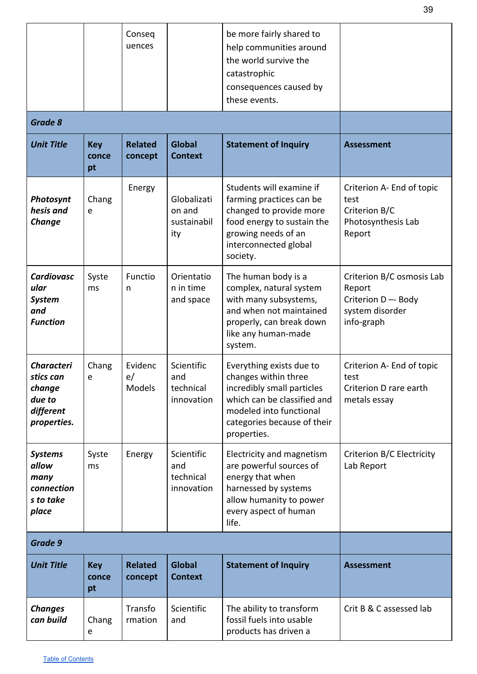|                                                                                |                           | Conseq<br>uences          |                                              | be more fairly shared to<br>help communities around<br>the world survive the<br>catastrophic<br>consequences caused by<br>these events.                                                |                                                                                          |
|--------------------------------------------------------------------------------|---------------------------|---------------------------|----------------------------------------------|----------------------------------------------------------------------------------------------------------------------------------------------------------------------------------------|------------------------------------------------------------------------------------------|
| <b>Grade 8</b>                                                                 |                           |                           |                                              |                                                                                                                                                                                        |                                                                                          |
| <b>Unit Title</b>                                                              | <b>Key</b><br>conce<br>pt | <b>Related</b><br>concept | <b>Global</b><br><b>Context</b>              | <b>Statement of Inquiry</b>                                                                                                                                                            | <b>Assessment</b>                                                                        |
| Photosynt<br>hesis and<br>Change                                               | Chang<br>e                | Energy                    | Globalizati<br>on and<br>sustainabil<br>ity  | Students will examine if<br>farming practices can be<br>changed to provide more<br>food energy to sustain the<br>growing needs of an<br>interconnected global<br>society.              | Criterion A- End of topic<br>test<br>Criterion B/C<br>Photosynthesis Lab<br>Report       |
| <b>Cardiovasc</b><br>ular<br><b>System</b><br>and<br><b>Function</b>           | Syste<br>ms               | Functio<br>n              | Orientatio<br>n in time<br>and space         | The human body is a<br>complex, natural system<br>with many subsystems,<br>and when not maintained<br>properly, can break down<br>like any human-made<br>system.                       | Criterion B/C osmosis Lab<br>Report<br>Criterion D-Body<br>system disorder<br>info-graph |
| <b>Characteri</b><br>stics can<br>change<br>due to<br>different<br>properties. | Chang<br>e                | Evidenc<br>e/<br>Models   | Scientific<br>and<br>technical<br>innovation | Everything exists due to<br>changes within three<br>incredibly small particles<br>which can be classified and<br>modeled into functional<br>categories because of their<br>properties. | Criterion A- End of topic<br>test<br>Criterion D rare earth<br>metals essay              |
| <b>Systems</b><br>allow<br>many<br>connection<br>s to take<br>place            | Syste<br>ms               | Energy                    | Scientific<br>and<br>technical<br>innovation | Electricity and magnetism<br>are powerful sources of<br>energy that when<br>harnessed by systems<br>allow humanity to power<br>every aspect of human<br>life.                          | Criterion B/C Electricity<br>Lab Report                                                  |
| Grade 9                                                                        |                           |                           |                                              |                                                                                                                                                                                        |                                                                                          |
| <b>Unit Title</b>                                                              | <b>Key</b><br>conce<br>pt | <b>Related</b><br>concept | <b>Global</b><br><b>Context</b>              | <b>Statement of Inquiry</b>                                                                                                                                                            | <b>Assessment</b>                                                                        |
| <b>Changes</b><br>can build                                                    | Chang<br>e                | Transfo<br>rmation        | Scientific<br>and                            | The ability to transform<br>fossil fuels into usable<br>products has driven a                                                                                                          | Crit B & C assessed lab                                                                  |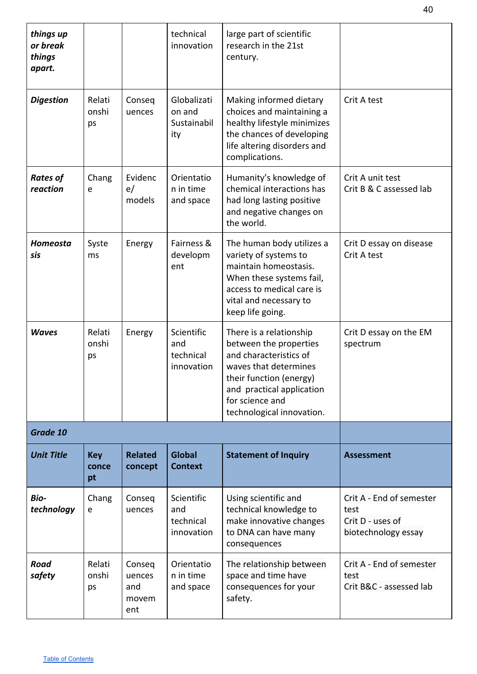| things up<br>or break<br>things<br>apart. |                           |                                         | technical<br>innovation                      | large part of scientific<br>research in the 21st<br>century.                                                                                                                                                 |                                                                             |
|-------------------------------------------|---------------------------|-----------------------------------------|----------------------------------------------|--------------------------------------------------------------------------------------------------------------------------------------------------------------------------------------------------------------|-----------------------------------------------------------------------------|
| <b>Digestion</b>                          | Relati<br>onshi<br>ps     | Conseq<br>uences                        | Globalizati<br>on and<br>Sustainabil<br>ity  | Making informed dietary<br>choices and maintaining a<br>healthy lifestyle minimizes<br>the chances of developing<br>life altering disorders and<br>complications.                                            | Crit A test                                                                 |
| <b>Rates of</b><br>reaction               | Chang<br>e                | Evidenc<br>e/<br>models                 | Orientatio<br>n in time<br>and space         | Humanity's knowledge of<br>chemical interactions has<br>had long lasting positive<br>and negative changes on<br>the world.                                                                                   | Crit A unit test<br>Crit B & C assessed lab                                 |
| Homeosta<br>sis                           | Syste<br>ms               | Energy                                  | Fairness &<br>developm<br>ent                | The human body utilizes a<br>variety of systems to<br>maintain homeostasis.<br>When these systems fail,<br>access to medical care is<br>vital and necessary to<br>keep life going.                           | Crit D essay on disease<br>Crit A test                                      |
| <b>Waves</b>                              | Relati<br>onshi<br>ps     | Energy                                  | Scientific<br>and<br>technical<br>innovation | There is a relationship<br>between the properties<br>and characteristics of<br>waves that determines<br>their function (energy)<br>and practical application<br>for science and<br>technological innovation. | Crit D essay on the EM<br>spectrum                                          |
| Grade 10                                  |                           |                                         |                                              |                                                                                                                                                                                                              |                                                                             |
| <b>Unit Title</b>                         | <b>Key</b><br>conce<br>pt | <b>Related</b><br>concept               | <b>Global</b><br><b>Context</b>              | <b>Statement of Inquiry</b>                                                                                                                                                                                  | <b>Assessment</b>                                                           |
| <b>Bio-</b><br>technology                 | Chang<br>e                | Conseq<br>uences                        | Scientific<br>and<br>technical<br>innovation | Using scientific and<br>technical knowledge to<br>make innovative changes<br>to DNA can have many<br>consequences                                                                                            | Crit A - End of semester<br>test<br>Crit D - uses of<br>biotechnology essay |
| <b>Road</b><br>safety                     | Relati<br>onshi<br>ps     | Conseq<br>uences<br>and<br>movem<br>ent | Orientatio<br>n in time<br>and space         | The relationship between<br>space and time have<br>consequences for your<br>safety.                                                                                                                          | Crit A - End of semester<br>test<br>Crit B&C - assessed lab                 |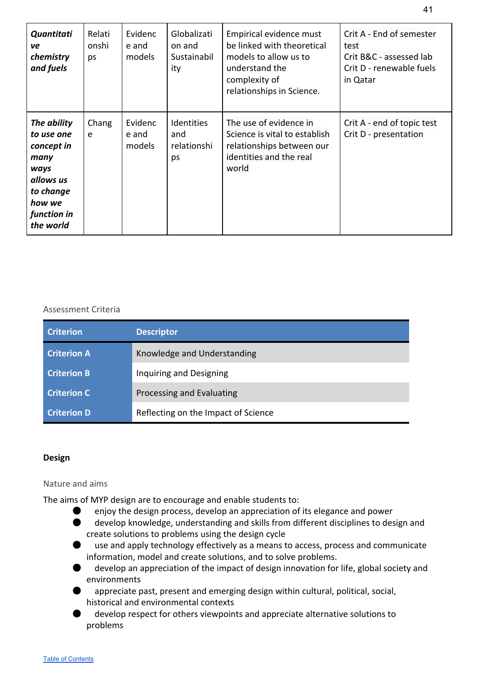| Quantitati<br>ve<br>chemistry<br>and fuels                                                                              | Relati<br>onshi<br>ps | Evidenc<br>e and<br>models | Globalizati<br>on and<br>Sustainabil<br>ity | Empirical evidence must<br>be linked with theoretical<br>models to allow us to<br>understand the<br>complexity of<br>relationships in Science. | Crit A - End of semester<br>test<br>Crit B&C - assessed lab<br>Crit D - renewable fuels<br>in Qatar |
|-------------------------------------------------------------------------------------------------------------------------|-----------------------|----------------------------|---------------------------------------------|------------------------------------------------------------------------------------------------------------------------------------------------|-----------------------------------------------------------------------------------------------------|
| The ability<br>to use one<br>concept in<br>many<br>ways<br>allows us<br>to change<br>how we<br>function in<br>the world | Chang<br>e            | Evidenc<br>e and<br>models | Identities<br>and<br>relationshi<br>ps      | The use of evidence in<br>Science is vital to establish<br>relationships between our<br>identities and the real<br>world                       | Crit A - end of topic test<br>Crit D - presentation                                                 |

<span id="page-41-0"></span>

| <b>Criterion</b>   | <b>Descriptor</b>                   |
|--------------------|-------------------------------------|
| <b>Criterion A</b> | Knowledge and Understanding         |
| <b>Criterion B</b> | Inquiring and Designing             |
| <b>Criterion C</b> | Processing and Evaluating           |
| <b>Criterion D</b> | Reflecting on the Impact of Science |

#### <span id="page-41-1"></span>**Design**

#### <span id="page-41-2"></span>Nature and aims

The aims of MYP design are to encourage and enable students to:

- enjoy the design process, develop an appreciation of its elegance and power
- develop knowledge, understanding and skills from different disciplines to design and create solutions to problems using the design cycle
- use and apply technology effectively as a means to access, process and communicate information, model and create solutions, and to solve problems.
- develop an appreciation of the impact of design innovation for life, global society and environments
- appreciate past, present and emerging design within cultural, political, social, historical and environmental contexts
- develop respect for others viewpoints and appreciate alternative solutions to problems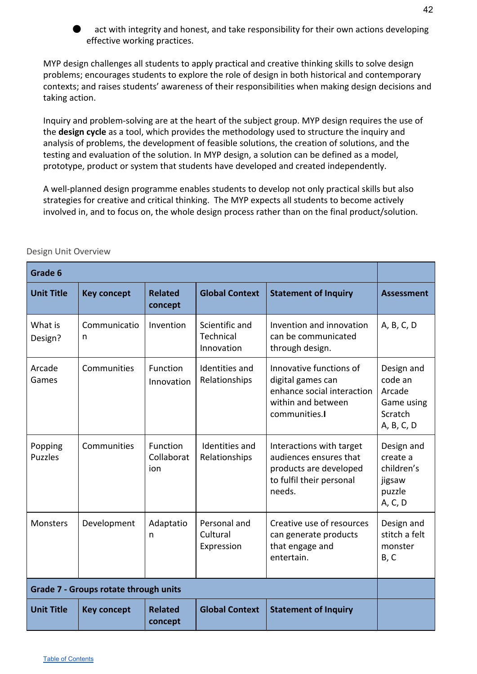

act with integrity and honest, and take responsibility for their own actions developing effective working practices.

MYP design challenges all students to apply practical and creative thinking skills to solve design problems; encourages students to explore the role of design in both historical and contemporary contexts; and raises students' awareness of their responsibilities when making design decisions and taking action.

Inquiry and problem-solving are at the heart of the subject group. MYP design requires the use of the **design cycle** as a tool, which provides the methodology used to structure the inquiry and analysis of problems, the development of feasible solutions, the creation of solutions, and the testing and evaluation of the solution. In MYP design, a solution can be defined as a model, prototype, product or system that students have developed and created independently.

A well-planned design programme enables students to develop not only practical skills but also strategies for creative and critical thinking. The MYP expects all students to become actively involved in, and to focus on, the whole design process rather than on the final product/solution.

| Grade 6                   |                                              |                                      |                                           |                                                                                                                    |                                                                        |  |
|---------------------------|----------------------------------------------|--------------------------------------|-------------------------------------------|--------------------------------------------------------------------------------------------------------------------|------------------------------------------------------------------------|--|
| <b>Unit Title</b>         | <b>Key concept</b>                           | <b>Related</b><br>concept            | <b>Global Context</b>                     | <b>Statement of Inquiry</b>                                                                                        | <b>Assessment</b>                                                      |  |
| What is<br>Design?        | Communicatio<br>n                            | Invention                            | Scientific and<br>Technical<br>Innovation | Invention and innovation<br>can be communicated<br>through design.                                                 | A, B, C, D                                                             |  |
| Arcade<br>Games           | Communities                                  | Function<br>Innovation               | Identities and<br>Relationships           | Innovative functions of<br>digital games can<br>enhance social interaction<br>within and between<br>communities.   | Design and<br>code an<br>Arcade<br>Game using<br>Scratch<br>A, B, C, D |  |
| Popping<br><b>Puzzles</b> | Communities                                  | <b>Function</b><br>Collaborat<br>ion | Identities and<br>Relationships           | Interactions with target<br>audiences ensures that<br>products are developed<br>to fulfil their personal<br>needs. | Design and<br>create a<br>children's<br>jigsaw<br>puzzle<br>A, C, D    |  |
| Monsters                  | Development                                  | Adaptatio<br>n                       | Personal and<br>Cultural<br>Expression    | Creative use of resources<br>can generate products<br>that engage and<br>entertain.                                | Design and<br>stitch a felt<br>monster<br>B, C                         |  |
|                           | <b>Grade 7 - Groups rotate through units</b> |                                      |                                           |                                                                                                                    |                                                                        |  |
| <b>Unit Title</b>         | <b>Key concept</b>                           | <b>Related</b><br>concept            | <b>Global Context</b>                     | <b>Statement of Inquiry</b>                                                                                        |                                                                        |  |

<span id="page-42-0"></span>Design Unit Overview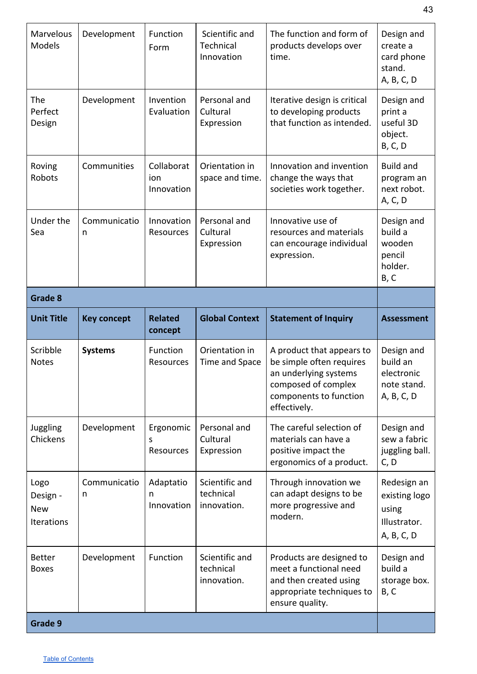| Marvelous<br>Models                          | Development        | Function<br>Form                   | Scientific and<br>Technical<br>Innovation  | The function and form of<br>products develops over<br>time.                                                                                     | Design and<br>create a<br>card phone<br>stand.<br>A, B, C, D        |  |  |
|----------------------------------------------|--------------------|------------------------------------|--------------------------------------------|-------------------------------------------------------------------------------------------------------------------------------------------------|---------------------------------------------------------------------|--|--|
| The<br>Perfect<br>Design                     | Development        | Invention<br>Evaluation            | Personal and<br>Cultural<br>Expression     | Iterative design is critical<br>to developing products<br>that function as intended.                                                            | Design and<br>print a<br>useful 3D<br>object.<br><b>B, C, D</b>     |  |  |
| Roving<br>Robots                             | Communities        | Collaborat<br>ion<br>Innovation    | Orientation in<br>space and time.          | Innovation and invention<br>change the ways that<br>societies work together.                                                                    | <b>Build and</b><br>program an<br>next robot.<br>A, C, D            |  |  |
| Under the<br>Sea                             | Communicatio<br>n  | Innovation<br>Resources            | Personal and<br>Cultural<br>Expression     | Innovative use of<br>resources and materials<br>can encourage individual<br>expression.                                                         | Design and<br>build a<br>wooden<br>pencil<br>holder.<br>B, C        |  |  |
| Grade 8                                      |                    |                                    |                                            |                                                                                                                                                 |                                                                     |  |  |
| <b>Unit Title</b>                            | <b>Key concept</b> | <b>Related</b><br>concept          | <b>Global Context</b>                      | <b>Statement of Inquiry</b>                                                                                                                     | <b>Assessment</b>                                                   |  |  |
|                                              |                    |                                    |                                            |                                                                                                                                                 |                                                                     |  |  |
| Scribble<br><b>Notes</b>                     | <b>Systems</b>     | Function<br>Resources              | Orientation in<br>Time and Space           | A product that appears to<br>be simple often requires<br>an underlying systems<br>composed of complex<br>components to function<br>effectively. | Design and<br>build an<br>electronic<br>note stand.<br>A, B, C, D   |  |  |
| Juggling<br>Chickens                         | Development        | Ergonomic<br>S<br><b>Resources</b> | Personal and<br>Cultural<br>Expression     | The careful selection of<br>materials can have a<br>positive impact the<br>ergonomics of a product.                                             | Design and<br>sew a fabric<br>juggling ball.<br>C, D                |  |  |
| Logo<br>Design -<br><b>New</b><br>Iterations | Communicatio<br>n  | Adaptatio<br>n<br>Innovation       | Scientific and<br>technical<br>innovation. | Through innovation we<br>can adapt designs to be<br>more progressive and<br>modern.                                                             | Redesign an<br>existing logo<br>using<br>Illustrator.<br>A, B, C, D |  |  |
| <b>Better</b><br><b>Boxes</b>                | Development        | Function                           | Scientific and<br>technical<br>innovation. | Products are designed to<br>meet a functional need<br>and then created using<br>appropriate techniques to<br>ensure quality.                    | Design and<br>build a<br>storage box.<br>B, C                       |  |  |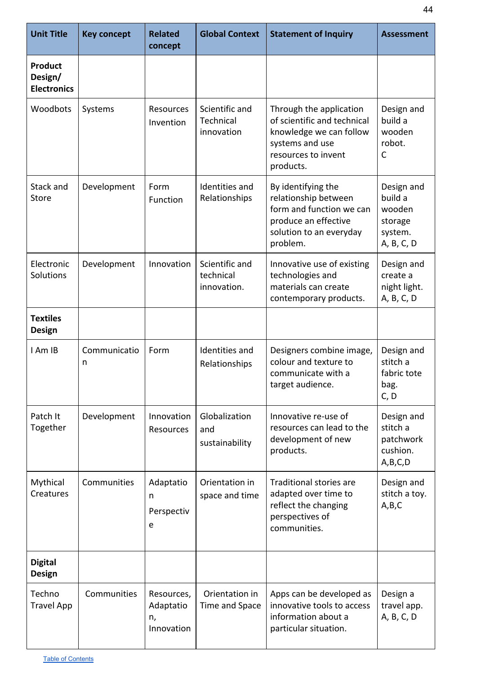| <b>Unit Title</b>                               | <b>Key concept</b> | <b>Related</b><br>concept                   | <b>Global Context</b>                      | <b>Statement of Inquiry</b>                                                                                                              | <b>Assessment</b>                                                   |
|-------------------------------------------------|--------------------|---------------------------------------------|--------------------------------------------|------------------------------------------------------------------------------------------------------------------------------------------|---------------------------------------------------------------------|
| <b>Product</b><br>Design/<br><b>Electronics</b> |                    |                                             |                                            |                                                                                                                                          |                                                                     |
| Woodbots                                        | Systems            | Resources<br>Invention                      | Scientific and<br>Technical<br>innovation  | Through the application<br>of scientific and technical<br>knowledge we can follow<br>systems and use<br>resources to invent<br>products. | Design and<br>build a<br>wooden<br>robot.<br>С                      |
| Stack and<br><b>Store</b>                       | Development        | Form<br>Function                            | Identities and<br>Relationships            | By identifying the<br>relationship between<br>form and function we can<br>produce an effective<br>solution to an everyday<br>problem.    | Design and<br>build a<br>wooden<br>storage<br>system.<br>A, B, C, D |
| Electronic<br>Solutions                         | Development        | Innovation                                  | Scientific and<br>technical<br>innovation. | Innovative use of existing<br>technologies and<br>materials can create<br>contemporary products.                                         | Design and<br>create a<br>night light.<br>A, B, C, D                |
| <b>Textiles</b><br><b>Design</b>                |                    |                                             |                                            |                                                                                                                                          |                                                                     |
| I Am IB                                         | Communicatio<br>n  | Form                                        | Identities and<br>Relationships            | Designers combine image,<br>colour and texture to<br>communicate with a<br>target audience.                                              | Design and<br>stitch a<br>fabric tote<br>bag.<br>C, D               |
| Patch It<br>Together                            | Development        | Innovation<br>Resources                     | Globalization<br>and<br>sustainability     | Innovative re-use of<br>resources can lead to the<br>development of new<br>products.                                                     | Design and<br>stitch a<br>patchwork<br>cushion.<br>A,B,C,D          |
| Mythical<br>Creatures                           | Communities        | Adaptatio<br>n<br>Perspectiv<br>e           | Orientation in<br>space and time           | <b>Traditional stories are</b><br>adapted over time to<br>reflect the changing<br>perspectives of<br>communities.                        | Design and<br>stitch a toy.<br>A,B,C                                |
| <b>Digital</b><br><b>Design</b>                 |                    |                                             |                                            |                                                                                                                                          |                                                                     |
| Techno<br><b>Travel App</b>                     | Communities        | Resources,<br>Adaptatio<br>n,<br>Innovation | Orientation in<br>Time and Space           | Apps can be developed as<br>innovative tools to access<br>information about a<br>particular situation.                                   | Design a<br>travel app.<br>A, B, C, D                               |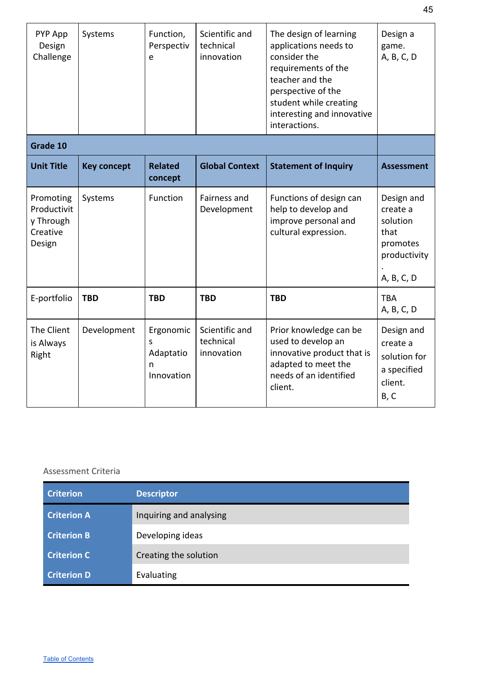| PYP App<br>Design<br>Challenge                              | Systems            | Function,<br>Perspectiv<br>e                   | Scientific and<br>technical<br>innovation | The design of learning<br>applications needs to<br>consider the<br>requirements of the<br>teacher and the<br>perspective of the<br>student while creating<br>interesting and innovative<br>interactions. | Design a<br>game.<br>A, B, C, D                                                      |
|-------------------------------------------------------------|--------------------|------------------------------------------------|-------------------------------------------|----------------------------------------------------------------------------------------------------------------------------------------------------------------------------------------------------------|--------------------------------------------------------------------------------------|
| Grade 10                                                    |                    |                                                |                                           |                                                                                                                                                                                                          |                                                                                      |
| <b>Unit Title</b>                                           | <b>Key concept</b> | <b>Related</b><br>concept                      | <b>Global Context</b>                     | <b>Statement of Inquiry</b>                                                                                                                                                                              | <b>Assessment</b>                                                                    |
| Promoting<br>Productivit<br>y Through<br>Creative<br>Design | Systems            | Function                                       | Fairness and<br>Development               | Functions of design can<br>help to develop and<br>improve personal and<br>cultural expression.                                                                                                           | Design and<br>create a<br>solution<br>that<br>promotes<br>productivity<br>A, B, C, D |
| E-portfolio                                                 | <b>TBD</b>         | <b>TBD</b>                                     | <b>TBD</b>                                | <b>TBD</b>                                                                                                                                                                                               | <b>TBA</b><br>A, B, C, D                                                             |
| The Client<br>is Always<br>Right                            | Development        | Ergonomic<br>S<br>Adaptatio<br>n<br>Innovation | Scientific and<br>technical<br>innovation | Prior knowledge can be<br>used to develop an<br>innovative product that is<br>adapted to meet the<br>needs of an identified<br>client.                                                                   | Design and<br>create a<br>solution for<br>a specified<br>client.<br>B, C             |

<span id="page-45-0"></span>

| <b>Criterion</b>   | <b>Descriptor</b>       |
|--------------------|-------------------------|
| <b>Criterion A</b> | Inquiring and analysing |
| <b>Criterion B</b> | Developing ideas        |
| <b>Criterion C</b> | Creating the solution   |
| <b>Criterion D</b> | Evaluating              |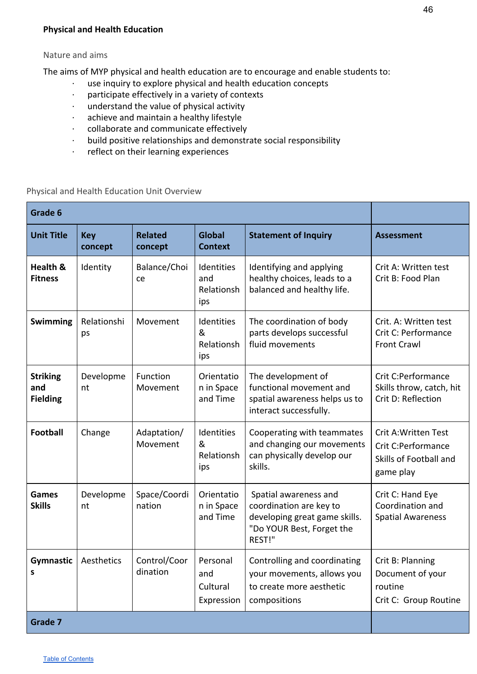#### <span id="page-46-0"></span>**Physical and Health Education**

#### <span id="page-46-1"></span>Nature and aims

The aims of MYP physical and health education are to encourage and enable students to:

- · use inquiry to explore physical and health education concepts
- · participate effectively in a variety of contexts
- · understand the value of physical activity
- · achieve and maintain a healthy lifestyle
- · collaborate and communicate effectively
- · build positive relationships and demonstrate social responsibility
- · reflect on their learning experiences

<span id="page-46-2"></span>Physical and Health Education Unit Overview

| Grade 6                                   |                       |                           |                                           |                                                                                                                          |                                                                                          |
|-------------------------------------------|-----------------------|---------------------------|-------------------------------------------|--------------------------------------------------------------------------------------------------------------------------|------------------------------------------------------------------------------------------|
| <b>Unit Title</b>                         | <b>Key</b><br>concept | <b>Related</b><br>concept | <b>Global</b><br><b>Context</b>           | <b>Statement of Inquiry</b>                                                                                              | <b>Assessment</b>                                                                        |
| Health &<br><b>Fitness</b>                | Identity              | Balance/Choi<br>ce        | Identities<br>and<br>Relationsh<br>ips    | Identifying and applying<br>healthy choices, leads to a<br>balanced and healthy life.                                    | Crit A: Written test<br>Crit B: Food Plan                                                |
| <b>Swimming</b>                           | Relationshi<br>ps     | Movement                  | Identities<br>&<br>Relationsh<br>ips      | The coordination of body<br>parts develops successful<br>fluid movements                                                 | Crit. A: Written test<br>Crit C: Performance<br>Front Crawl                              |
| <b>Striking</b><br>and<br><b>Fielding</b> | Developme<br>nt       | Function<br>Movement      | Orientatio<br>n in Space<br>and Time      | The development of<br>functional movement and<br>spatial awareness helps us to<br>interact successfully.                 | Crit C:Performance<br>Skills throw, catch, hit<br>Crit D: Reflection                     |
| <b>Football</b>                           | Change                | Adaptation/<br>Movement   | Identities<br>&<br>Relationsh<br>ips      | Cooperating with teammates<br>and changing our movements<br>can physically develop our<br>skills.                        | <b>Crit A: Written Test</b><br>Crit C:Performance<br>Skills of Football and<br>game play |
| <b>Games</b><br><b>Skills</b>             | Developme<br>nt       | Space/Coordi<br>nation    | Orientatio<br>n in Space<br>and Time      | Spatial awareness and<br>coordination are key to<br>developing great game skills.<br>"Do YOUR Best, Forget the<br>REST!" | Crit C: Hand Eye<br>Coordination and<br><b>Spatial Awareness</b>                         |
| <b>Gymnastic</b>   Aesthetics<br>s        |                       | Control/Coor<br>dination  | Personal<br>and<br>Cultural<br>Expression | Controlling and coordinating<br>your movements, allows you<br>to create more aesthetic<br>compositions                   | Crit B: Planning<br>Document of your<br>routine<br>Crit C: Group Routine                 |
| Grade 7                                   |                       |                           |                                           |                                                                                                                          |                                                                                          |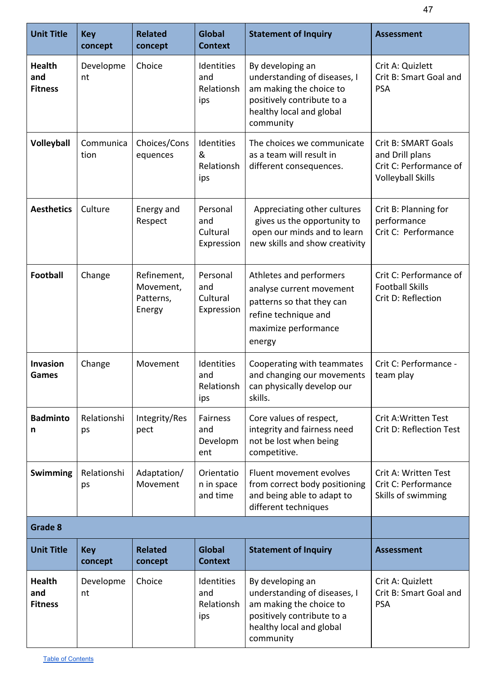| <b>Unit Title</b>                      |                       | <b>Related</b>                                  | <b>Global</b>                             |                                                                                                                                                    |                                                                                                     |
|----------------------------------------|-----------------------|-------------------------------------------------|-------------------------------------------|----------------------------------------------------------------------------------------------------------------------------------------------------|-----------------------------------------------------------------------------------------------------|
|                                        | <b>Key</b><br>concept | concept                                         | <b>Context</b>                            | <b>Statement of Inquiry</b>                                                                                                                        | <b>Assessment</b>                                                                                   |
| <b>Health</b><br>and<br><b>Fitness</b> | Developme<br>nt       | Choice                                          | Identities<br>and<br>Relationsh<br>ips    | By developing an<br>understanding of diseases, I<br>am making the choice to<br>positively contribute to a<br>healthy local and global<br>community | Crit A: Quizlett<br>Crit B: Smart Goal and<br><b>PSA</b>                                            |
| Volleyball                             | Communica<br>tion     | Choices/Cons<br>equences                        | Identities<br>&<br>Relationsh<br>ips      | The choices we communicate<br>as a team will result in<br>different consequences.                                                                  | <b>Crit B: SMART Goals</b><br>and Drill plans<br>Crit C: Performance of<br><b>Volleyball Skills</b> |
| <b>Aesthetics</b>                      | Culture               | Energy and<br>Respect                           | Personal<br>and<br>Cultural<br>Expression | Appreciating other cultures<br>gives us the opportunity to<br>open our minds and to learn<br>new skills and show creativity                        | Crit B: Planning for<br>performance<br>Crit C: Performance                                          |
| <b>Football</b>                        | Change                | Refinement,<br>Movement,<br>Patterns,<br>Energy | Personal<br>and<br>Cultural<br>Expression | Athletes and performers<br>analyse current movement<br>patterns so that they can<br>refine technique and<br>maximize performance<br>energy         | Crit C: Performance of<br><b>Football Skills</b><br>Crit D: Reflection                              |
| <b>Invasion</b><br>Games               | Change                | Movement                                        | Identities<br>and<br>Relationsh<br>ips    | Cooperating with teammates<br>and changing our movements<br>can physically develop our<br>skills.                                                  | Crit C: Performance -<br>team play                                                                  |
| <b>Badminto</b><br>n                   | Relationshi<br>ps     | Integrity/Res<br>pect                           | Fairness<br>and<br>Developm<br>ent        | Core values of respect,<br>integrity and fairness need<br>not be lost when being<br>competitive.                                                   | <b>Crit A: Written Test</b><br>Crit D: Reflection Test                                              |
| <b>Swimming</b>                        | Relationshi<br>ps     | Adaptation/<br>Movement                         | Orientatio<br>n in space<br>and time      | Fluent movement evolves<br>from correct body positioning<br>and being able to adapt to<br>different techniques                                     | Crit A: Written Test<br>Crit C: Performance<br>Skills of swimming                                   |
| Grade 8                                |                       |                                                 |                                           |                                                                                                                                                    |                                                                                                     |
| <b>Unit Title</b>                      | <b>Key</b><br>concept | <b>Related</b><br>concept                       | <b>Global</b><br><b>Context</b>           | <b>Statement of Inquiry</b>                                                                                                                        | <b>Assessment</b>                                                                                   |
| <b>Health</b><br>and<br><b>Fitness</b> | Developme<br>nt       | Choice                                          | Identities<br>and<br>Relationsh<br>ips    | By developing an<br>understanding of diseases, I<br>am making the choice to<br>positively contribute to a<br>healthy local and global<br>community | Crit A: Quizlett<br>Crit B: Smart Goal and<br><b>PSA</b>                                            |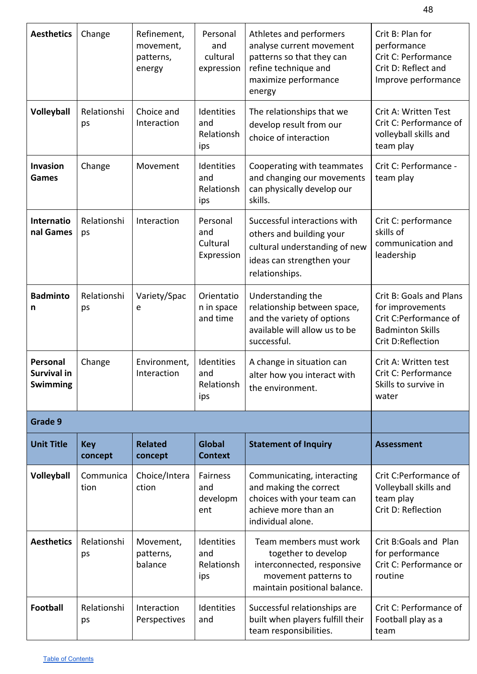| <b>Aesthetics</b>                          | Change                | Refinement,<br>movement,<br>patterns,<br>energy | Personal<br>and<br>cultural<br>expression | Athletes and performers<br>analyse current movement<br>patterns so that they can<br>refine technique and<br>maximize performance<br>energy | Crit B: Plan for<br>performance<br>Crit C: Performance<br>Crit D: Reflect and<br>Improve performance                 |
|--------------------------------------------|-----------------------|-------------------------------------------------|-------------------------------------------|--------------------------------------------------------------------------------------------------------------------------------------------|----------------------------------------------------------------------------------------------------------------------|
| Volleyball                                 | Relationshi<br>ps     | Choice and<br>Interaction                       | Identities<br>and<br>Relationsh<br>ips    | The relationships that we<br>develop result from our<br>choice of interaction                                                              | Crit A: Written Test<br>Crit C: Performance of<br>volleyball skills and<br>team play                                 |
| Invasion<br>Games                          | Change                | Movement                                        | Identities<br>and<br>Relationsh<br>ips    | Cooperating with teammates<br>and changing our movements<br>can physically develop our<br>skills.                                          | Crit C: Performance -<br>team play                                                                                   |
| Internatio<br>nal Games                    | Relationshi<br>ps     | Interaction                                     | Personal<br>and<br>Cultural<br>Expression | Successful interactions with<br>others and building your<br>cultural understanding of new<br>ideas can strengthen your<br>relationships.   | Crit C: performance<br>skills of<br>communication and<br>leadership                                                  |
| <b>Badminto</b><br>n                       | Relationshi<br>ps     | Variety/Spac<br>e                               | Orientatio<br>n in space<br>and time      | Understanding the<br>relationship between space,<br>and the variety of options<br>available will allow us to be<br>successful.             | Crit B: Goals and Plans<br>for improvements<br>Crit C:Performance of<br><b>Badminton Skills</b><br>Crit D:Reflection |
| Personal<br><b>Survival in</b><br>Swimming | Change                | Environment,<br>Interaction                     | Identities<br>and<br>Relationsh<br>ips    | A change in situation can<br>alter how you interact with<br>the environment.                                                               | Crit A: Written test<br>Crit C: Performance<br>Skills to survive in<br>water                                         |
| Grade 9                                    |                       |                                                 |                                           |                                                                                                                                            |                                                                                                                      |
| <b>Unit Title</b>                          | <b>Key</b><br>concept | <b>Related</b><br>concept                       | <b>Global</b><br><b>Context</b>           | <b>Statement of Inquiry</b>                                                                                                                | <b>Assessment</b>                                                                                                    |
| Volleyball                                 | Communica<br>tion     | Choice/Intera<br>ction                          | Fairness<br>and<br>developm<br>ent        | Communicating, interacting<br>and making the correct<br>choices with your team can<br>achieve more than an<br>individual alone.            | Crit C:Performance of<br>Volleyball skills and<br>team play<br>Crit D: Reflection                                    |
| <b>Aesthetics</b>                          | Relationshi<br>ps     | Movement,<br>patterns,<br>balance               | Identities<br>and<br>Relationsh<br>ips    | Team members must work<br>together to develop<br>interconnected, responsive<br>movement patterns to<br>maintain positional balance.        | Crit B:Goals and Plan<br>for performance<br>Crit C: Performance or<br>routine                                        |
| <b>Football</b>                            | Relationshi<br>ps     | Interaction<br>Perspectives                     | Identities<br>and                         | Successful relationships are<br>built when players fulfill their<br>team responsibilities.                                                 | Crit C: Performance of<br>Football play as a<br>team                                                                 |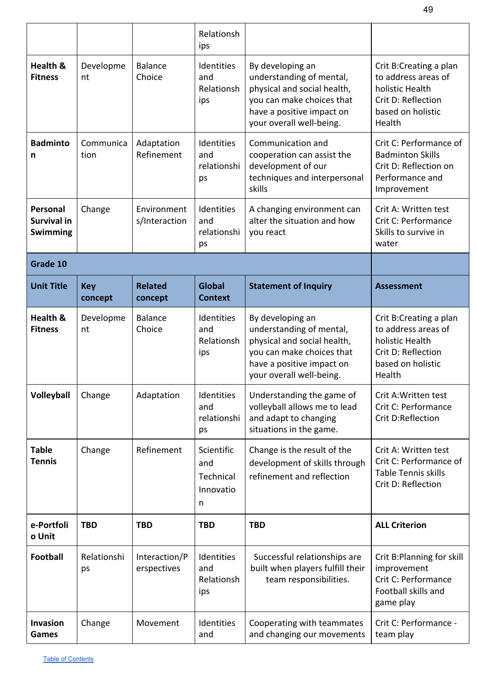|                                       |                       |                              | Relationsh<br>ips                                |                                                                                                                                                                   |                                                                                                                       |
|---------------------------------------|-----------------------|------------------------------|--------------------------------------------------|-------------------------------------------------------------------------------------------------------------------------------------------------------------------|-----------------------------------------------------------------------------------------------------------------------|
| <b>Health &amp;</b><br><b>Fitness</b> | Developme<br>nt       | <b>Balance</b><br>Choice     | Identities<br>and<br>Relationsh<br>ips           | By developing an<br>understanding of mental,<br>physical and social health,<br>you can make choices that<br>have a positive impact on<br>your overall well-being. | Crit B:Creating a plan<br>to address areas of<br>holistic Health<br>Crit D: Reflection<br>based on holistic<br>Health |
| <b>Badminto</b><br>n                  | Communica<br>tion     | Adaptation<br>Refinement     | Identities<br>and<br>relationshi<br>ps           | Communication and<br>cooperation can assist the<br>development of our<br>techniques and interpersonal<br>skills                                                   | Crit C: Performance of<br><b>Badminton Skills</b><br>Crit D: Reflection on<br>Performance and<br>Improvement          |
| Personal<br>Survival in<br>Swimming   | Change                | Environment<br>s/Interaction | Identities<br>and<br>relationshi<br>ps           | A changing environment can<br>alter the situation and how<br>you react                                                                                            | Crit A: Written test<br>Crit C: Performance<br>Skills to survive in<br>water                                          |
| Grade 10                              |                       |                              |                                                  |                                                                                                                                                                   |                                                                                                                       |
| <b>Unit Title</b>                     | <b>Key</b><br>concept | <b>Related</b><br>concept    | <b>Global</b><br><b>Context</b>                  | <b>Statement of Inquiry</b>                                                                                                                                       | <b>Assessment</b>                                                                                                     |
| Health &<br><b>Fitness</b>            | Developme<br>nt       | <b>Balance</b><br>Choice     | Identities<br>and<br>Relationsh<br>ips           | By developing an<br>understanding of mental,<br>physical and social health,<br>you can make choices that<br>have a positive impact on<br>your overall well-being. | Crit B:Creating a plan<br>to address areas of<br>holistic Health<br>Crit D: Reflection<br>based on holistic<br>Health |
| Volleyball                            | Change                | Adaptation                   | Identities<br>and<br>relationshi<br>ps           | Understanding the game of<br>volleyball allows me to lead<br>and adapt to changing<br>situations in the game.                                                     | Crit A: Written test<br>Crit C: Performance<br>Crit D:Reflection                                                      |
| <b>Table</b><br><b>Tennis</b>         | Change                | Refinement                   | Scientific<br>and<br>Technical<br>Innovatio<br>n | Change is the result of the<br>development of skills through<br>refinement and reflection                                                                         | Crit A: Written test<br>Crit C: Performance of<br>Table Tennis skills<br>Crit D: Reflection                           |
| e-Portfoli<br>o Unit                  | <b>TBD</b>            | <b>TBD</b>                   | <b>TBD</b>                                       | <b>TBD</b>                                                                                                                                                        | <b>ALL Criterion</b>                                                                                                  |
| <b>Football</b>                       | Relationshi<br>ps     | Interaction/P<br>erspectives | Identities<br>and<br>Relationsh<br>ips           | Successful relationships are<br>built when players fulfill their<br>team responsibilities.                                                                        | Crit B: Planning for skill<br>improvement<br>Crit C: Performance<br>Football skills and<br>game play                  |
| <b>Invasion</b><br>Games              | Change                | Movement                     | Identities<br>and                                | Cooperating with teammates<br>and changing our movements                                                                                                          | Crit C: Performance -<br>team play                                                                                    |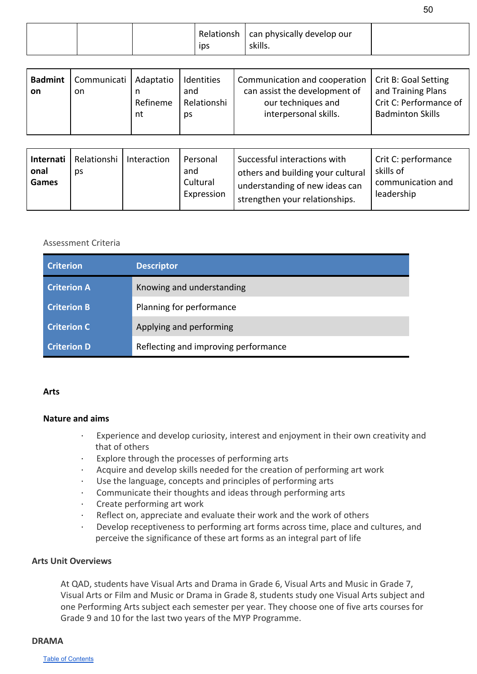|  | ips | Relationsh   can physically develop our<br>skills. |  |
|--|-----|----------------------------------------------------|--|
|--|-----|----------------------------------------------------|--|

| <b>Badmint</b><br>on | Communicati   Adaptatio<br>on | Refineme<br>nt | Identities<br>and<br>Relationshi<br>ps | Communication and cooperation   Crit B: Goal Setting<br>can assist the development of<br>our techniques and<br>interpersonal skills. | and Training Plans<br>Crit C: Performance of<br><b>Badminton Skills</b> |
|----------------------|-------------------------------|----------------|----------------------------------------|--------------------------------------------------------------------------------------------------------------------------------------|-------------------------------------------------------------------------|
|----------------------|-------------------------------|----------------|----------------------------------------|--------------------------------------------------------------------------------------------------------------------------------------|-------------------------------------------------------------------------|

| Internati<br>onal<br>Games | Relationshi   Interaction<br>ps |  | Personal<br>and<br>Cultural<br>Expression | Successful interactions with<br>others and building your cultural<br>understanding of new ideas can<br>strengthen your relationships. | Crit C: performance<br>skills of<br>communication and<br>leadership |
|----------------------------|---------------------------------|--|-------------------------------------------|---------------------------------------------------------------------------------------------------------------------------------------|---------------------------------------------------------------------|
|----------------------------|---------------------------------|--|-------------------------------------------|---------------------------------------------------------------------------------------------------------------------------------------|---------------------------------------------------------------------|

<span id="page-50-0"></span>

| <b>Criterion</b>   | <b>Descriptor</b>                    |
|--------------------|--------------------------------------|
| <b>Criterion A</b> | Knowing and understanding            |
| <b>Criterion B</b> | Planning for performance             |
| <b>Criterion C</b> | Applying and performing              |
| <b>Criterion D</b> | Reflecting and improving performance |

#### **Arts**

#### **Nature and aims**

- Experience and develop curiosity, interest and enjoyment in their own creativity and that of others
- Explore through the processes of performing arts
- Acquire and develop skills needed for the creation of performing art work
- Use the language, concepts and principles of performing arts
- Communicate their thoughts and ideas through performing arts
- Create performing art work
- Reflect on, appreciate and evaluate their work and the work of others
- · Develop receptiveness to performing art forms across time, place and cultures, and perceive the significance of these art forms as an integral part of life

#### **Arts Unit Overviews**

At QAD, students have Visual Arts and Drama in Grade 6, Visual Arts and Music in Grade 7, Visual Arts or Film and Music or Drama in Grade 8, students study one Visual Arts subject and one Performing Arts subject each semester per year. They choose one of five arts courses for Grade 9 and 10 for the last two years of the MYP Programme.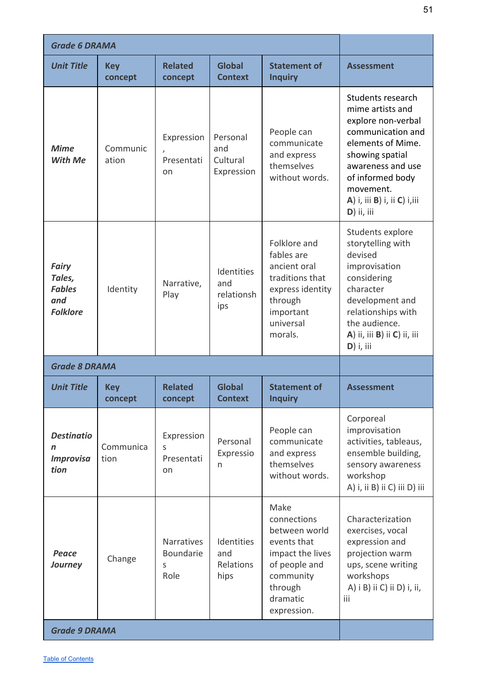| <b>Grade 6 DRAMA</b>                                              |                       |                                      |                                           |                                                                                                                                             |                                                                                                                                                                                                                                |
|-------------------------------------------------------------------|-----------------------|--------------------------------------|-------------------------------------------|---------------------------------------------------------------------------------------------------------------------------------------------|--------------------------------------------------------------------------------------------------------------------------------------------------------------------------------------------------------------------------------|
| <b>Unit Title</b>                                                 | <b>Key</b><br>concept | <b>Related</b><br>concept            | <b>Global</b><br><b>Context</b>           | <b>Statement of</b><br><b>Inquiry</b>                                                                                                       | <b>Assessment</b>                                                                                                                                                                                                              |
| <b>Mime</b><br>With Me                                            | Communic<br>ation     | Expression<br>Presentati<br>on       | Personal<br>and<br>Cultural<br>Expression | People can<br>communicate<br>and express<br>themselves<br>without words.                                                                    | Students research<br>mime artists and<br>explore non-verbal<br>communication and<br>elements of Mime.<br>showing spatial<br>awareness and use<br>of informed body<br>movement.<br>A) i, iii B) i, ii C) i, iii<br>$D)$ ii, iii |
| <b>Fairy</b><br>Tales,<br><b>Fables</b><br>and<br><b>Folklore</b> | Identity              | Narrative,<br>Play                   | Identities<br>and<br>relationsh<br>ips    | Folklore and<br>fables are<br>ancient oral<br>traditions that<br>express identity<br>through<br>important<br>universal<br>morals.           | Students explore<br>storytelling with<br>devised<br>improvisation<br>considering<br>character<br>development and<br>relationships with<br>the audience.<br>A) ii, iii B) ii C) ii, iii<br>$D)$ i, iii                          |
| <b>Grade 8 DRAMA</b>                                              |                       |                                      |                                           |                                                                                                                                             |                                                                                                                                                                                                                                |
| <b>Unit Title</b>                                                 | <b>Key</b><br>concept | <b>Related</b><br>concept            | <b>Global</b><br><b>Context</b>           | <b>Statement of</b><br><b>Inquiry</b>                                                                                                       | <b>Assessment</b>                                                                                                                                                                                                              |
| <b>Destinatio</b><br>n<br><b>Improvisa</b><br>tion                | Communica<br>tion     | Expression<br>S<br>Presentati<br>on  | Personal<br>Expressio<br>n                | People can<br>communicate<br>and express<br>themselves<br>without words.                                                                    | Corporeal<br>improvisation<br>activities, tableaus,<br>ensemble building,<br>sensory awareness<br>workshop<br>A) i, ii B) ii C) iii D) iii                                                                                     |
| Peace<br><b>Journey</b>                                           | Change                | Narratives<br>Boundarie<br>S<br>Role | Identities<br>and<br>Relations<br>hips    | Make<br>connections<br>between world<br>events that<br>impact the lives<br>of people and<br>community<br>through<br>dramatic<br>expression. | Characterization<br>exercises, vocal<br>expression and<br>projection warm<br>ups, scene writing<br>workshops<br>A) i B) ii C) ii D) i, ii,<br>iii                                                                              |
| <b>Grade 9 DRAMA</b>                                              |                       |                                      |                                           |                                                                                                                                             |                                                                                                                                                                                                                                |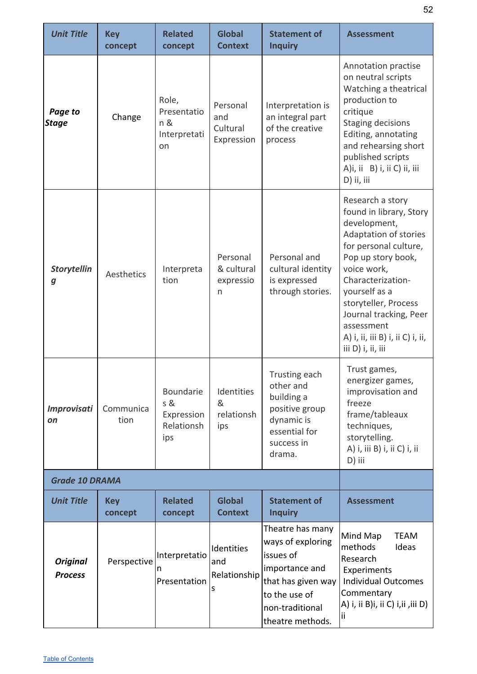| <b>Unit Title</b>                 | <b>Key</b><br>concept | <b>Related</b><br>concept                           | <b>Global</b><br><b>Context</b>           | <b>Statement of</b><br><b>Inquiry</b>                                                                                                              | <b>Assessment</b>                                                                                                                                                                                                                                                                                                    |
|-----------------------------------|-----------------------|-----------------------------------------------------|-------------------------------------------|----------------------------------------------------------------------------------------------------------------------------------------------------|----------------------------------------------------------------------------------------------------------------------------------------------------------------------------------------------------------------------------------------------------------------------------------------------------------------------|
| Page to<br><b>Stage</b>           | Change                | Role,<br>Presentatio<br>n &<br>Interpretati<br>on   | Personal<br>and<br>Cultural<br>Expression | Interpretation is<br>an integral part<br>of the creative<br>process                                                                                | Annotation practise<br>on neutral scripts<br>Watching a theatrical<br>production to<br>critique<br><b>Staging decisions</b><br>Editing, annotating<br>and rehearsing short<br>published scripts<br>A)i, ii B) i, ii C) ii, iii<br>D) ii, iii                                                                         |
| <b>Storytellin</b><br>g           | Aesthetics            | Interpreta<br>tion                                  | Personal<br>& cultural<br>expressio<br>n  | Personal and<br>cultural identity<br>is expressed<br>through stories.                                                                              | Research a story<br>found in library, Story<br>development,<br>Adaptation of stories<br>for personal culture,<br>Pop up story book,<br>voice work,<br>Characterization-<br>yourself as a<br>storyteller, Process<br>Journal tracking, Peer<br>assessment<br>A) i, ii, iii B) i, ii C) i, ii,<br>iii $D$ ) i, ii, iii |
| <b>Improvisati</b><br>on          | Communica<br>tion     | Boundarie<br>s &<br>Expression<br>Relationsh<br>ips | Identities<br>&<br>relationsh<br>ips      | Trusting each<br>other and<br>building a<br>positive group<br>dynamic is<br>essential for<br>success in<br>drama.                                  | Trust games,<br>energizer games,<br>improvisation and<br>freeze<br>frame/tableaux<br>techniques,<br>storytelling.<br>A) i, iii B) i, ii C) i, ii<br>D) iii                                                                                                                                                           |
| <b>Grade 10 DRAMA</b>             |                       |                                                     |                                           |                                                                                                                                                    |                                                                                                                                                                                                                                                                                                                      |
| <b>Unit Title</b>                 | <b>Key</b><br>concept | <b>Related</b><br>concept                           | <b>Global</b><br><b>Context</b>           | <b>Statement of</b><br><b>Inquiry</b>                                                                                                              | <b>Assessment</b>                                                                                                                                                                                                                                                                                                    |
| <b>Original</b><br><b>Process</b> | Perspective           | Interpretatio<br>n<br>Presentation                  | Identities<br>and<br>Relationship<br>S    | Theatre has many<br>ways of exploring<br>issues of<br>importance and<br>that has given way<br>to the use of<br>non-traditional<br>theatre methods. | Mind Map<br><b>TEAM</b><br>methods<br>Ideas<br>Research<br>Experiments<br><b>Individual Outcomes</b><br>Commentary<br>A) i, ii B)i, ii C) i,ii ,iii D)                                                                                                                                                               |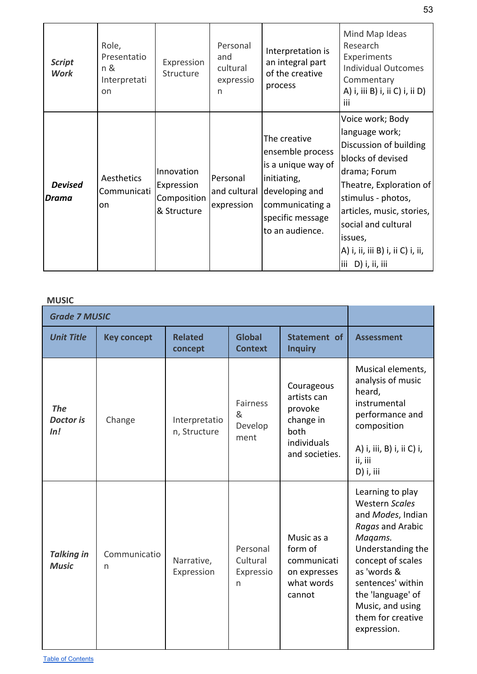|                                | Role,<br>Presentatio<br>n &<br>Interpretati<br>on | Expression<br>Structure                                | Personal<br>and<br>cultural<br>expressio<br>n | Interpretation is<br>an integral part<br>of the creative<br>process                                                                               | Mind Map Ideas<br>Research                                                                                                                                                                                                                                                                         |
|--------------------------------|---------------------------------------------------|--------------------------------------------------------|-----------------------------------------------|---------------------------------------------------------------------------------------------------------------------------------------------------|----------------------------------------------------------------------------------------------------------------------------------------------------------------------------------------------------------------------------------------------------------------------------------------------------|
| <b>Script</b><br><b>Work</b>   |                                                   |                                                        |                                               |                                                                                                                                                   | Experiments<br><b>Individual Outcomes</b><br>Commentary<br>A) i, iii B) i, ii C) i, ii D)<br>iii                                                                                                                                                                                                   |
| <b>Devised</b><br><b>Drama</b> | Aesthetics<br>Communicati<br>on                   | Innovation<br>Expression<br>Composition<br>& Structure | Personal<br>and cultural<br>expression        | The creative<br>ensemble process<br>is a unique way of<br>initiating,<br>developing and<br>communicating a<br>specific message<br>to an audience. | Voice work; Body<br>language work;<br>Discussion of building<br>blocks of devised<br>drama; Forum<br>Theatre, Exploration of<br>stimulus - photos,<br>articles, music, stories,<br>social and cultural<br>issues,<br>A) i, ii, iii B) i, ii C) i, ii,<br>$\left  \text{iii} \right $ D) i, ii, iii |

**MUSIC**

| <b>Grade 7 MUSIC</b>                  |                    |                               |                                         |                                                                                            |                                                                                                                                                                                                                                                          |
|---------------------------------------|--------------------|-------------------------------|-----------------------------------------|--------------------------------------------------------------------------------------------|----------------------------------------------------------------------------------------------------------------------------------------------------------------------------------------------------------------------------------------------------------|
| <b>Unit Title</b>                     | <b>Key concept</b> | <b>Related</b><br>concept     | <b>Global</b><br><b>Context</b>         | Statement of<br><b>Inquiry</b>                                                             | <b>Assessment</b>                                                                                                                                                                                                                                        |
| <b>The</b><br><b>Doctor is</b><br>In! | Change             | Interpretatio<br>n, Structure | <b>Fairness</b><br>&<br>Develop<br>ment | Courageous<br>artists can<br>provoke<br>change in<br>both<br>individuals<br>and societies. | Musical elements,<br>analysis of music<br>heard,<br>instrumental<br>performance and<br>composition<br>A) i, iii, B) i, ii C) i,<br>ii, iii<br>D) i, iii                                                                                                  |
| <b>Talking in</b><br><b>Music</b>     | Communicatio<br>n  | Narrative,<br>Expression      | Personal<br>Cultural<br>Expressio<br>n  | Music as a<br>form of<br>communicati<br>on expresses<br>what words<br>cannot               | Learning to play<br><b>Western Scales</b><br>and Modes, Indian<br>Ragas and Arabic<br>Magams.<br>Understanding the<br>concept of scales<br>as 'words &<br>sentences' within<br>the 'language' of<br>Music, and using<br>them for creative<br>expression. |

Table of [Contents](#page-1-0)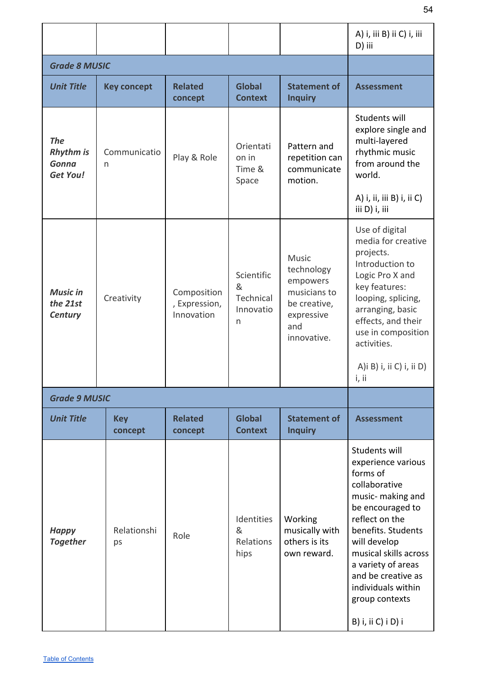|                                                                   |                       |                                            |                                                |                                                                                                     | A) i, iii B) ii C) i, iii<br>D) iii                                                                                                                                                                                                                                                                  |
|-------------------------------------------------------------------|-----------------------|--------------------------------------------|------------------------------------------------|-----------------------------------------------------------------------------------------------------|------------------------------------------------------------------------------------------------------------------------------------------------------------------------------------------------------------------------------------------------------------------------------------------------------|
| <b>Grade 8 MUSIC</b>                                              |                       |                                            |                                                |                                                                                                     |                                                                                                                                                                                                                                                                                                      |
| <b>Unit Title</b>                                                 | <b>Key concept</b>    | <b>Related</b><br>concept                  | <b>Global</b><br><b>Context</b>                | <b>Statement of</b><br><b>Inquiry</b>                                                               | <b>Assessment</b>                                                                                                                                                                                                                                                                                    |
| <b>The</b><br><b>Rhythm is</b><br><b>Gonna</b><br><b>Get You!</b> | Communicatio<br>n     | Play & Role                                | Orientati<br>on in<br>Time &<br>Space          | Pattern and<br>repetition can<br>communicate<br>motion.                                             | Students will<br>explore single and<br>multi-layered<br>rhythmic music<br>from around the<br>world.<br>A) i, ii, iii B) i, ii C)<br>iii D) i, iii                                                                                                                                                    |
| <b>Music in</b><br>the 21st<br>Century                            | Creativity            | Composition<br>, Expression,<br>Innovation | Scientific<br>&<br>Technical<br>Innovatio<br>n | Music<br>technology<br>empowers<br>musicians to<br>be creative,<br>expressive<br>and<br>innovative. | Use of digital<br>media for creative<br>projects.<br>Introduction to<br>Logic Pro X and<br>key features:<br>looping, splicing,<br>arranging, basic<br>effects, and their<br>use in composition<br>activities.<br>A) i B) i, ii C) i, ii D)<br>i, ii                                                  |
| <b>Grade 9 MUSIC</b>                                              |                       |                                            |                                                |                                                                                                     |                                                                                                                                                                                                                                                                                                      |
| <b>Unit Title</b>                                                 | <b>Key</b><br>concept | <b>Related</b><br>concept                  | <b>Global</b><br><b>Context</b>                | <b>Statement of</b><br><b>Inquiry</b>                                                               | <b>Assessment</b>                                                                                                                                                                                                                                                                                    |
| <b>Happy</b><br><b>Together</b>                                   | Relationshi<br>ps     | Role                                       | Identities<br>&<br>Relations<br>hips           | Working<br>musically with<br>others is its<br>own reward.                                           | Students will<br>experience various<br>forms of<br>collaborative<br>music- making and<br>be encouraged to<br>reflect on the<br>benefits. Students<br>will develop<br>musical skills across<br>a variety of areas<br>and be creative as<br>individuals within<br>group contexts<br>B) i, ii C) i D) i |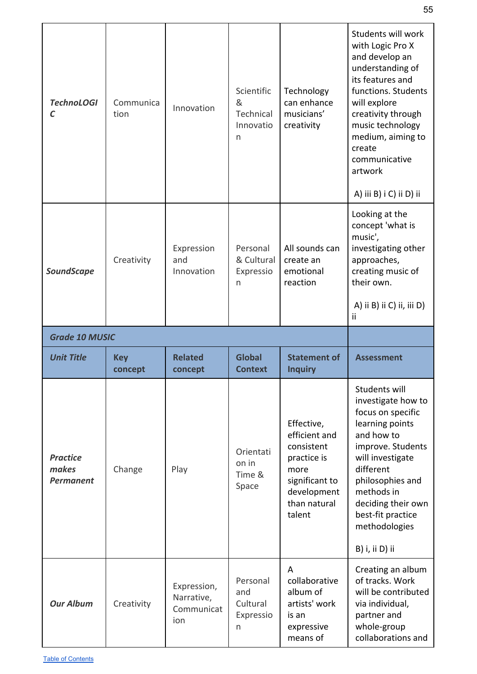| <b>TechnoLOGI</b><br>C                       | Communica<br>tion     | Innovation                      | Scientific<br>&<br>Technical<br>Innovatio<br>n | Technology<br>can enhance<br>musicians'<br>creativity                                                                       | Students will work<br>with Logic Pro X<br>and develop an<br>understanding of<br>its features and<br>functions. Students<br>will explore<br>creativity through<br>music technology<br>medium, aiming to<br>create<br>communicative<br>artwork<br>A) iii B) i C) ii D) ii |
|----------------------------------------------|-----------------------|---------------------------------|------------------------------------------------|-----------------------------------------------------------------------------------------------------------------------------|-------------------------------------------------------------------------------------------------------------------------------------------------------------------------------------------------------------------------------------------------------------------------|
| <b>SoundScape</b>                            | Creativity            | Expression<br>and<br>Innovation | Personal<br>& Cultural<br>Expressio<br>n       | All sounds can<br>create an<br>emotional<br>reaction                                                                        | Looking at the<br>concept 'what is<br>music',<br>investigating other<br>approaches,<br>creating music of<br>their own.<br>A) ii B) ii C) ii, iii D)<br>ii                                                                                                               |
| <b>Grade 10 MUSIC</b>                        |                       |                                 |                                                |                                                                                                                             |                                                                                                                                                                                                                                                                         |
| <b>Unit Title</b>                            | <b>Key</b><br>concept | <b>Related</b><br>concept       | <b>Global</b><br><b>Context</b>                | <b>Statement of</b><br><b>Inquiry</b>                                                                                       | <b>Assessment</b>                                                                                                                                                                                                                                                       |
| <b>Practice</b><br>makes<br><b>Permanent</b> | Change                | Play                            | Orientati<br>on in<br>Time &<br>Space          | Effective,<br>efficient and<br>consistent<br>practice is<br>more<br>significant to<br>development<br>than natural<br>talent | Students will<br>investigate how to<br>focus on specific<br>learning points<br>and how to<br>improve. Students<br>will investigate<br>different<br>philosophies and<br>methods in<br>deciding their own<br>best-fit practice<br>methodologies                           |
|                                              |                       |                                 |                                                |                                                                                                                             | B) i, ii D) ii                                                                                                                                                                                                                                                          |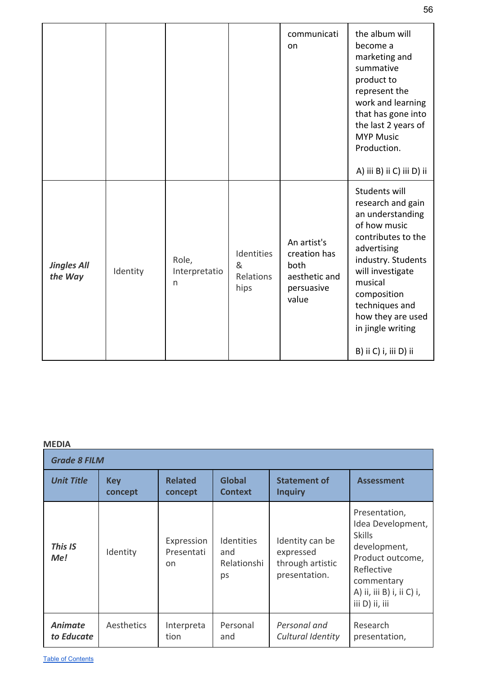|                               |          |                                        |                                      | communicati<br>on                                                           | the album will<br>become a<br>marketing and<br>summative<br>product to<br>represent the<br>work and learning<br>that has gone into<br>the last 2 years of<br><b>MYP Music</b><br>Production.<br>A) iii B) ii C) iii D) ii                                            |
|-------------------------------|----------|----------------------------------------|--------------------------------------|-----------------------------------------------------------------------------|----------------------------------------------------------------------------------------------------------------------------------------------------------------------------------------------------------------------------------------------------------------------|
| <b>Jingles All</b><br>the Way | Identity | Role,<br>Interpretatio<br>$\mathsf{n}$ | Identities<br>&<br>Relations<br>hips | An artist's<br>creation has<br>both<br>aesthetic and<br>persuasive<br>value | Students will<br>research and gain<br>an understanding<br>of how music<br>contributes to the<br>advertising<br>industry. Students<br>will investigate<br>musical<br>composition<br>techniques and<br>how they are used<br>in jingle writing<br>B) ii C) i, iii D) ii |

| <b>Grade 8 FILM</b>          |                       |                                           |                                               |                                                                   |                                                                                                                                                                    |  |
|------------------------------|-----------------------|-------------------------------------------|-----------------------------------------------|-------------------------------------------------------------------|--------------------------------------------------------------------------------------------------------------------------------------------------------------------|--|
| <b>Unit Title</b>            | <b>Key</b><br>concept | <b>Related</b><br>concept                 | <b>Global</b><br><b>Context</b>               | <b>Statement of</b><br><b>Inquiry</b>                             | <b>Assessment</b>                                                                                                                                                  |  |
| This IS<br>Me!               | Identity              | Expression<br>Presentati<br><sub>on</sub> | <b>Identities</b><br>and<br>Relationshi<br>ps | Identity can be<br>expressed<br>through artistic<br>presentation. | Presentation,<br>Idea Development,<br><b>Skills</b><br>development,<br>Product outcome,<br>Reflective<br>commentary<br>A) ii, iii B) i, ii C) i,<br>iii D) ii, iii |  |
| <b>Animate</b><br>to Educate | Aesthetics            | Interpreta<br>tion                        | Personal<br>and                               | Personal and<br>Cultural Identity                                 | Research<br>presentation,                                                                                                                                          |  |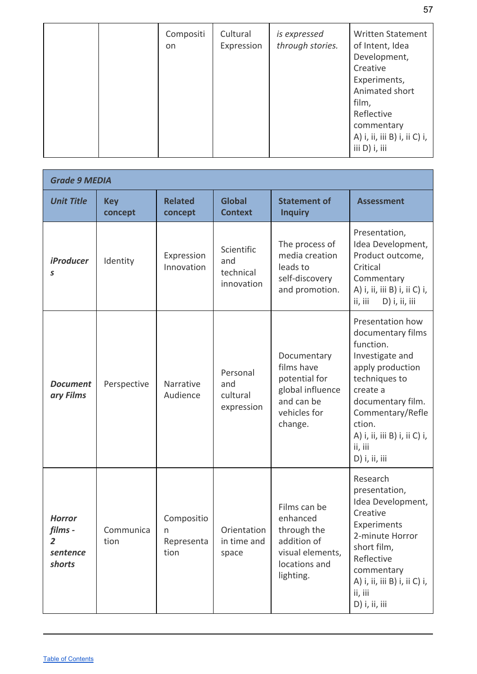|  | Compositi<br>on | Cultural<br>Expression | is expressed<br>through stories. | <b>Written Statement</b><br>of Intent, Idea<br>Development,<br>Creative<br>Experiments,<br>Animated short<br>film,<br>Reflective<br>commentary<br>A) i, ii, iii B) i, ii C) i,<br>iii D) i, iii |
|--|-----------------|------------------------|----------------------------------|-------------------------------------------------------------------------------------------------------------------------------------------------------------------------------------------------|
|--|-----------------|------------------------|----------------------------------|-------------------------------------------------------------------------------------------------------------------------------------------------------------------------------------------------|

| <b>Grade 9 MEDIA</b>                                             |                       |                                       |                                              |                                                                                                          |                                                                                                                                                                                                                                       |  |
|------------------------------------------------------------------|-----------------------|---------------------------------------|----------------------------------------------|----------------------------------------------------------------------------------------------------------|---------------------------------------------------------------------------------------------------------------------------------------------------------------------------------------------------------------------------------------|--|
| <b>Unit Title</b>                                                | <b>Key</b><br>concept | <b>Related</b><br>concept             | <b>Global</b><br><b>Context</b>              | <b>Statement of</b><br><b>Inquiry</b>                                                                    | <b>Assessment</b>                                                                                                                                                                                                                     |  |
| <b>iProducer</b><br>S                                            | Identity              | Expression<br>Innovation              | Scientific<br>and<br>technical<br>innovation | The process of<br>media creation<br>leads to<br>self-discovery<br>and promotion.                         | Presentation,<br>Idea Development,<br>Product outcome,<br>Critical<br>Commentary<br>A) i, ii, iii B) i, ii C) i,<br>D) i, ii, iii<br>ii, iii                                                                                          |  |
| <b>Document</b><br>ary Films                                     | Perspective           | Narrative<br>Audience                 | Personal<br>and<br>cultural<br>expression    | Documentary<br>films have<br>potential for<br>global influence<br>and can be<br>vehicles for<br>change.  | Presentation how<br>documentary films<br>function.<br>Investigate and<br>apply production<br>techniques to<br>create a<br>documentary film.<br>Commentary/Refle<br>ction.<br>A) i, ii, iii B) i, ii C) i,<br>ii, iii<br>D) i, ii, iii |  |
| <b>Horror</b><br>films -<br>$\overline{2}$<br>sentence<br>shorts | Communica<br>tion     | Compositio<br>n<br>Representa<br>tion | Orientation<br>in time and<br>space          | Films can be<br>enhanced<br>through the<br>addition of<br>visual elements,<br>locations and<br>lighting. | Research<br>presentation,<br>Idea Development,<br>Creative<br>Experiments<br>2-minute Horror<br>short film,<br>Reflective<br>commentary<br>A) i, ii, iii B) i, ii C) i,<br>ii, iii<br>D) i, ii, iii                                   |  |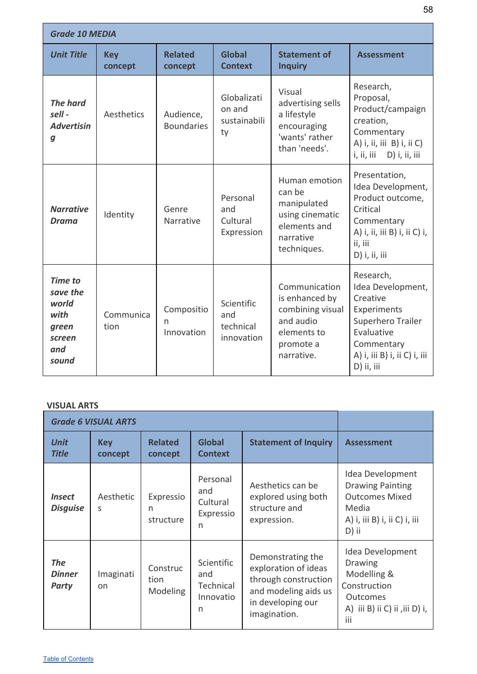| <b>Grade 10 MEDIA</b>                                                          |                       |                                |                                              |                                                                                                            |                                                                                                                                                          |  |
|--------------------------------------------------------------------------------|-----------------------|--------------------------------|----------------------------------------------|------------------------------------------------------------------------------------------------------------|----------------------------------------------------------------------------------------------------------------------------------------------------------|--|
| <b>Unit Title</b>                                                              | <b>Key</b><br>concept | <b>Related</b><br>concept      | <b>Global</b><br><b>Context</b>              | <b>Statement of</b><br><b>Inquiry</b>                                                                      | <b>Assessment</b>                                                                                                                                        |  |
| <b>The hard</b><br>$\mathcal{E}$<br><b>Advertisin</b><br>$\boldsymbol{g}$      | Aesthetics            | Audience,<br><b>Boundaries</b> | Globalizati<br>on and<br>sustainabili<br>ty  | Visual<br>advertising sells<br>a lifestyle<br>encouraging<br>'wants' rather<br>than 'needs'.               | Research,<br>Proposal,<br>Product/campaign<br>creation,<br>Commentary<br>A) i, ii, iii B) i, ii C)<br>i, ii, iii<br>D) i, ii, iii                        |  |
| <b>Narrative</b><br><b>Drama</b>                                               | Identity              | Genre<br>Narrative             | Personal<br>and<br>Cultural<br>Expression    | Human emotion<br>can be<br>manipulated<br>using cinematic<br>elements and<br>narrative<br>techniques.      | Presentation,<br>Idea Development,<br>Product outcome,<br>Critical<br>Commentary<br>A) i, ii, iii B) i, ii C) i,<br>ii, iii<br>D) i, ii, iii             |  |
| <b>Time to</b><br>save the<br>world<br>with<br>green<br>screen<br>and<br>sound | Communica<br>tion     | Compositio<br>n<br>Innovation  | Scientific<br>and<br>technical<br>innovation | Communication<br>is enhanced by<br>combining visual<br>and audio<br>elements to<br>promote a<br>narrative. | Research,<br>Idea Development,<br>Creative<br>Experiments<br>Superhero Trailer<br>Evaluative<br>Commentary<br>A) i, iii B) i, ii C) i, iii<br>D) ii, iii |  |

#### **VISUAL ARTS**

| <b>Grade 6 VISUAL ARTS</b>              |                           |                              |                                                  |                                                                                                                                |                                                                                                                        |
|-----------------------------------------|---------------------------|------------------------------|--------------------------------------------------|--------------------------------------------------------------------------------------------------------------------------------|------------------------------------------------------------------------------------------------------------------------|
| <b>Unit</b><br><b>Title</b>             | <b>Key</b><br>concept     | <b>Related</b><br>concept    | <b>Global</b><br><b>Context</b>                  | <b>Statement of Inquiry</b>                                                                                                    | <b>Assessment</b>                                                                                                      |
| <i><b>Insect</b></i><br><b>Disguise</b> | Aesthetic<br><sub>S</sub> | Expressio<br>n<br>structure  | Personal<br>and<br>Cultural<br>Expressio<br>n    | Aesthetics can be<br>explored using both<br>structure and<br>expression.                                                       | Idea Development<br><b>Drawing Painting</b><br><b>Outcomes Mixed</b><br>Media<br>A) i, iii B) i, ii C) i, iii<br>D) ii |
| <b>The</b><br><b>Dinner</b><br>Party    | Imaginati<br>on           | Construc<br>tion<br>Modeling | Scientific<br>and<br>Technical<br>Innovatio<br>n | Demonstrating the<br>exploration of ideas<br>through construction<br>and modeling aids us<br>in developing our<br>imagination. | Idea Development<br>Drawing<br>Modelling &<br>Construction<br><b>Outcomes</b><br>A) iii B) ii C) ii ,iii D) i,<br>iii  |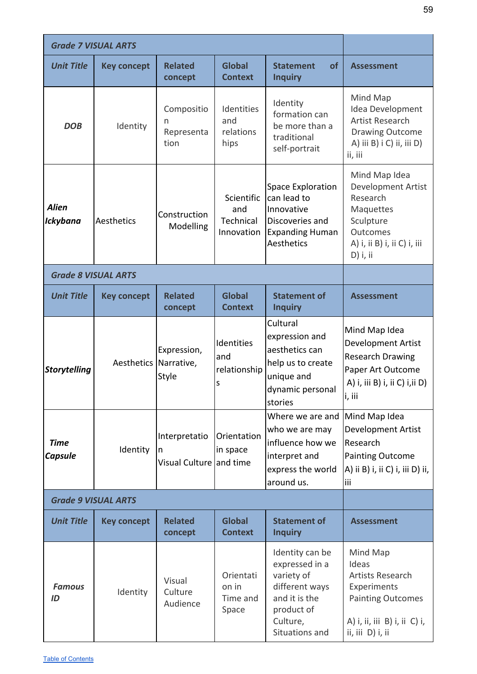| <b>Grade 7 VISUAL ARTS</b>      |                       |                                               |                                                                                                                                                                  |                                                                                                                                |                                                                                                                                              |
|---------------------------------|-----------------------|-----------------------------------------------|------------------------------------------------------------------------------------------------------------------------------------------------------------------|--------------------------------------------------------------------------------------------------------------------------------|----------------------------------------------------------------------------------------------------------------------------------------------|
| <b>Unit Title</b>               | <b>Key concept</b>    | <b>Related</b><br>concept                     | <b>Global</b><br><b>Context</b>                                                                                                                                  | <b>of</b><br><b>Statement</b><br><b>Inquiry</b>                                                                                | <b>Assessment</b>                                                                                                                            |
| <b>DOB</b>                      | Identity              | Compositio<br>n<br>Representa<br>tion         | Identities<br>and<br>relations<br>hips                                                                                                                           | Identity<br>formation can<br>be more than a<br>traditional<br>self-portrait                                                    | Mind Map<br>Idea Development<br><b>Artist Research</b><br><b>Drawing Outcome</b><br>A) iii B) i C) ii, iii D)<br>ii, iii                     |
| <b>Alien</b><br><b>Ickybana</b> | Aesthetics            | Construction<br>Modelling                     | <b>Space Exploration</b><br>Scientific<br>can lead to<br>Innovative<br>and<br>Technical<br>Discoveries and<br>Innovation<br><b>Expanding Human</b><br>Aesthetics |                                                                                                                                | Mind Map Idea<br>Development Artist<br>Research<br>Maquettes<br>Sculpture<br><b>Outcomes</b><br>A) i, ii B) i, ii C) i, iii<br>$D)$ i, ii    |
| <b>Grade 8 VISUAL ARTS</b>      |                       |                                               |                                                                                                                                                                  |                                                                                                                                |                                                                                                                                              |
| <b>Unit Title</b>               | <b>Key concept</b>    | <b>Related</b><br>concept                     | <b>Global</b><br><b>Context</b>                                                                                                                                  | <b>Statement of</b><br><b>Inquiry</b>                                                                                          | <b>Assessment</b>                                                                                                                            |
| <b>Storytelling</b>             | Aesthetics Narrative, | Expression,<br>Style                          | Identities<br>and<br>relationship<br>S                                                                                                                           | Cultural<br>expression and<br>aesthetics can<br>help us to create<br>unique and<br>dynamic personal<br>stories                 | Mind Map Idea<br>Development Artist<br><b>Research Drawing</b><br>Paper Art Outcome<br>A) i, iii B) i, ii C) i, ii D)<br>i, iii              |
| <b>Time</b><br><b>Capsule</b>   | Identity              | Interpretatio<br>n<br>Visual Culture and time | Orientation<br>in space                                                                                                                                          | Where we are and<br>who we are may<br>influence how we<br>interpret and<br>express the world<br>around us.                     | Mind Map Idea<br><b>Development Artist</b><br>Research<br><b>Painting Outcome</b><br>A) ii B) i, ii C) i, iii D) ii,<br>iii                  |
| <b>Grade 9 VISUAL ARTS</b>      |                       |                                               |                                                                                                                                                                  |                                                                                                                                |                                                                                                                                              |
| <b>Unit Title</b>               | <b>Key concept</b>    | <b>Related</b><br>concept                     | <b>Global</b><br><b>Context</b>                                                                                                                                  | <b>Statement of</b><br><b>Inquiry</b>                                                                                          | <b>Assessment</b>                                                                                                                            |
| <b>Famous</b><br>ID             | Identity              | Visual<br>Culture<br>Audience                 | Orientati<br>on in<br>Time and<br>Space                                                                                                                          | Identity can be<br>expressed in a<br>variety of<br>different ways<br>and it is the<br>product of<br>Culture,<br>Situations and | Mind Map<br>Ideas<br><b>Artists Research</b><br>Experiments<br><b>Painting Outcomes</b><br>A) i, ii, iii B) i, ii C) i,<br>ii, iii, D) i, ii |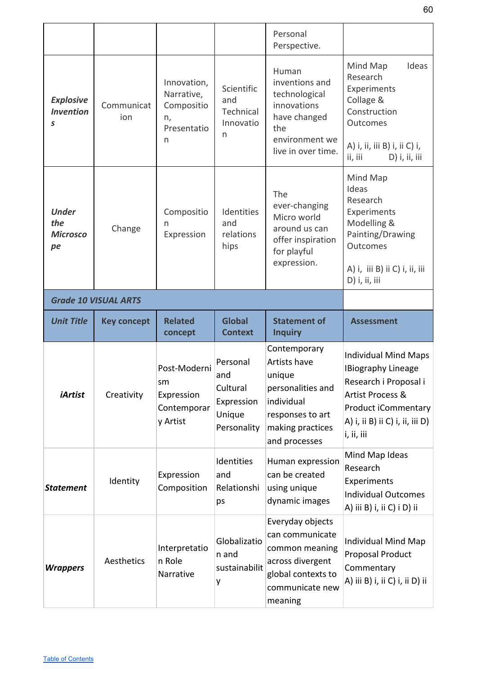|                                              |                    |                                                                   |                                                                    | Personal<br>Perspective.                                                                                                                  |                                                                                                                                                                               |
|----------------------------------------------|--------------------|-------------------------------------------------------------------|--------------------------------------------------------------------|-------------------------------------------------------------------------------------------------------------------------------------------|-------------------------------------------------------------------------------------------------------------------------------------------------------------------------------|
| <b>Explosive</b><br><b>Invention</b><br>S    | Communicat<br>ion  | Innovation,<br>Narrative,<br>Compositio<br>n,<br>Presentatio<br>n | Scientific<br>and<br>Technical<br>Innovatio<br>n                   | Human<br>inventions and<br>technological<br>innovations<br>have changed<br>the<br>environment we<br>live in over time.                    | Mind Map<br>Ideas<br>Research<br>Experiments<br>Collage &<br>Construction<br><b>Outcomes</b><br>A) i, ii, iii B) i, ii C) i,<br>D) i, ii, iii<br>ii, iii                      |
| <b>Under</b><br>the<br><b>Microsco</b><br>pe | Change             | Compositio<br>n<br>Expression                                     | Identities<br>and<br>relations<br>hips                             | The<br>ever-changing<br>Micro world<br>around us can<br>offer inspiration<br>for playful<br>expression.                                   | Mind Map<br>Ideas<br>Research<br>Experiments<br>Modelling &<br>Painting/Drawing<br><b>Outcomes</b><br>A) i, iii B) ii C) i, ii, iii<br>D) i, ii, iii                          |
| <b>Grade 10 VISUAL ARTS</b>                  |                    |                                                                   |                                                                    |                                                                                                                                           |                                                                                                                                                                               |
| <b>Unit Title</b>                            | <b>Key concept</b> | <b>Related</b><br>concept                                         | <b>Global</b><br><b>Context</b>                                    | <b>Statement of</b><br><b>Inquiry</b>                                                                                                     | <b>Assessment</b>                                                                                                                                                             |
| <i><b>iArtist</b></i>                        | Creativity         | Post-Moderni<br>sm<br>Expression<br>Contemporar<br>y Artist       | Personal<br>and<br>Cultural<br>Expression<br>Unique<br>Personality | Contemporary<br><b>Artists have</b><br>unique<br>personalities and<br>individual<br>responses to art<br>making practices<br>and processes | <b>Individual Mind Maps</b><br><b>IBiography Lineage</b><br>Research i Proposal i<br>Artist Process &<br>Product iCommentary<br>A) i, ii B) ii C) i, ii, iii D)<br>i, ii, iii |
| <b>Statement</b>                             | Identity           | Expression<br>Composition                                         | Identities<br>and<br>Relationshi<br>ps                             | Human expression<br>can be created<br>using unique<br>dynamic images                                                                      | Mind Map Ideas<br>Research<br>Experiments<br><b>Individual Outcomes</b><br>A) iii B) i, ii C) i D) ii                                                                         |
| <b>Wrappers</b>                              | Aesthetics         | Interpretatio<br>n Role<br>Narrative                              | Globalizatio<br>n and<br>sustainabilit<br>y                        | Everyday objects<br>can communicate<br>common meaning<br>across divergent<br>global contexts to<br>communicate new                        | Individual Mind Map<br><b>Proposal Product</b><br>Commentary<br>A) iii B) i, ii C) i, ii D) ii                                                                                |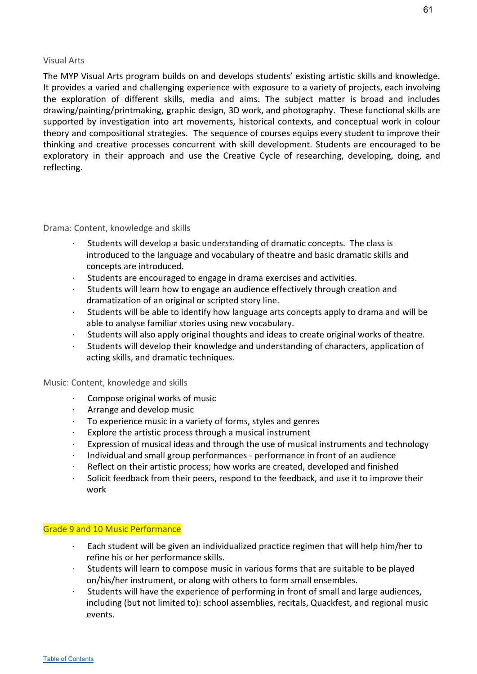#### <span id="page-61-0"></span>Visual Arts

The MYP Visual Arts program builds on and develops students' existing artistic skills and knowledge. It provides a varied and challenging experience with exposure to a variety of projects, each involving the exploration of different skills, media and aims. The subject matter is broad and includes drawing/painting/printmaking, graphic design, 3D work, and photography. These functional skills are supported by investigation into art movements, historical contexts, and conceptual work in colour theory and compositional strategies. The sequence of courses equips every student to improve their thinking and creative processes concurrent with skill development. Students are encouraged to be exploratory in their approach and use the Creative Cycle of researching, developing, doing, and reflecting.

#### <span id="page-61-1"></span>Drama: Content, knowledge and skills

- Students will develop a basic understanding of dramatic concepts. The class is introduced to the language and vocabulary of theatre and basic dramatic skills and concepts are introduced.
- Students are encouraged to engage in drama exercises and activities.
- · Students will learn how to engage an audience effectively through creation and dramatization of an original or scripted story line.
- · Students will be able to identify how language arts concepts apply to drama and will be able to analyse familiar stories using new vocabulary.
- · Students will also apply original thoughts and ideas to create original works of theatre.
- Students will develop their knowledge and understanding of characters, application of acting skills, and dramatic techniques.

#### <span id="page-61-2"></span>Music: Content, knowledge and skills

- Compose original works of music
- · Arrange and develop music
- To experience music in a variety of forms, styles and genres
- · Explore the artistic process through a musical instrument
- Expression of musical ideas and through the use of musical instruments and technology
- · Individual and small group performances performance in front of an audience
- Reflect on their artistic process; how works are created, developed and finished
- · Solicit feedback from their peers, respond to the feedback, and use it to improve their work

#### <span id="page-61-3"></span>Grade 9 and 10 Music Performance

- Each student will be given an individualized practice regimen that will help him/her to refine his or her performance skills.
- Students will learn to compose music in various forms that are suitable to be played on/his/her instrument, or along with others to form small ensembles.
- Students will have the experience of performing in front of small and large audiences, including (but not limited to): school assemblies, recitals, Quackfest, and regional music events.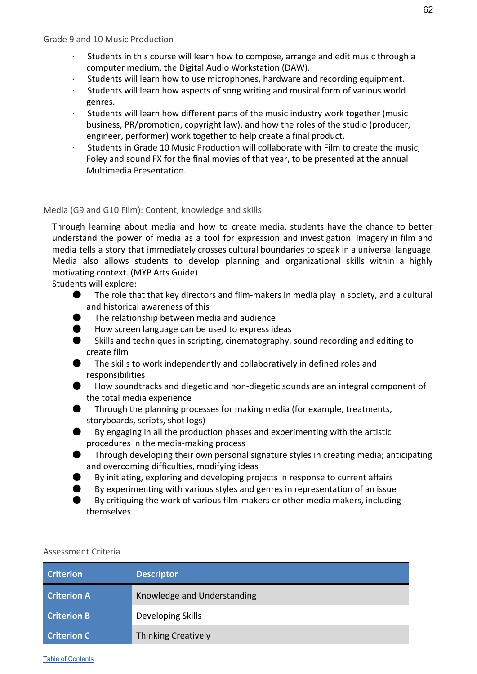- <span id="page-62-0"></span>· Students in this course will learn how to compose, arrange and edit music through a computer medium, the Digital Audio Workstation (DAW).
- Students will learn how to use microphones, hardware and recording equipment.
- · Students will learn how aspects of song writing and musical form of various world genres.
- · Students will learn how different parts of the music industry work together (music business, PR/promotion, copyright law), and how the roles of the studio (producer, engineer, performer) work together to help create a final product.
- · Students in Grade 10 Music Production will collaborate with Film to create the music, Foley and sound FX for the final movies of that year, to be presented at the annual Multimedia Presentation.

#### <span id="page-62-1"></span>Media (G9 and G10 Film): Content, knowledge and skills

Through learning about media and how to create media, students have the chance to better understand the power of media as a tool for expression and investigation. Imagery in film and media tells a story that immediately crosses cultural boundaries to speak in a universal language. Media also allows students to develop planning and organizational skills within a highly motivating context. (MYP Arts Guide)

Students will explore:

- The role that that key directors and film-makers in media play in society, and a cultural and historical awareness of this
- The relationship between media and audience
- How screen language can be used to express ideas
- Skills and techniques in scripting, cinematography, sound recording and editing to create film
- The skills to work independently and collaboratively in defined roles and responsibilities
- How soundtracks and diegetic and non-diegetic sounds are an integral component of the total media experience
- Through the planning processes for making media (for example, treatments, storyboards, scripts, shot logs)
- By engaging in all the production phases and experimenting with the artistic procedures in the media-making process
- Through developing their own personal signature styles in creating media; anticipating and overcoming difficulties, modifying ideas
- By initiating, exploring and developing projects in response to current affairs
- By experimenting with various styles and genres in representation of an issue
- By critiquing the work of various film-makers or other media makers, including themselves

<span id="page-62-2"></span>

| <b>Criterion</b>   | <b>Descriptor</b>           |
|--------------------|-----------------------------|
| <b>Criterion A</b> | Knowledge and Understanding |
| <b>Criterion B</b> | Developing Skills           |
| <b>Criterion C</b> | <b>Thinking Creatively</b>  |

62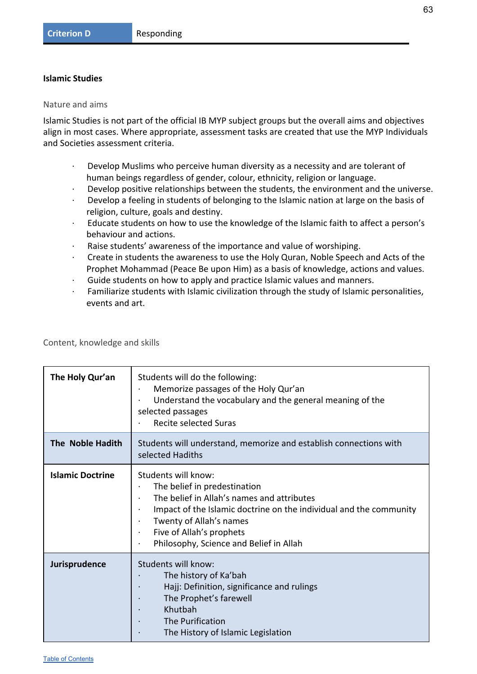#### <span id="page-63-0"></span>**Islamic Studies**

<span id="page-63-1"></span>Nature and aims

Islamic Studies is not part of the official IB MYP subject groups but the overall aims and objectives align in most cases. Where appropriate, assessment tasks are created that use the MYP Individuals and Societies assessment criteria.

- · Develop Muslims who perceive human diversity as a necessity and are tolerant of human beings regardless of gender, colour, ethnicity, religion or language.
- Develop positive relationships between the students, the environment and the universe.
- Develop a feeling in students of belonging to the Islamic nation at large on the basis of religion, culture, goals and destiny.
- · Educate students on how to use the knowledge of the Islamic faith to affect a person's behaviour and actions.
- Raise students' awareness of the importance and value of worshiping.
- · Create in students the awareness to use the Holy Quran, Noble Speech and Acts of the Prophet Mohammad (Peace Be upon Him) as a basis of knowledge, actions and values.
- · Guide students on how to apply and practice Islamic values and manners.
- · Familiarize students with Islamic civilization through the study of Islamic personalities, events and art.

<span id="page-63-2"></span>Content, knowledge and skills

| The Holy Qur'an         | Students will do the following:<br>Memorize passages of the Holy Qur'an<br>Understand the vocabulary and the general meaning of the<br>$\bullet$<br>selected passages<br><b>Recite selected Suras</b>                                                                                                                         |
|-------------------------|-------------------------------------------------------------------------------------------------------------------------------------------------------------------------------------------------------------------------------------------------------------------------------------------------------------------------------|
| The Noble Hadith        | Students will understand, memorize and establish connections with<br>selected Hadiths                                                                                                                                                                                                                                         |
| <b>Islamic Doctrine</b> | Students will know:<br>The belief in predestination<br>The belief in Allah's names and attributes<br>Impact of the Islamic doctrine on the individual and the community<br>$\bullet$<br>Twenty of Allah's names<br>$\bullet$<br>Five of Allah's prophets<br>$\bullet$<br>Philosophy, Science and Belief in Allah<br>$\bullet$ |
| Jurisprudence           | Students will know:<br>The history of Ka'bah<br>Hajj: Definition, significance and rulings<br>$\bullet$<br>The Prophet's farewell<br>$\bullet$<br>Khutbah<br>The Purification<br>The History of Islamic Legislation                                                                                                           |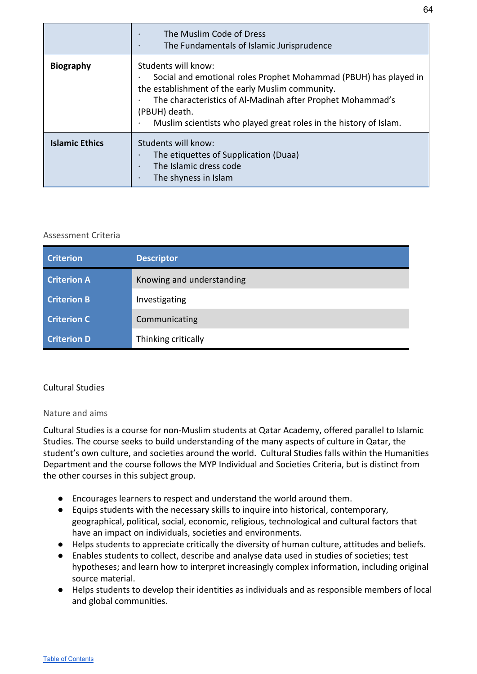|                       | The Muslim Code of Dress<br>$\bullet$<br>The Fundamentals of Islamic Jurisprudence<br>$\bullet$                                                                                                                                                                                                                           |
|-----------------------|---------------------------------------------------------------------------------------------------------------------------------------------------------------------------------------------------------------------------------------------------------------------------------------------------------------------------|
| <b>Biography</b>      | Students will know:<br>Social and emotional roles Prophet Mohammad (PBUH) has played in<br>$\bullet$<br>the establishment of the early Muslim community.<br>The characteristics of Al-Madinah after Prophet Mohammad's<br>(PBUH) death.<br>Muslim scientists who played great roles in the history of Islam.<br>$\bullet$ |
| <b>Islamic Ethics</b> | Students will know:<br>The etiquettes of Supplication (Duaa)<br>$\bullet$<br>The Islamic dress code<br>$\bullet$<br>The shyness in Islam<br>$\bullet$                                                                                                                                                                     |

<span id="page-64-0"></span>

| <b>Criterion</b>   | <b>Descriptor</b>         |
|--------------------|---------------------------|
| <b>Criterion A</b> | Knowing and understanding |
| <b>Criterion B</b> | Investigating             |
| <b>Criterion C</b> | Communicating             |
| <b>Criterion D</b> | Thinking critically       |

# <span id="page-64-1"></span>Cultural Studies

## Nature and aims

Cultural Studies is a course for non-Muslim students at Qatar Academy, offered parallel to Islamic Studies. The course seeks to build understanding of the many aspects of culture in Qatar, the student's own culture, and societies around the world. Cultural Studies falls within the Humanities Department and the course follows the MYP Individual and Societies Criteria, but is distinct from the other courses in this subject group.

- Encourages learners to respect and understand the world around them.
- Equips students with the necessary skills to inquire into historical, contemporary, geographical, political, social, economic, religious, technological and cultural factors that have an impact on individuals, societies and environments.
- Helps students to appreciate critically the diversity of human culture, attitudes and beliefs.
- Enables students to collect, describe and analyse data used in studies of societies; test hypotheses; and learn how to interpret increasingly complex information, including original source material.
- Helps students to develop their identities as individuals and as responsible members of local and global communities.